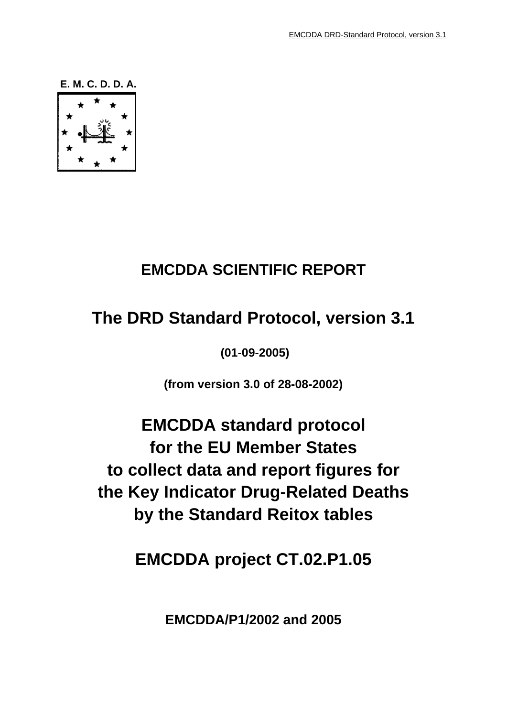

# **EMCDDA SCIENTIFIC REPORT**

# **The DRD Standard Protocol, version 3.1**

 **(01-09-2005)** 

**(from version 3.0 of 28-08-2002)**

**EMCDDA standard protocol for the EU Member States to collect data and report figures for the Key Indicator Drug-Related Deaths by the Standard Reitox tables** 

**EMCDDA project CT.02.P1.05** 

**EMCDDA/P1/2002 and 2005**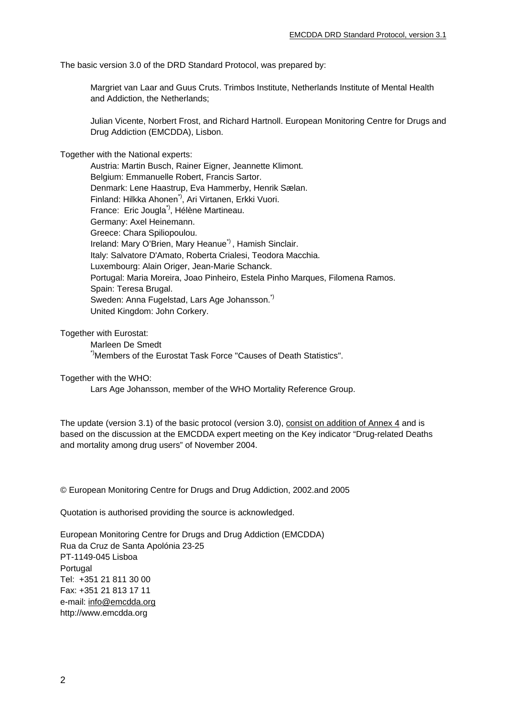The basic version 3.0 of the DRD Standard Protocol, was prepared by:

Margriet van Laar and Guus Cruts. Trimbos Institute, Netherlands Institute of Mental Health and Addiction, the Netherlands;

Julian Vicente, Norbert Frost, and Richard Hartnoll. European Monitoring Centre for Drugs and Drug Addiction (EMCDDA), Lisbon.

Together with the National experts:

Austria: Martin Busch, Rainer Eigner, Jeannette Klimont. Belgium: Emmanuelle Robert, Francis Sartor. Denmark: Lene Haastrup, Eva Hammerby, Henrik Sælan. Finland: Hilkka Ahonen\*), Ari Virtanen, Erkki Vuori. France: Eric Jougla\*), Hélène Martineau. Germany: Axel Heinemann. Greece: Chara Spiliopoulou. Ireland: Mary O'Brien, Mary Heanue<sup>\*</sup>, Hamish Sinclair. Italy: Salvatore D'Amato, Roberta Crialesi, Teodora Macchia. Luxembourg: Alain Origer, Jean-Marie Schanck. Portugal: Maria Moreira, Joao Pinheiro, Estela Pinho Marques, Filomena Ramos. Spain: Teresa Brugal. Sweden: Anna Fugelstad, Lars Age Johansson.<sup>\*</sup>) United Kingdom: John Corkery.

Together with Eurostat:

Marleen De Smedt \*)Members of the Eurostat Task Force "Causes of Death Statistics".

Together with the WHO:

Lars Age Johansson, member of the WHO Mortality Reference Group.

The update (version 3.1) of the basic protocol (version 3.0), consist on addition of Annex 4 and is based on the discussion at the EMCDDA expert meeting on the Key indicator "Drug-related Deaths and mortality among drug users" of November 2004.

© European Monitoring Centre for Drugs and Drug Addiction, 2002.and 2005

Quotation is authorised providing the source is acknowledged.

European Monitoring Centre for Drugs and Drug Addiction (EMCDDA) Rua da Cruz de Santa Apolónia 23-25 PT-1149-045 Lisboa **Portugal** Tel: +351 21 811 30 00 Fax: +351 21 813 17 11 e-mail: info@emcdda.org http://www.emcdda.org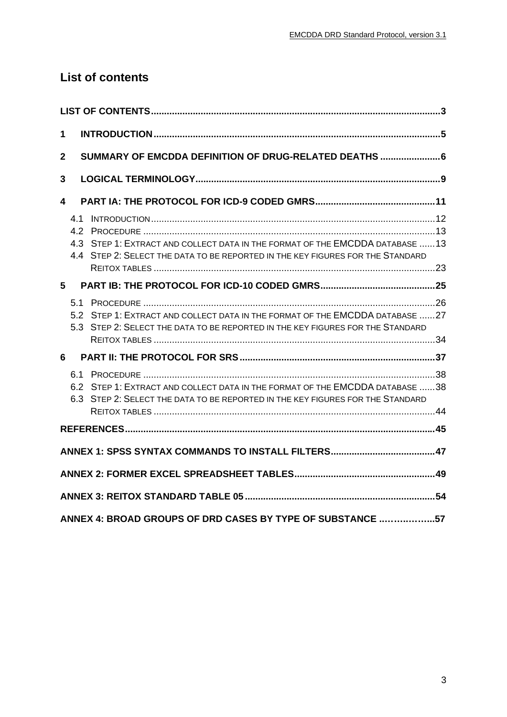## <span id="page-2-0"></span>**List of contents**

| $\mathbf 1$  |            |                                                                                                                                                                |  |
|--------------|------------|----------------------------------------------------------------------------------------------------------------------------------------------------------------|--|
| $\mathbf{2}$ |            | SUMMARY OF EMCDDA DEFINITION OF DRUG-RELATED DEATHS 6                                                                                                          |  |
| 3            |            |                                                                                                                                                                |  |
| 4            |            |                                                                                                                                                                |  |
|              | 4.1<br>4.2 | 4.3 STEP 1: EXTRACT AND COLLECT DATA IN THE FORMAT OF THE EMCDDA DATABASE 13<br>4.4 STEP 2: SELECT THE DATA TO BE REPORTED IN THE KEY FIGURES FOR THE STANDARD |  |
| 5            |            |                                                                                                                                                                |  |
|              |            | 5.2 STEP 1: EXTRACT AND COLLECT DATA IN THE FORMAT OF THE EMCDDA DATABASE 27<br>5.3 STEP 2: SELECT THE DATA TO BE REPORTED IN THE KEY FIGURES FOR THE STANDARD |  |
| 6.           |            |                                                                                                                                                                |  |
|              | 6.1        | 6.2 STEP 1: EXTRACT AND COLLECT DATA IN THE FORMAT OF THE EMCDDA DATABASE 38<br>6.3 STEP 2: SELECT THE DATA TO BE REPORTED IN THE KEY FIGURES FOR THE STANDARD |  |
|              |            |                                                                                                                                                                |  |
|              |            |                                                                                                                                                                |  |
|              |            |                                                                                                                                                                |  |
|              |            |                                                                                                                                                                |  |
|              |            | ANNEX 4: BROAD GROUPS OF DRD CASES BY TYPE OF SUBSTANCE 57                                                                                                     |  |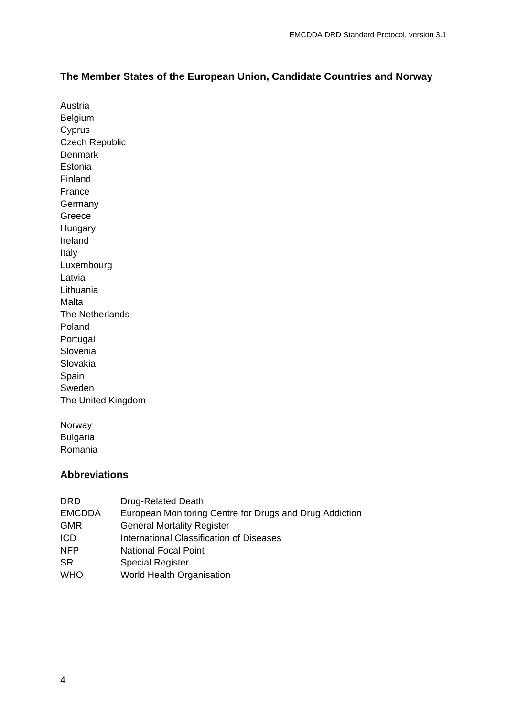#### **The Member States of the European Union, Candidate Countries and Norway**

Austria Belgium Cyprus Czech Republic Denmark Estonia Finland France **Germany** Greece Hungary Ireland Italy Luxembourg Latvia Lithuania Malta The Netherlands Poland Portugal Slovenia Slovakia Spain Sweden The United Kingdom

Norway Bulgaria Romania

#### **Abbreviations**

| DRD           | <b>Drug-Related Death</b>                               |
|---------------|---------------------------------------------------------|
| <b>EMCDDA</b> | European Monitoring Centre for Drugs and Drug Addiction |
| GMR           | <b>General Mortality Register</b>                       |
| ICD           | International Classification of Diseases                |
| <b>NFP</b>    | <b>National Focal Point</b>                             |
| <b>SR</b>     | <b>Special Register</b>                                 |
| <b>WHO</b>    | <b>World Health Organisation</b>                        |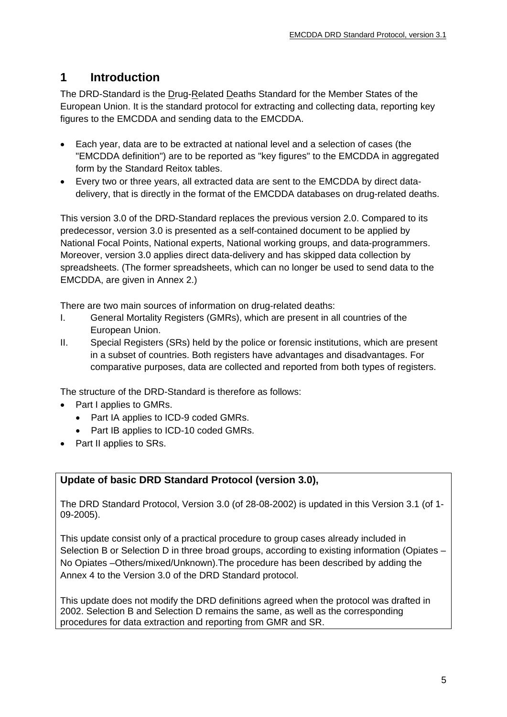## <span id="page-4-0"></span>**1 Introduction**

The DRD-Standard is the Drug-Related Deaths Standard for the Member States of the European Union. It is the standard protocol for extracting and collecting data, reporting key figures to the EMCDDA and sending data to the EMCDDA.

- Each year, data are to be extracted at national level and a selection of cases (the "EMCDDA definition") are to be reported as "key figures" to the EMCDDA in aggregated form by the Standard Reitox tables.
- Every two or three years, all extracted data are sent to the EMCDDA by direct datadelivery, that is directly in the format of the EMCDDA databases on drug-related deaths.

This version 3.0 of the DRD-Standard replaces the previous version 2.0. Compared to its predecessor, version 3.0 is presented as a self-contained document to be applied by National Focal Points, National experts, National working groups, and data-programmers. Moreover, version 3.0 applies direct data-delivery and has skipped data collection by spreadsheets. (The former spreadsheets, which can no longer be used to send data to the EMCDDA, are given in Annex 2.)

There are two main sources of information on drug-related deaths:

- I. General Mortality Registers (GMRs), which are present in all countries of the European Union.
- II. Special Registers (SRs) held by the police or forensic institutions, which are present in a subset of countries. Both registers have advantages and disadvantages. For comparative purposes, data are collected and reported from both types of registers.

The structure of the DRD-Standard is therefore as follows:

- Part I applies to GMRs.
	- Part IA applies to ICD-9 coded GMRs.
	- Part IB applies to ICD-10 coded GMRs.
- Part II applies to SRs.

#### **Update of basic DRD Standard Protocol (version 3.0),**

The DRD Standard Protocol, Version 3.0 (of 28-08-2002) is updated in this Version 3.1 (of 1- 09-2005).

This update consist only of a practical procedure to group cases already included in Selection B or Selection D in three broad groups, according to existing information (Opiates – No Opiates –Others/mixed/Unknown).The procedure has been described by adding the Annex 4 to the Version 3.0 of the DRD Standard protocol.

This update does not modify the DRD definitions agreed when the protocol was drafted in 2002. Selection B and Selection D remains the same, as well as the corresponding procedures for data extraction and reporting from GMR and SR.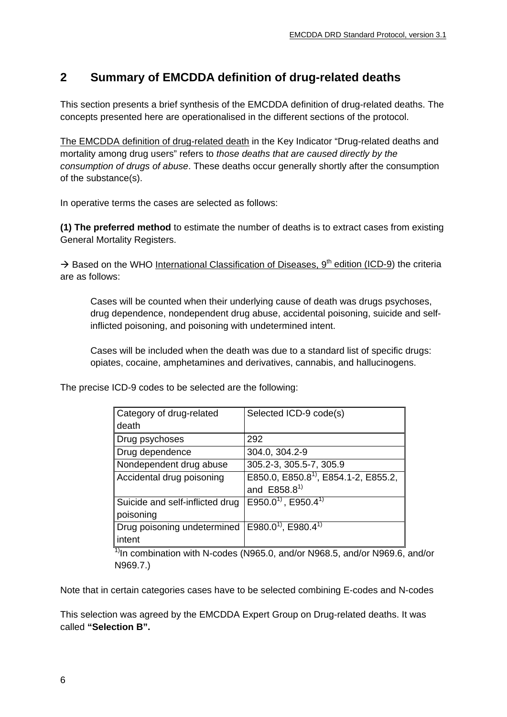## <span id="page-5-0"></span>**2 Summary of EMCDDA definition of drug-related deaths**

This section presents a brief synthesis of the EMCDDA definition of drug-related deaths. The concepts presented here are operationalised in the different sections of the protocol.

The EMCDDA definition of drug-related death in the Key Indicator "Drug-related deaths and mortality among drug users" refers to *those deaths that are caused directly by the consumption of drugs of abuse*. These deaths occur generally shortly after the consumption of the substance(s).

In operative terms the cases are selected as follows:

**(1) The preferred method** to estimate the number of deaths is to extract cases from existing General Mortality Registers.

 $\rightarrow$  Based on the WHO International Classification of Diseases, 9<sup>th</sup> edition (ICD-9) the criteria are as follows:

Cases will be counted when their underlying cause of death was drugs psychoses, drug dependence, nondependent drug abuse, accidental poisoning, suicide and selfinflicted poisoning, and poisoning with undetermined intent.

Cases will be included when the death was due to a standard list of specific drugs: opiates, cocaine, amphetamines and derivatives, cannabis, and hallucinogens.

The precise ICD-9 codes to be selected are the following:

| Category of drug-related        | Selected ICD-9 code(s)                          |
|---------------------------------|-------------------------------------------------|
| death                           |                                                 |
| Drug psychoses                  | 292                                             |
| Drug dependence                 | 304.0, 304.2-9                                  |
| Nondependent drug abuse         | 305.2-3, 305.5-7, 305.9                         |
| Accidental drug poisoning       | E850.0, E850.8 <sup>1</sup> , E854.1-2, E855.2, |
|                                 | and E858.8 <sup>1)</sup>                        |
| Suicide and self-inflicted drug | $E950.0^{1}$ , E950.4 <sup>1)</sup>             |
| poisoning                       |                                                 |
| Drug poisoning undetermined     | $E980.0^{1}$ , E980.4 <sup>1)</sup>             |
| intent                          |                                                 |

 $1$ <sup>1)</sup>In combination with N-codes (N965.0, and/or N968.5, and/or N969.6, and/or N969.7.)

Note that in certain categories cases have to be selected combining E-codes and N-codes

This selection was agreed by the EMCDDA Expert Group on Drug-related deaths. It was called **"Selection B".**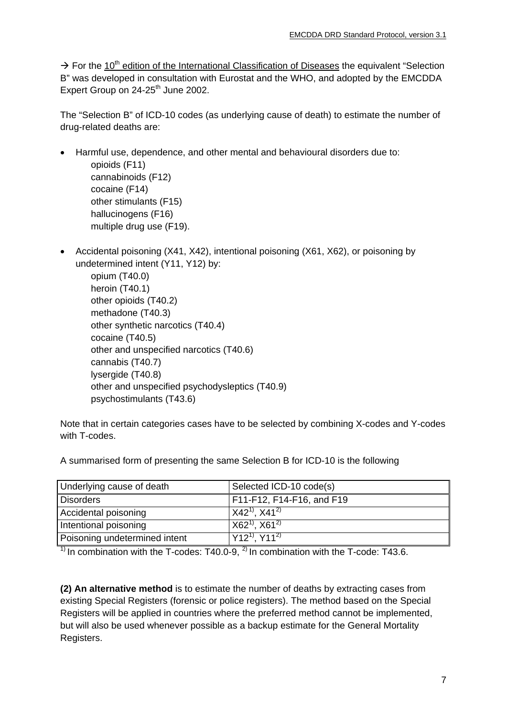$\rightarrow$  For the 10<sup>th</sup> edition of the International Classification of Diseases the equivalent "Selection" B" was developed in consultation with Eurostat and the WHO, and adopted by the EMCDDA Expert Group on  $24-25$ <sup>th</sup> June 2002.

The "Selection B" of ICD-10 codes (as underlying cause of death) to estimate the number of drug-related deaths are:

- Harmful use, dependence, and other mental and behavioural disorders due to: opioids (F11) cannabinoids (F12) cocaine (F14) other stimulants (F15) hallucinogens (F16) multiple drug use (F19).
- Accidental poisoning (X41, X42), intentional poisoning (X61, X62), or poisoning by undetermined intent (Y11, Y12) by:

opium (T40.0) heroin (T40.1) other opioids (T40.2) methadone (T40.3) other synthetic narcotics (T40.4) cocaine (T40.5) other and unspecified narcotics (T40.6) cannabis (T40.7) lysergide (T40.8) other and unspecified psychodysleptics (T40.9) psychostimulants (T43.6)

Note that in certain categories cases have to be selected by combining X-codes and Y-codes with T-codes.

A summarised form of presenting the same Selection B for ICD-10 is the following

| Underlying cause of death     | Selected ICD-10 code(s)   |
|-------------------------------|---------------------------|
| Disorders                     | F11-F12, F14-F16, and F19 |
| Accidental poisoning          | $X42^{1}$ , $X41^{2}$     |
| Intentional poisoning         | $X62^{1}$ , $X61^{2}$     |
| Poisoning undetermined intent | $Y12^{1}$ , $Y11^{2}$     |

 $1$ <sup>1)</sup> In combination with the T-codes: T40.0-9,  $^{2}$  In combination with the T-code: T43.6.

**(2) An alternative method** is to estimate the number of deaths by extracting cases from existing Special Registers (forensic or police registers). The method based on the Special Registers will be applied in countries where the preferred method cannot be implemented, but will also be used whenever possible as a backup estimate for the General Mortality Registers.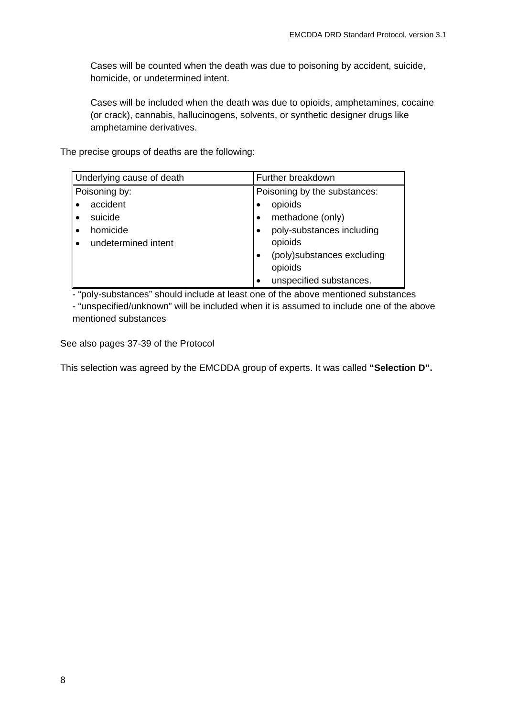Cases will be counted when the death was due to poisoning by accident, suicide, homicide, or undetermined intent.

Cases will be included when the death was due to opioids, amphetamines, cocaine (or crack), cannabis, hallucinogens, solvents, or synthetic designer drugs like amphetamine derivatives.

The precise groups of deaths are the following:

| Further breakdown                     |
|---------------------------------------|
| Poisoning by the substances:          |
| opioids                               |
| methadone (only)                      |
| poly-substances including             |
| opioids                               |
| (poly)substances excluding<br>opioids |
| unspecified substances.               |
|                                       |

- "poly-substances" should include at least one of the above mentioned substances - "unspecified/unknown" will be included when it is assumed to include one of the above

See also pages 37-39 of the Protocol

mentioned substances

This selection was agreed by the EMCDDA group of experts. It was called **"Selection D".**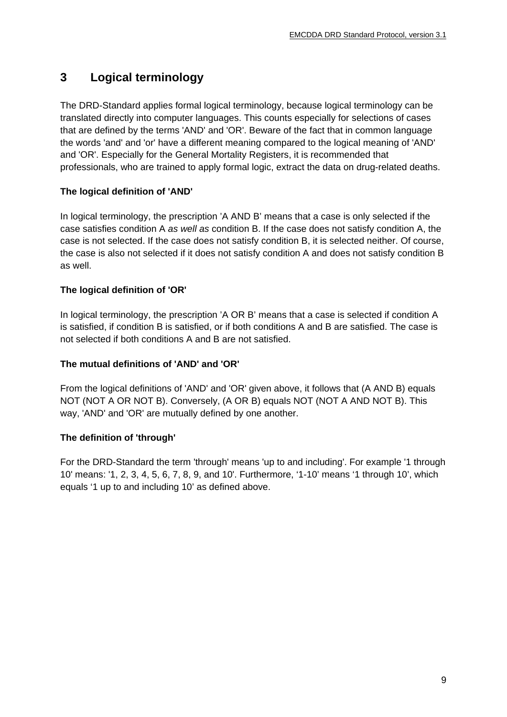## <span id="page-8-0"></span>**3 Logical terminology**

The DRD-Standard applies formal logical terminology, because logical terminology can be translated directly into computer languages. This counts especially for selections of cases that are defined by the terms 'AND' and 'OR'. Beware of the fact that in common language the words 'and' and 'or' have a different meaning compared to the logical meaning of 'AND' and 'OR'. Especially for the General Mortality Registers, it is recommended that professionals, who are trained to apply formal logic, extract the data on drug-related deaths.

#### **The logical definition of 'AND'**

In logical terminology, the prescription 'A AND B' means that a case is only selected if the case satisfies condition A *as well as* condition B. If the case does not satisfy condition A, the case is not selected. If the case does not satisfy condition B, it is selected neither. Of course, the case is also not selected if it does not satisfy condition A and does not satisfy condition B as well.

#### **The logical definition of 'OR'**

In logical terminology, the prescription 'A OR B' means that a case is selected if condition A is satisfied, if condition B is satisfied, or if both conditions A and B are satisfied. The case is not selected if both conditions A and B are not satisfied.

#### **The mutual definitions of 'AND' and 'OR'**

From the logical definitions of 'AND' and 'OR' given above, it follows that (A AND B) equals NOT (NOT A OR NOT B). Conversely, (A OR B) equals NOT (NOT A AND NOT B). This way, 'AND' and 'OR' are mutually defined by one another.

#### **The definition of 'through'**

For the DRD-Standard the term 'through' means 'up to and including'. For example '1 through 10' means: '1, 2, 3, 4, 5, 6, 7, 8, 9, and 10'. Furthermore, '1-10' means '1 through 10', which equals '1 up to and including 10' as defined above.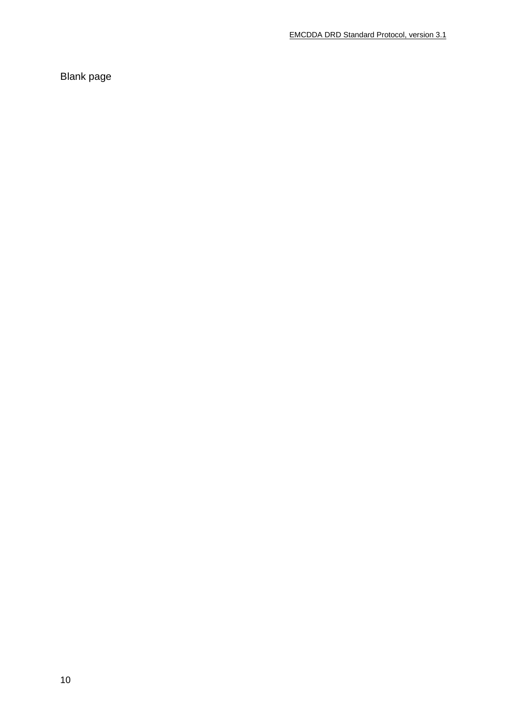Blank page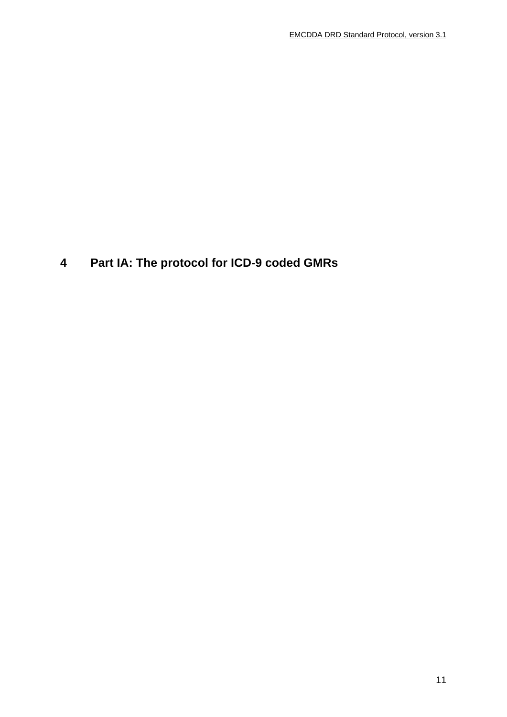# <span id="page-10-0"></span>**4 Part IA: The protocol for ICD-9 coded GMRs**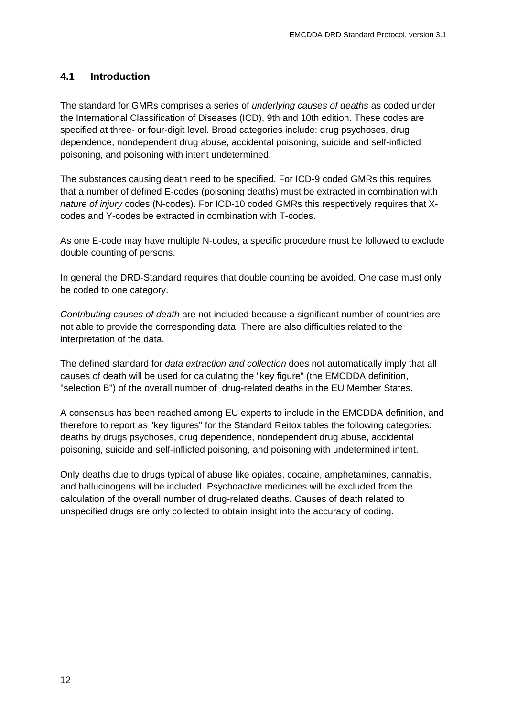#### <span id="page-11-0"></span>**4.1 Introduction**

The standard for GMRs comprises a series of *underlying causes of deaths* as coded under the International Classification of Diseases (ICD), 9th and 10th edition. These codes are specified at three- or four-digit level. Broad categories include: drug psychoses, drug dependence, nondependent drug abuse, accidental poisoning, suicide and self-inflicted poisoning, and poisoning with intent undetermined.

The substances causing death need to be specified. For ICD-9 coded GMRs this requires that a number of defined E-codes (poisoning deaths) must be extracted in combination with *nature of injury* codes (N-codes). For ICD-10 coded GMRs this respectively requires that Xcodes and Y-codes be extracted in combination with T-codes.

As one E-code may have multiple N-codes, a specific procedure must be followed to exclude double counting of persons.

In general the DRD-Standard requires that double counting be avoided. One case must only be coded to one category.

*Contributing causes of death* are not included because a significant number of countries are not able to provide the corresponding data. There are also difficulties related to the interpretation of the data.

The defined standard for *data extraction and collection* does not automatically imply that all causes of death will be used for calculating the "key figure" (the EMCDDA definition, "selection B") of the overall number of drug-related deaths in the EU Member States.

A consensus has been reached among EU experts to include in the EMCDDA definition, and therefore to report as "key figures" for the Standard Reitox tables the following categories: deaths by drugs psychoses, drug dependence, nondependent drug abuse, accidental poisoning, suicide and self-inflicted poisoning, and poisoning with undetermined intent.

Only deaths due to drugs typical of abuse like opiates, cocaine, amphetamines, cannabis, and hallucinogens will be included. Psychoactive medicines will be excluded from the calculation of the overall number of drug-related deaths. Causes of death related to unspecified drugs are only collected to obtain insight into the accuracy of coding.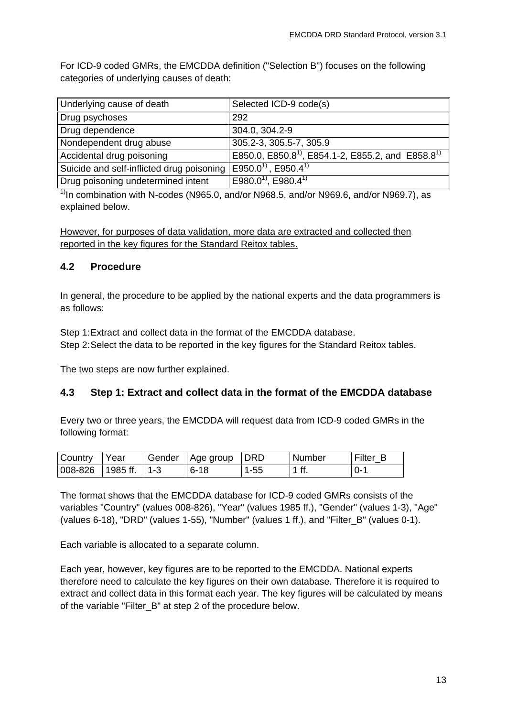<span id="page-12-0"></span>For ICD-9 coded GMRs, the EMCDDA definition ("Selection B") focuses on the following categories of underlying causes of death:

| <b>Underlying cause of death</b>          | Selected ICD-9 code(s)                                                   |
|-------------------------------------------|--------------------------------------------------------------------------|
| Drug psychoses                            | 292                                                                      |
| Drug dependence                           | 304.0, 304.2-9                                                           |
| Nondependent drug abuse                   | 305.2-3, 305.5-7, 305.9                                                  |
| Accidental drug poisoning                 | E850.0, E850.8 <sup>1</sup> , E854.1-2, E855.2, and E858.8 <sup>1)</sup> |
| Suicide and self-inflicted drug poisoning | $\overline{EB50.0^{17}}$ , E950.4 <sup>1)</sup>                          |
| Drug poisoning undetermined intent        | E980.0 <sup>1</sup> , E980.4 <sup>1)</sup>                               |

 $\frac{1}{10}$ In combination with N-codes (N965.0, and/or N968.5, and/or N969.6, and/or N969.7), as explained below.

However, for purposes of data validation, more data are extracted and collected then reported in the key figures for the Standard Reitox tables.

#### **4.2 Procedure**

In general, the procedure to be applied by the national experts and the data programmers is as follows:

Step 1: Extract and collect data in the format of the EMCDDA database. Step 2: Select the data to be reported in the key figures for the Standard Reitox tables.

The two steps are now further explained.

#### **4.3 Step 1: Extract and collect data in the format of the EMCDDA database**

Every two or three years, the EMCDDA will request data from ICD-9 coded GMRs in the following format:

| Country          | ∣Year |        | Gender   Age group   DRD |        | Number | <b>Filter B</b> |
|------------------|-------|--------|--------------------------|--------|--------|-----------------|
| 008-826 1985 ff. |       | $11-3$ | $6 - 18$                 | $1-55$ | ff.    | $10-1$          |

The format shows that the EMCDDA database for ICD-9 coded GMRs consists of the variables "Country" (values 008-826), "Year" (values 1985 ff.), "Gender" (values 1-3), "Age" (values 6-18), "DRD" (values 1-55), "Number" (values 1 ff.), and "Filter\_B" (values 0-1).

Each variable is allocated to a separate column.

Each year, however, key figures are to be reported to the EMCDDA. National experts therefore need to calculate the key figures on their own database. Therefore it is required to extract and collect data in this format each year. The key figures will be calculated by means of the variable "Filter\_B" at step 2 of the procedure below.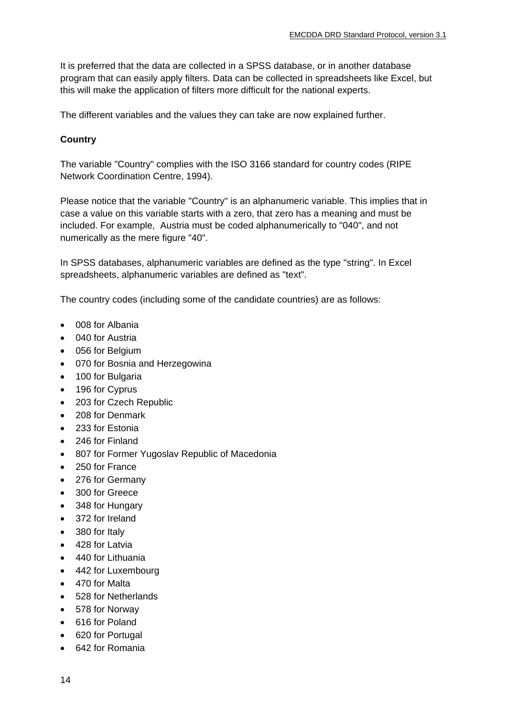It is preferred that the data are collected in a SPSS database, or in another database program that can easily apply filters. Data can be collected in spreadsheets like Excel, but this will make the application of filters more difficult for the national experts.

The different variables and the values they can take are now explained further.

#### **Country**

The variable "Country" complies with the ISO 3166 standard for country codes (RIPE Network Coordination Centre, 1994).

Please notice that the variable "Country" is an alphanumeric variable. This implies that in case a value on this variable starts with a zero, that zero has a meaning and must be included. For example, Austria must be coded alphanumerically to "040", and not numerically as the mere figure "40".

In SPSS databases, alphanumeric variables are defined as the type "string". In Excel spreadsheets, alphanumeric variables are defined as "text".

The country codes (including some of the candidate countries) are as follows:

- 008 for Albania
- 040 for Austria
- 056 for Belgium
- 070 for Bosnia and Herzegowina
- 100 for Bulgaria
- 196 for Cyprus
- 203 for Czech Republic
- 208 for Denmark
- 233 for Estonia
- 246 for Finland
- 807 for Former Yugoslav Republic of Macedonia
- 250 for France
- 276 for Germany
- 300 for Greece
- 348 for Hungary
- 372 for Ireland
- 380 for Italy
- 428 for Latvia
- 440 for Lithuania
- 442 for Luxembourg
- 470 for Malta
- 528 for Netherlands
- 578 for Norway
- 616 for Poland
- 620 for Portugal
- 642 for Romania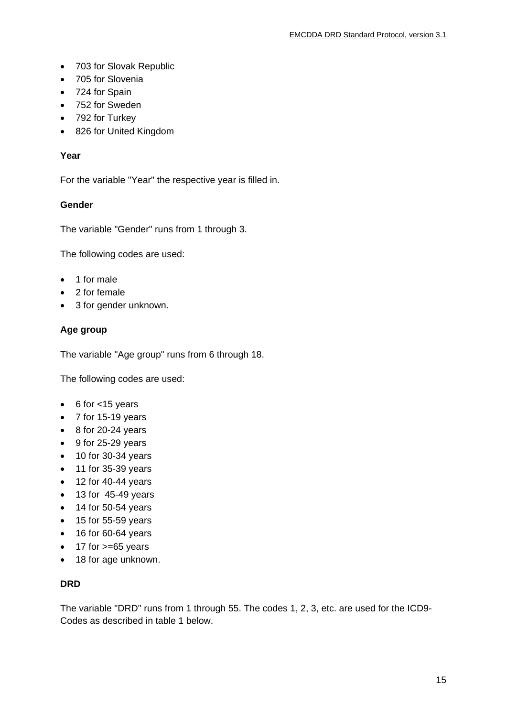- 703 for Slovak Republic
- 705 for Slovenia
- 724 for Spain
- 752 for Sweden
- 792 for Turkey
- 826 for United Kingdom

#### **Year**

For the variable "Year" the respective year is filled in.

#### **Gender**

The variable "Gender" runs from 1 through 3.

The following codes are used:

- 1 for male
- 2 for female
- 3 for gender unknown.

#### **Age group**

The variable "Age group" runs from 6 through 18.

The following codes are used:

- 6 for <15 years
- 7 for 15-19 years
- 8 for 20-24 years
- 9 for 25-29 years
- 10 for 30-34 years
- 11 for 35-39 years
- 12 for 40-44 years
- 13 for 45-49 years
- 14 for 50-54 years
- 15 for 55-59 years
- 16 for 60-64 years
- $\bullet$  17 for  $\geq$ =65 years
- 18 for age unknown.

#### **DRD**

The variable "DRD" runs from 1 through 55. The codes 1, 2, 3, etc. are used for the ICD9- Codes as described in table 1 below.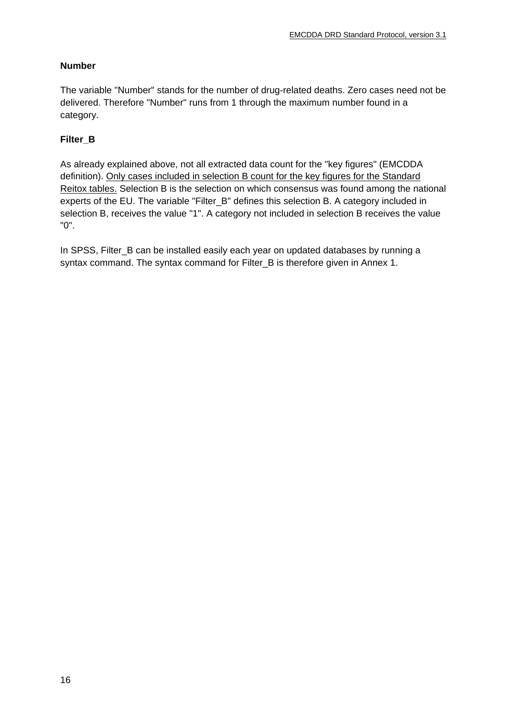#### **Number**

The variable "Number" stands for the number of drug-related deaths. Zero cases need not be delivered. Therefore "Number" runs from 1 through the maximum number found in a category.

#### **Filter\_B**

As already explained above, not all extracted data count for the "key figures" (EMCDDA definition). Only cases included in selection B count for the key figures for the Standard Reitox tables. Selection B is the selection on which consensus was found among the national experts of the EU. The variable "Filter\_B" defines this selection B. A category included in selection B, receives the value "1". A category not included in selection B receives the value "0".

In SPSS, Filter B can be installed easily each year on updated databases by running a syntax command. The syntax command for Filter B is therefore given in Annex 1.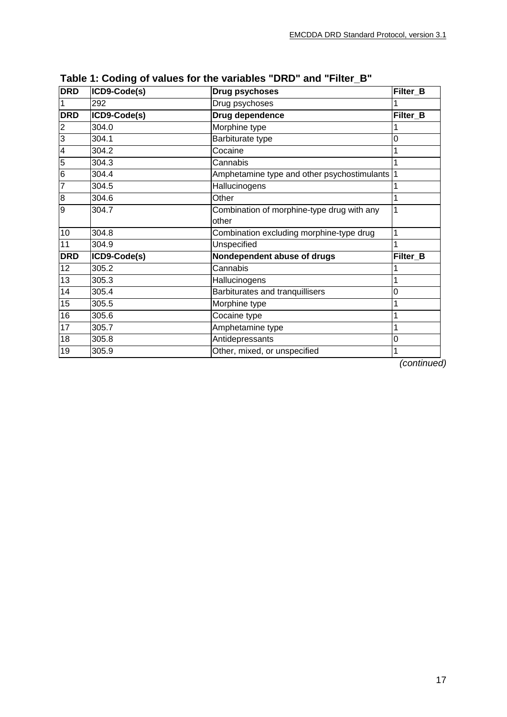| <b>DRD</b>      | ICD9-Code(s)<br>Drug psychoses           |                                             | <b>Filter B</b> |
|-----------------|------------------------------------------|---------------------------------------------|-----------------|
| 1               | 292                                      | Drug psychoses                              |                 |
| <b>DRD</b>      | ICD9-Code(s)                             | Drug dependence                             | Filter_B        |
| $\overline{2}$  | 304.0                                    | Morphine type                               |                 |
| $\overline{3}$  | 304.1                                    | Barbiturate type                            | 0               |
| $\overline{4}$  | 304.2                                    | Cocaine                                     | 1               |
| $\overline{5}$  | 304.3                                    | Cannabis                                    | 1               |
| $\overline{6}$  | 304.4                                    | Amphetamine type and other psychostimulants | 1               |
| $\overline{7}$  | 304.5                                    | Hallucinogens                               |                 |
| $\overline{8}$  | 304.6                                    | Other                                       | 1               |
| 9               | 304.7                                    | Combination of morphine-type drug with any  | 1               |
|                 |                                          | other                                       |                 |
| $\overline{10}$ | 304.8                                    | Combination excluding morphine-type drug    | 1               |
| 11              | 304.9                                    | Unspecified                                 |                 |
| <b>DRD</b>      | ICD9-Code(s)                             | Nondependent abuse of drugs                 | Filter_B        |
| 12              | 305.2                                    | Cannabis                                    |                 |
| 13              | 305.3                                    | Hallucinogens                               | 1               |
| 14              | Barbiturates and tranquillisers<br>305.4 |                                             | 0               |
| 15              | 305.5                                    | Morphine type                               | 1               |
| 16              | 305.6                                    | Cocaine type                                |                 |
| 17              | 305.7                                    | Amphetamine type                            | 1               |
| 18              | 305.8                                    | Antidepressants                             | 0               |
| 19              | 305.9                                    | Other, mixed, or unspecified                | 1<br>$\prime -$ |

**Table 1: Coding of values for the variables "DRD" and "Filter\_B"** 

*(continued)*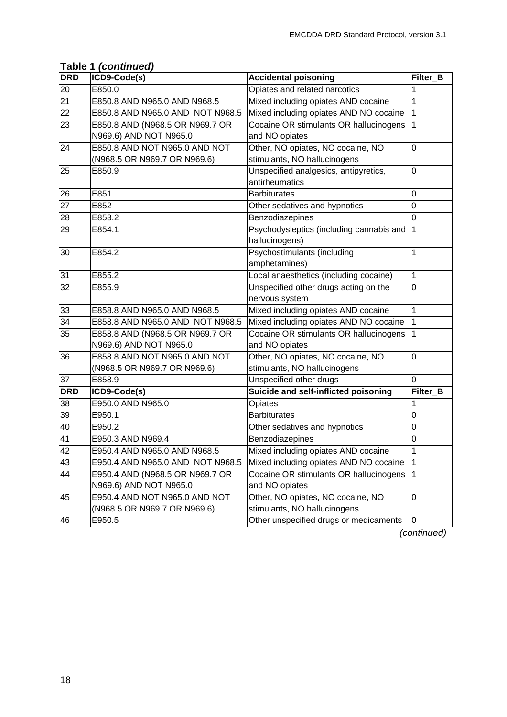|                 | 10010110011111000                |                                          |                |
|-----------------|----------------------------------|------------------------------------------|----------------|
| <b>DRD</b>      | ICD9-Code(s)                     | <b>Accidental poisoning</b>              | Filter_B       |
| 20              | E850.0                           | Opiates and related narcotics            | 1              |
| 21              | E850.8 AND N965.0 AND N968.5     | Mixed including opiates AND cocaine      | 1              |
| 22              | E850.8 AND N965.0 AND NOT N968.5 | Mixed including opiates AND NO cocaine   | 1              |
| 23              | E850.8 AND (N968.5 OR N969.7 OR  | Cocaine OR stimulants OR hallucinogens   | 1              |
|                 | N969.6) AND NOT N965.0           | and NO opiates                           |                |
| 24              | E850.8 AND NOT N965.0 AND NOT    | Other, NO opiates, NO cocaine, NO        | $\Omega$       |
|                 | (N968.5 OR N969.7 OR N969.6)     | stimulants, NO hallucinogens             |                |
| 25              | E850.9                           | Unspecified analgesics, antipyretics,    | 0              |
|                 |                                  | antirheumatics                           |                |
| 26              | E851                             | <b>Barbiturates</b>                      | 0              |
| $\overline{27}$ | E852                             | Other sedatives and hypnotics            | 0              |
| 28              | E853.2                           | Benzodiazepines                          | 0              |
| 29              | E854.1                           | Psychodysleptics (including cannabis and | 1              |
|                 |                                  | hallucinogens)                           |                |
| 30              | E854.2                           | Psychostimulants (including              | 1              |
|                 |                                  | amphetamines)                            |                |
| 31              | E855.2                           | Local anaesthetics (including cocaine)   | 1              |
| 32              | E855.9                           | Unspecified other drugs acting on the    | $\overline{0}$ |
|                 |                                  | nervous system                           |                |
| 33              | E858.8 AND N965.0 AND N968.5     | Mixed including opiates AND cocaine      | 1              |
| 34              | E858.8 AND N965.0 AND NOT N968.5 | Mixed including opiates AND NO cocaine   | 1              |
| 35              | E858.8 AND (N968.5 OR N969.7 OR  | Cocaine OR stimulants OR hallucinogens   | 1              |
|                 | N969.6) AND NOT N965.0           | and NO opiates                           |                |
| 36              | E858.8 AND NOT N965.0 AND NOT    | Other, NO opiates, NO cocaine, NO        | 0              |
|                 | (N968.5 OR N969.7 OR N969.6)     | stimulants, NO hallucinogens             |                |
| 37              | E858.9                           | Unspecified other drugs                  | $\overline{0}$ |
| <b>DRD</b>      | ICD9-Code(s)                     | Suicide and self-inflicted poisoning     | Filter_B       |
| 38              | E950.0 AND N965.0                | Opiates                                  | 1              |
| 39              | E950.1                           | <b>Barbiturates</b>                      | 0              |
| 40              | E950.2                           | Other sedatives and hypnotics            | 0              |
| 41              | E950.3 AND N969.4                | Benzodiazepines                          | 0              |
| 42              | E950.4 AND N965.0 AND N968.5     | Mixed including opiates AND cocaine      | $\overline{1}$ |
| 43              | E950.4 AND N965.0 AND NOT N968.5 | Mixed including opiates AND NO cocaine   | 1              |
| 44              | E950.4 AND (N968.5 OR N969.7 OR  | Cocaine OR stimulants OR hallucinogens   | 1              |
|                 | N969.6) AND NOT N965.0           | and NO opiates                           |                |
| 45              | E950.4 AND NOT N965.0 AND NOT    | Other, NO opiates, NO cocaine, NO        | $\overline{0}$ |
|                 | (N968.5 OR N969.7 OR N969.6)     | stimulants, NO hallucinogens             |                |
| 46              | E950.5                           | Other unspecified drugs or medicaments   | 0              |
|                 |                                  |                                          |                |

#### **Table 1** *(continued)*

*(continued)*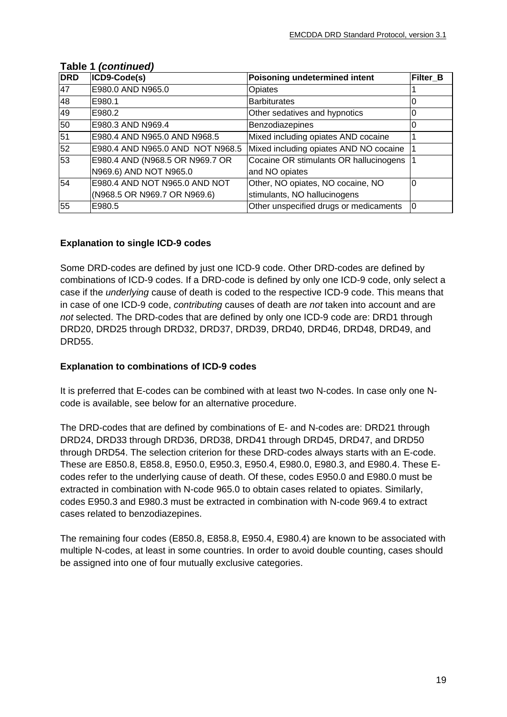| <b>DRD</b>      | ICD9-Code(s)                     | Poisoning undetermined intent          | Filter_B |
|-----------------|----------------------------------|----------------------------------------|----------|
| 47              | E980.0 AND N965.0                | Opiates                                |          |
| 48              | E980.1                           | <b>Barbiturates</b>                    |          |
| 49              | E980.2                           | Other sedatives and hypnotics          |          |
| 50              | E980.3 AND N969.4                | Benzodiazepines                        |          |
| $\overline{51}$ | E980.4 AND N965.0 AND N968.5     | Mixed including opiates AND cocaine    |          |
| $\overline{52}$ | E980.4 AND N965.0 AND NOT N968.5 | Mixed including opiates AND NO cocaine |          |
| 53              | E980.4 AND (N968.5 OR N969.7 OR  | Cocaine OR stimulants OR hallucinogens |          |
|                 | N969.6) AND NOT N965.0           | and NO opiates                         |          |
| 54              | E980.4 AND NOT N965.0 AND NOT    | Other, NO opiates, NO cocaine, NO      |          |
|                 | (N968.5 OR N969.7 OR N969.6)     | stimulants, NO hallucinogens           |          |
| 55              | E980.5                           | Other unspecified drugs or medicaments | 0        |

#### **Table 1** *(continued)*

#### **Explanation to single ICD-9 codes**

Some DRD-codes are defined by just one ICD-9 code. Other DRD-codes are defined by combinations of ICD-9 codes. If a DRD-code is defined by only one ICD-9 code, only select a case if the *underlying* cause of death is coded to the respective ICD-9 code. This means that in case of one ICD-9 code, *contributing* causes of death are *not* taken into account and are *not* selected. The DRD-codes that are defined by only one ICD-9 code are: DRD1 through DRD20, DRD25 through DRD32, DRD37, DRD39, DRD40, DRD46, DRD48, DRD49, and DRD55.

#### **Explanation to combinations of ICD-9 codes**

It is preferred that E-codes can be combined with at least two N-codes. In case only one Ncode is available, see below for an alternative procedure.

The DRD-codes that are defined by combinations of E- and N-codes are: DRD21 through DRD24, DRD33 through DRD36, DRD38, DRD41 through DRD45, DRD47, and DRD50 through DRD54. The selection criterion for these DRD-codes always starts with an E-code. These are E850.8, E858.8, E950.0, E950.3, E950.4, E980.0, E980.3, and E980.4. These Ecodes refer to the underlying cause of death. Of these, codes E950.0 and E980.0 must be extracted in combination with N-code 965.0 to obtain cases related to opiates. Similarly, codes E950.3 and E980.3 must be extracted in combination with N-code 969.4 to extract cases related to benzodiazepines.

The remaining four codes (E850.8, E858.8, E950.4, E980.4) are known to be associated with multiple N-codes, at least in some countries. In order to avoid double counting, cases should be assigned into one of four mutually exclusive categories.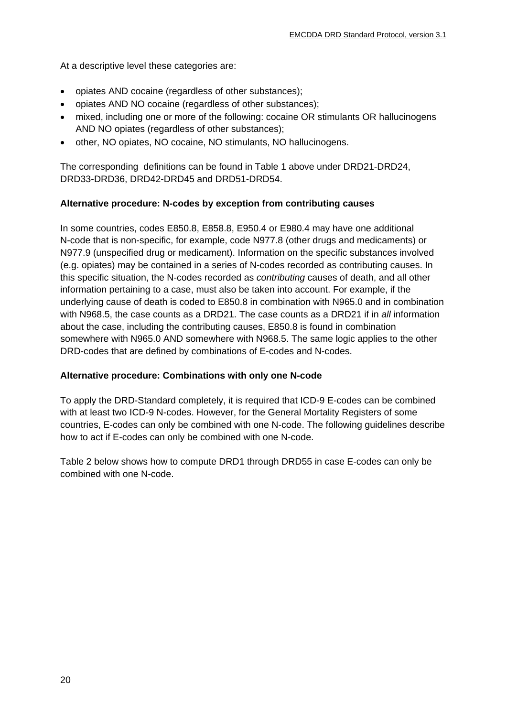At a descriptive level these categories are:

- opiates AND cocaine (regardless of other substances);
- opiates AND NO cocaine (regardless of other substances);
- mixed, including one or more of the following: cocaine OR stimulants OR hallucinogens AND NO opiates (regardless of other substances);
- other, NO opiates, NO cocaine, NO stimulants, NO hallucinogens.

The corresponding definitions can be found in Table 1 above under DRD21-DRD24, DRD33-DRD36, DRD42-DRD45 and DRD51-DRD54.

#### **Alternative procedure: N-codes by exception from contributing causes**

In some countries, codes E850.8, E858.8, E950.4 or E980.4 may have one additional N-code that is non-specific, for example, code N977.8 (other drugs and medicaments) or N977.9 (unspecified drug or medicament). Information on the specific substances involved (e.g. opiates) may be contained in a series of N-codes recorded as contributing causes. In this specific situation, the N-codes recorded as *contributing* causes of death, and all other information pertaining to a case, must also be taken into account. For example, if the underlying cause of death is coded to E850.8 in combination with N965.0 and in combination with N968.5, the case counts as a DRD21. The case counts as a DRD21 if in *all* information about the case, including the contributing causes, E850.8 is found in combination somewhere with N965.0 AND somewhere with N968.5. The same logic applies to the other DRD-codes that are defined by combinations of E-codes and N-codes.

#### **Alternative procedure: Combinations with only one N-code**

To apply the DRD-Standard completely, it is required that ICD-9 E-codes can be combined with at least two ICD-9 N-codes. However, for the General Mortality Registers of some countries, E-codes can only be combined with one N-code. The following guidelines describe how to act if E-codes can only be combined with one N-code.

Table 2 below shows how to compute DRD1 through DRD55 in case E-codes can only be combined with one N-code.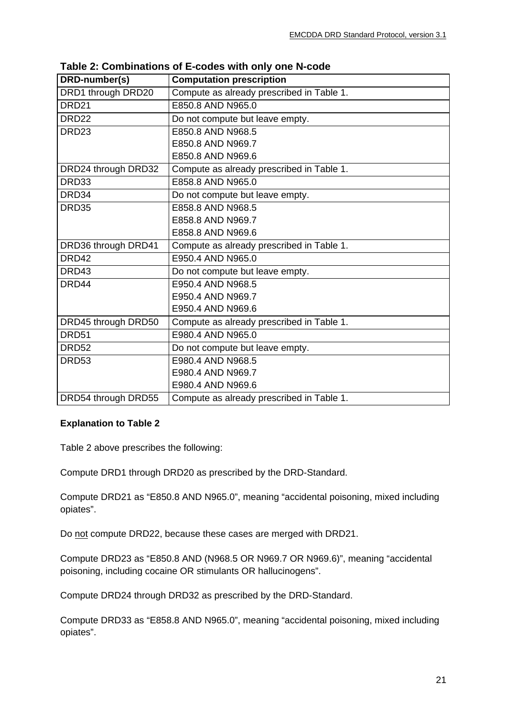| DRD-number(s)       | <b>Computation prescription</b>           |
|---------------------|-------------------------------------------|
| DRD1 through DRD20  | Compute as already prescribed in Table 1. |
| DRD <sub>21</sub>   | E850.8 AND N965.0                         |
| DRD <sub>22</sub>   | Do not compute but leave empty.           |
| DRD <sub>23</sub>   | E850.8 AND N968.5                         |
|                     | E850.8 AND N969.7                         |
|                     | E850.8 AND N969.6                         |
| DRD24 through DRD32 | Compute as already prescribed in Table 1. |
| DRD33               | E858.8 AND N965.0                         |
| DRD34               | Do not compute but leave empty.           |
| DRD35               | E858.8 AND N968.5                         |
|                     | E858.8 AND N969.7                         |
|                     | E858.8 AND N969.6                         |
| DRD36 through DRD41 | Compute as already prescribed in Table 1. |
| DRD42               | E950.4 AND N965.0                         |
| DRD43               | Do not compute but leave empty.           |
| DRD44               | E950.4 AND N968.5                         |
|                     | E950.4 AND N969.7                         |
|                     | E950.4 AND N969.6                         |
| DRD45 through DRD50 | Compute as already prescribed in Table 1. |
| DRD51               | E980.4 AND N965.0                         |
| <b>DRD52</b>        | Do not compute but leave empty.           |
| DRD53               | E980.4 AND N968.5                         |
|                     | E980.4 AND N969.7                         |
|                     | E980.4 AND N969.6                         |
| DRD54 through DRD55 | Compute as already prescribed in Table 1. |

**Table 2: Combinations of E-codes with only one N-code** 

#### **Explanation to Table 2**

Table 2 above prescribes the following:

Compute DRD1 through DRD20 as prescribed by the DRD-Standard.

Compute DRD21 as "E850.8 AND N965.0", meaning "accidental poisoning, mixed including opiates".

Do not compute DRD22, because these cases are merged with DRD21.

Compute DRD23 as "E850.8 AND (N968.5 OR N969.7 OR N969.6)", meaning "accidental poisoning, including cocaine OR stimulants OR hallucinogens".

Compute DRD24 through DRD32 as prescribed by the DRD-Standard.

Compute DRD33 as "E858.8 AND N965.0", meaning "accidental poisoning, mixed including opiates".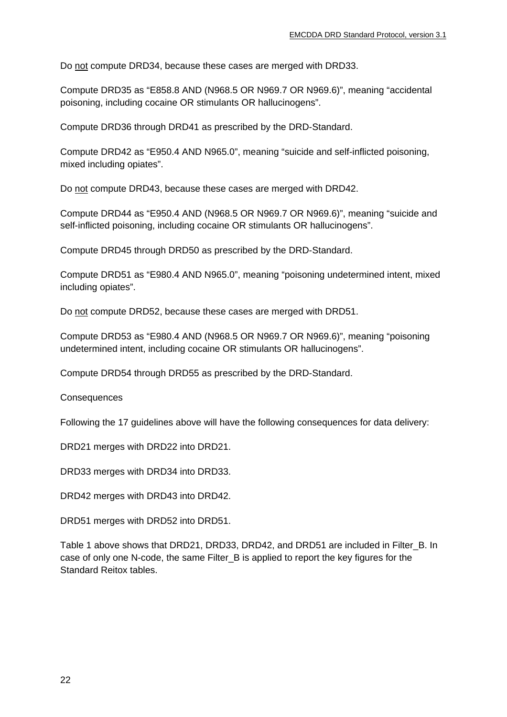Do not compute DRD34, because these cases are merged with DRD33.

Compute DRD35 as "E858.8 AND (N968.5 OR N969.7 OR N969.6)", meaning "accidental poisoning, including cocaine OR stimulants OR hallucinogens".

Compute DRD36 through DRD41 as prescribed by the DRD-Standard.

Compute DRD42 as "E950.4 AND N965.0", meaning "suicide and self-inflicted poisoning, mixed including opiates".

Do not compute DRD43, because these cases are merged with DRD42.

Compute DRD44 as "E950.4 AND (N968.5 OR N969.7 OR N969.6)", meaning "suicide and self-inflicted poisoning, including cocaine OR stimulants OR hallucinogens".

Compute DRD45 through DRD50 as prescribed by the DRD-Standard.

Compute DRD51 as "E980.4 AND N965.0", meaning "poisoning undetermined intent, mixed including opiates".

Do not compute DRD52, because these cases are merged with DRD51.

Compute DRD53 as "E980.4 AND (N968.5 OR N969.7 OR N969.6)", meaning "poisoning undetermined intent, including cocaine OR stimulants OR hallucinogens".

Compute DRD54 through DRD55 as prescribed by the DRD-Standard.

**Consequences** 

Following the 17 guidelines above will have the following consequences for data delivery:

DRD21 merges with DRD22 into DRD21.

DRD33 merges with DRD34 into DRD33.

DRD42 merges with DRD43 into DRD42.

DRD51 merges with DRD52 into DRD51.

Table 1 above shows that DRD21, DRD33, DRD42, and DRD51 are included in Filter\_B. In case of only one N-code, the same Filter\_B is applied to report the key figures for the Standard Reitox tables.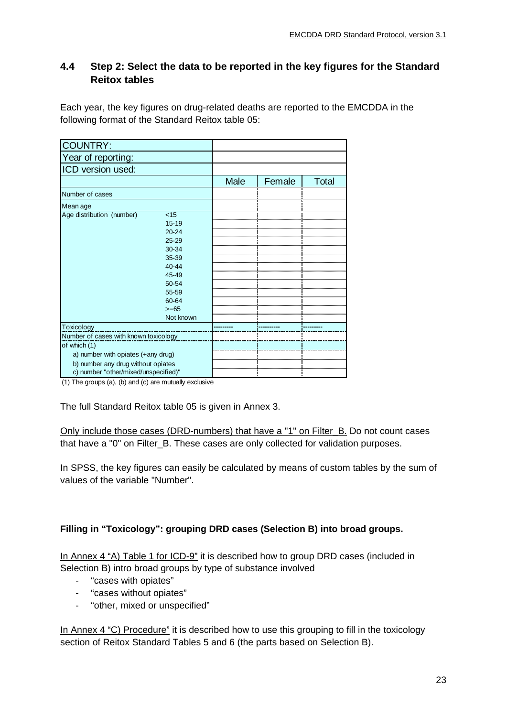#### <span id="page-22-0"></span>**4.4 Step 2: Select the data to be reported in the key figures for the Standard Reitox tables**

Each year, the key figures on drug-related deaths are reported to the EMCDDA in the following format of the Standard Reitox table 05:

| COUNTRY:                              |           |      |        |              |
|---------------------------------------|-----------|------|--------|--------------|
| Year of reporting:                    |           |      |        |              |
| ICD version used:                     |           |      |        |              |
|                                       |           | Male | Female | <b>Total</b> |
| Number of cases                       |           |      |        |              |
| Mean age                              |           |      |        |              |
| Age distribution (number)             | < 15      |      |        |              |
|                                       | $15 - 19$ |      |        |              |
|                                       | $20 - 24$ |      |        |              |
|                                       | 25-29     |      |        |              |
|                                       | 30-34     |      |        |              |
|                                       | 35-39     |      |        |              |
|                                       | $40 - 44$ |      |        |              |
|                                       | 45-49     |      |        |              |
|                                       | 50-54     |      |        |              |
|                                       | 55-59     |      |        |              |
|                                       | 60-64     |      |        |              |
|                                       | $>= 65$   |      |        |              |
|                                       | Not known |      |        |              |
| Toxicology                            |           |      |        |              |
| Number of cases with known toxicology |           |      |        |              |
| of which (1)                          |           |      |        |              |
| a) number with opiates (+any drug)    |           |      |        |              |
| b) number any drug without opiates    |           |      |        |              |
| c) number "other/mixed/unspecified)"  |           |      |        |              |
|                                       |           |      |        |              |

 $(1)$  The groups  $(a)$ ,  $(b)$  and  $(c)$  are mutually exclusive

The full Standard Reitox table 05 is given in Annex 3.

Only include those cases (DRD-numbers) that have a "1" on Filter\_B. Do not count cases that have a "0" on Filter B. These cases are only collected for validation purposes.

In SPSS, the key figures can easily be calculated by means of custom tables by the sum of values of the variable "Number".

#### **Filling in "Toxicology": grouping DRD cases (Selection B) into broad groups.**

In Annex 4 "A) Table 1 for ICD-9" it is described how to group DRD cases (included in Selection B) intro broad groups by type of substance involved

- "cases with opiates"
- "cases without opiates"
- "other, mixed or unspecified"

In Annex 4 "C) Procedure" it is described how to use this grouping to fill in the toxicology section of Reitox Standard Tables 5 and 6 (the parts based on Selection B).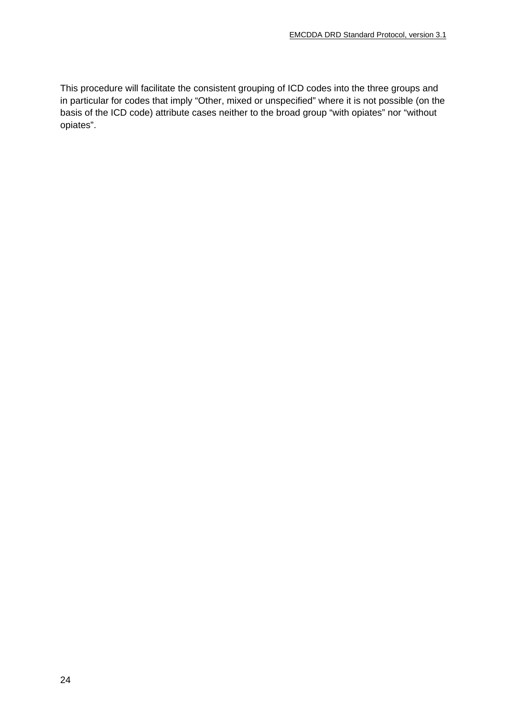This procedure will facilitate the consistent grouping of ICD codes into the three groups and in particular for codes that imply "Other, mixed or unspecified" where it is not possible (on the basis of the ICD code) attribute cases neither to the broad group "with opiates" nor "without opiates".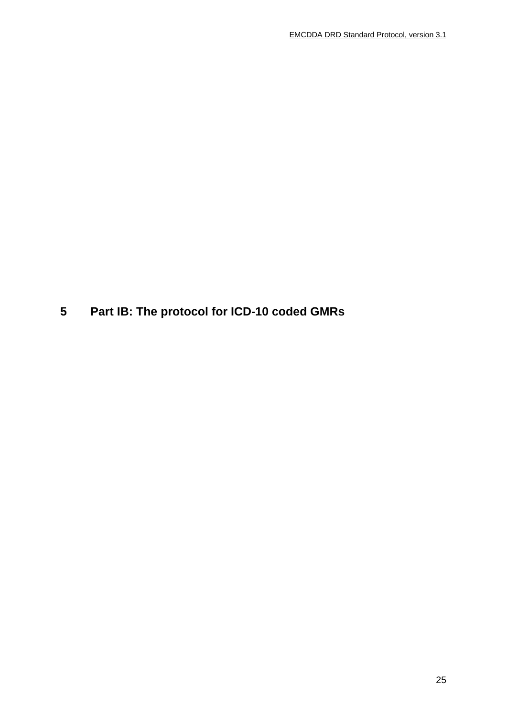# <span id="page-24-0"></span>**5 Part IB: The protocol for ICD-10 coded GMRs**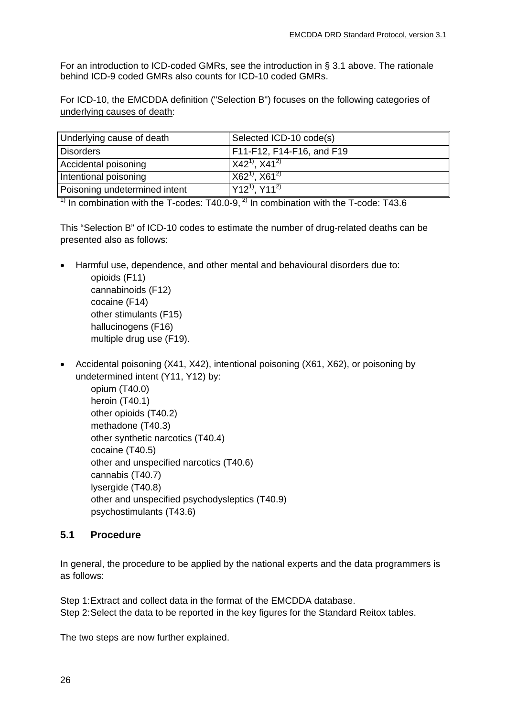<span id="page-25-0"></span>For an introduction to ICD-coded GMRs, see the introduction in § 3.1 above. The rationale behind ICD-9 coded GMRs also counts for ICD-10 coded GMRs.

For ICD-10, the EMCDDA definition ("Selection B") focuses on the following categories of underlying causes of death:

| Underlying cause of death     | Selected ICD-10 code(s)   |
|-------------------------------|---------------------------|
| Disorders                     | F11-F12, F14-F16, and F19 |
| Accidental poisoning          | $X42^{1}$ , $X41^{2}$     |
| Intentional poisoning         | $X62^{1}$ , $X61^{2}$     |
| Poisoning undetermined intent | $Y12^{1}$ , $Y11^{2}$     |

 $1)$  In combination with the T-codes: T40.0-9.<sup>2)</sup> In combination with the T-code: T43.6

This "Selection B" of ICD-10 codes to estimate the number of drug-related deaths can be presented also as follows:

- Harmful use, dependence, and other mental and behavioural disorders due to: opioids (F11) cannabinoids (F12) cocaine (F14) other stimulants (F15) hallucinogens (F16) multiple drug use (F19).
- Accidental poisoning (X41, X42), intentional poisoning (X61, X62), or poisoning by undetermined intent (Y11, Y12) by:

opium (T40.0) heroin (T40.1) other opioids (T40.2) methadone (T40.3) other synthetic narcotics (T40.4) cocaine (T40.5) other and unspecified narcotics (T40.6) cannabis (T40.7) lysergide (T40.8) other and unspecified psychodysleptics (T40.9) psychostimulants (T43.6)

#### **5.1 Procedure**

In general, the procedure to be applied by the national experts and the data programmers is as follows:

Step 1: Extract and collect data in the format of the EMCDDA database. Step 2: Select the data to be reported in the key figures for the Standard Reitox tables.

The two steps are now further explained.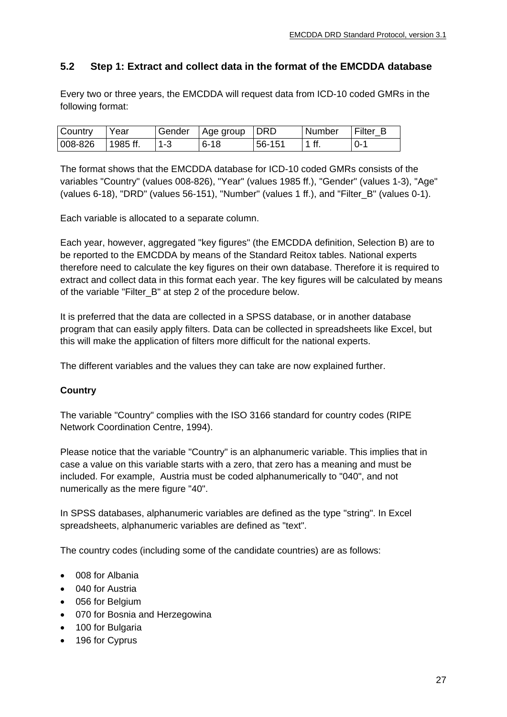#### <span id="page-26-0"></span>**5.2 Step 1: Extract and collect data in the format of the EMCDDA database**

Every two or three years, the EMCDDA will request data from ICD-10 coded GMRs in the following format:

| <b>Country</b> | ∣Year            |         | Gender   Age group   DRD |             | <b>Number</b> | <b>Filter B</b> |
|----------------|------------------|---------|--------------------------|-------------|---------------|-----------------|
| $ 008 - 826 $  | $\vert$ 1985 ff. | $1 - 3$ | $6 - 18$                 | $156 - 151$ |               | $0 - 7$         |

The format shows that the EMCDDA database for ICD-10 coded GMRs consists of the variables "Country" (values 008-826), "Year" (values 1985 ff.), "Gender" (values 1-3), "Age" (values 6-18), "DRD" (values 56-151), "Number" (values 1 ff.), and "Filter\_B" (values 0-1).

Each variable is allocated to a separate column.

Each year, however, aggregated "key figures" (the EMCDDA definition, Selection B) are to be reported to the EMCDDA by means of the Standard Reitox tables. National experts therefore need to calculate the key figures on their own database. Therefore it is required to extract and collect data in this format each year. The key figures will be calculated by means of the variable "Filter\_B" at step 2 of the procedure below.

It is preferred that the data are collected in a SPSS database, or in another database program that can easily apply filters. Data can be collected in spreadsheets like Excel, but this will make the application of filters more difficult for the national experts.

The different variables and the values they can take are now explained further.

#### **Country**

The variable "Country" complies with the ISO 3166 standard for country codes (RIPE Network Coordination Centre, 1994).

Please notice that the variable "Country" is an alphanumeric variable. This implies that in case a value on this variable starts with a zero, that zero has a meaning and must be included. For example, Austria must be coded alphanumerically to "040", and not numerically as the mere figure "40".

In SPSS databases, alphanumeric variables are defined as the type "string". In Excel spreadsheets, alphanumeric variables are defined as "text".

The country codes (including some of the candidate countries) are as follows:

- 008 for Albania
- 040 for Austria
- 056 for Belgium
- 070 for Bosnia and Herzegowina
- 100 for Bulgaria
- 196 for Cyprus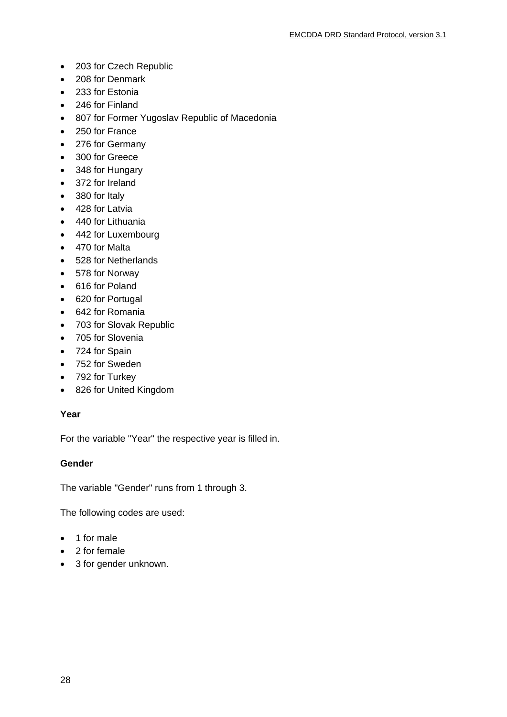- 203 for Czech Republic
- 208 for Denmark
- 233 for Estonia
- 246 for Finland
- 807 for Former Yugoslav Republic of Macedonia
- 250 for France
- 276 for Germany
- 300 for Greece
- 348 for Hungary
- 372 for Ireland
- 380 for Italy
- 428 for Latvia
- 440 for Lithuania
- 442 for Luxembourg
- 470 for Malta
- 528 for Netherlands
- 578 for Norway
- 616 for Poland
- 620 for Portugal
- 642 for Romania
- 703 for Slovak Republic
- 705 for Slovenia
- 724 for Spain
- 752 for Sweden
- 792 for Turkey
- 826 for United Kingdom

#### **Year**

For the variable "Year" the respective year is filled in.

#### **Gender**

The variable "Gender" runs from 1 through 3.

The following codes are used:

- 1 for male
- 2 for female
- 3 for gender unknown.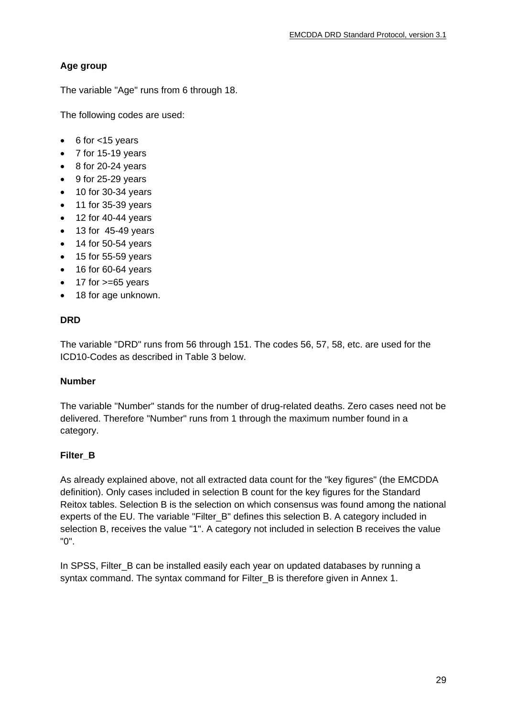#### **Age group**

The variable "Age" runs from 6 through 18.

The following codes are used:

- 6 for <15 years
- 7 for 15-19 years
- 8 for 20-24 years
- 9 for 25-29 years
- 10 for 30-34 years
- 11 for 35-39 years
- 12 for 40-44 years
- 13 for 45-49 years
- 14 for 50-54 years
- 15 for 55-59 years
- 16 for 60-64 years
- $\bullet$  17 for  $\geq$ =65 years
- 18 for age unknown.

#### **DRD**

The variable "DRD" runs from 56 through 151. The codes 56, 57, 58, etc. are used for the ICD10-Codes as described in Table 3 below.

#### **Number**

The variable "Number" stands for the number of drug-related deaths. Zero cases need not be delivered. Therefore "Number" runs from 1 through the maximum number found in a category.

#### **Filter\_B**

As already explained above, not all extracted data count for the "key figures" (the EMCDDA definition). Only cases included in selection B count for the key figures for the Standard Reitox tables. Selection B is the selection on which consensus was found among the national experts of the EU. The variable "Filter B" defines this selection B. A category included in selection B, receives the value "1". A category not included in selection B receives the value "0".

In SPSS, Filter B can be installed easily each year on updated databases by running a syntax command. The syntax command for Filter B is therefore given in Annex 1.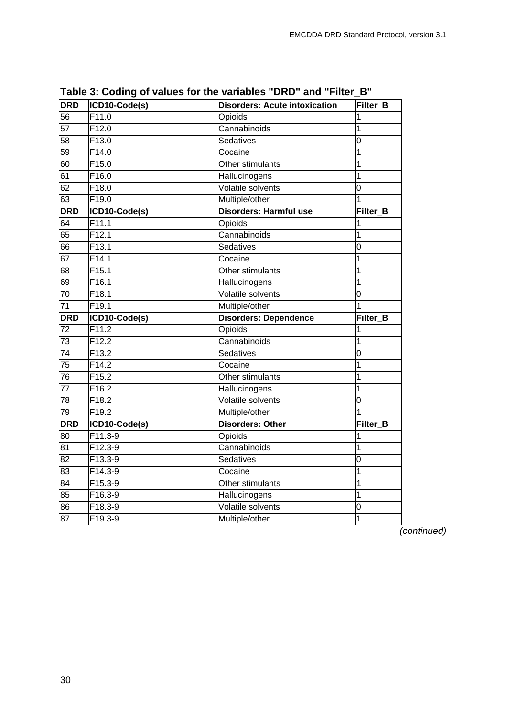| <b>DRD</b>      | ICD10-Code(s)      | <b>Disorders: Acute intoxication</b> | Filter B       |
|-----------------|--------------------|--------------------------------------|----------------|
| 56              | F11.0              | Opioids                              | 1              |
| 57              | $\overline{F12.0}$ | Cannabinoids                         | 1              |
| $\overline{58}$ | F13.0              | Sedatives                            | 0              |
| 59              | $\overline{F14.0}$ | Cocaine                              | 1              |
| 60              | F15.0              | Other stimulants                     | 1              |
| 61              | $\overline{F16.0}$ | Hallucinogens                        | 1              |
| 62              | F18.0              | <b>Volatile solvents</b>             | 0              |
| 63              | F19.0              | Multiple/other                       | 1              |
| <b>DRD</b>      | ICD10-Code(s)      | <b>Disorders: Harmful use</b>        | Filter B       |
| 64              | F11.1              | Opioids                              | 1              |
| 65              | $\overline{F12.1}$ | Cannabinoids                         | 1              |
| 66              | F13.1              | Sedatives                            | $\overline{0}$ |
| 67              | F14.1              | Cocaine                              | 1              |
| 68              | F15.1              | Other stimulants                     | 1              |
| 69              | F16.1              | Hallucinogens                        | 1              |
| 70              | F18.1              | Volatile solvents                    | 0              |
| $\overline{71}$ | F19.1              | Multiple/other                       | 1              |
| <b>DRD</b>      | ICD10-Code(s)      | Disorders: Dependence                | Filter_B       |
| $\overline{72}$ | F11.2              | Opioids                              | 1              |
| 73              | F <sub>12.2</sub>  | Cannabinoids                         | 1              |
| $\overline{74}$ | F13.2              | Sedatives                            | 0              |
| 75              | F14.2              | Cocaine                              | 1              |
| 76              | $\overline{F15.2}$ | Other stimulants                     | 1              |
| 77              | F16.2              | Hallucinogens                        | 1              |
| 78              | F18.2              | Volatile solvents                    | $\overline{0}$ |
| 79              | F19.2              | Multiple/other                       | 1              |
| <b>DRD</b>      | ICD10-Code(s)      | <b>Disorders: Other</b>              | Filter B       |
| 80              | F11.3-9            | Opioids                              | 1              |
| 81              | F12.3-9            | Cannabinoids                         | 1              |
| 82              | F13.3-9            | <b>Sedatives</b>                     | 0              |
| 83              | F14.3-9            | Cocaine                              | 1              |
| 84              | F15.3-9            | Other stimulants                     | 1              |
| 85              | F16.3-9            | Hallucinogens                        | 1              |
| 86              | F18.3-9            | Volatile solvents                    | 0              |
| 87              | F19.3-9            | Multiple/other                       | 1              |

**Table 3: Coding of values for the variables "DRD" and "Filter\_B"** 

*(continued)*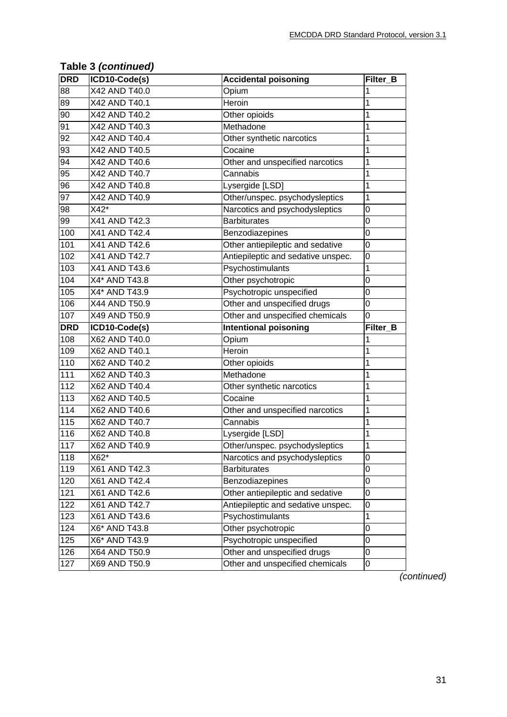| <b>DRD</b> | ICD10-Code(s)        | <b>Accidental poisoning</b>                                    | <b>Filter B</b> |
|------------|----------------------|----------------------------------------------------------------|-----------------|
| 88         | X42 AND T40.0        | Opium                                                          | 1               |
| 89         | X42 AND T40.1        | Heroin                                                         | 1               |
| 90         | X42 AND T40.2        | Other opioids                                                  | 1               |
| 91         | X42 AND T40.3        | Methadone                                                      | 1               |
| 92         | X42 AND T40.4        | Other synthetic narcotics                                      | 1               |
| 93         | X42 AND T40.5        | Cocaine                                                        | 1               |
| 94         | X42 AND T40.6        | Other and unspecified narcotics                                | 1               |
| 95         | X42 AND T40.7        | Cannabis                                                       | 1               |
| 96         | X42 AND T40.8        | Lysergide [LSD]                                                | 1               |
| 97         | X42 AND T40.9        | Other/unspec. psychodysleptics                                 | 1               |
| 98         | $X42*$               | Narcotics and psychodysleptics                                 | 0               |
| 99         | X41 AND T42.3        | <b>Barbiturates</b>                                            | $\overline{0}$  |
| 100        | X41 AND T42.4        | Benzodiazepines                                                | 0               |
| 101        | X41 AND T42.6        | Other antiepileptic and sedative                               | $\mathbf 0$     |
| 102        | X41 AND T42.7        | Antiepileptic and sedative unspec.                             | 0               |
| 103        | X41 AND T43.6        | Psychostimulants                                               | 1               |
| 104        | X4* AND T43.8        | Other psychotropic                                             | 0               |
| 105        | X4* AND T43.9        | Psychotropic unspecified                                       | $\mathbf 0$     |
| 106        | X44 AND T50.9        | Other and unspecified drugs                                    | $\overline{0}$  |
| 107        | X49 AND T50.9        | Other and unspecified chemicals                                | 0               |
|            |                      |                                                                |                 |
| <b>DRD</b> | ICD10-Code(s)        | <b>Intentional poisoning</b>                                   | Filter_B        |
| 108        | X62 AND T40.0        | Opium                                                          | 1               |
| 109        | X62 AND T40.1        | Heroin                                                         | 1               |
| 110        | X62 AND T40.2        | Other opioids                                                  | 1               |
| 111        | X62 AND T40.3        | Methadone                                                      | 1               |
| 112        | X62 AND T40.4        | Other synthetic narcotics                                      | 1               |
| 113        | X62 AND T40.5        | Cocaine                                                        | 1               |
| 114        | <b>X62 AND T40.6</b> | Other and unspecified narcotics                                | 1               |
| 115        | X62 AND T40.7        | Cannabis                                                       | 1               |
| 116        | X62 AND T40.8        | Lysergide [LSD]                                                | 1               |
| 117        | <b>X62 AND T40.9</b> | Other/unspec. psychodysleptics                                 | 1               |
| 118        | X62*                 | Narcotics and psychodysleptics                                 | 0               |
| 119        | X61 AND T42.3        | <b>Barbiturates</b>                                            | 0               |
| 120        | X61 AND T42.4        | Benzodiazepines                                                | $\mathbf 0$     |
| 121        | <b>X61 AND T42.6</b> | Other antiepileptic and sedative                               | $\mathbf 0$     |
| 122        | X61 AND T42.7        | Antiepileptic and sedative unspec.                             | 0               |
| 123        | X61 AND T43.6        | Psychostimulants                                               | 1               |
| 124        | <b>X6* AND T43.8</b> | Other psychotropic                                             | 0               |
| 125        | X6* AND T43.9        | Psychotropic unspecified                                       | 0               |
| 126<br>127 | X64 AND T50.9        | Other and unspecified drugs<br>Other and unspecified chemicals | 0               |

#### **Table 3** *(continued)*

*(continued)*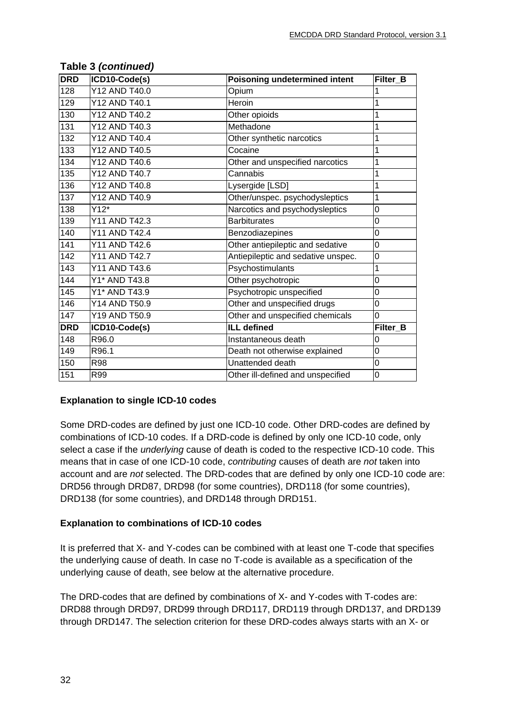| <b>DRD</b> | ICD10-Code(s) | Poisoning undetermined intent      | <b>Filter B</b> |
|------------|---------------|------------------------------------|-----------------|
| 128        | Y12 AND T40.0 | Opium                              | 1               |
| 129        | Y12 AND T40.1 | Heroin                             | 1               |
| 130        | Y12 AND T40.2 | Other opioids                      | 1               |
| 131        | Y12 AND T40.3 | Methadone                          | 1               |
| 132        | Y12 AND T40.4 | Other synthetic narcotics          | 1               |
| 133        | Y12 AND T40.5 | Cocaine                            | 1               |
| 134        | Y12 AND T40.6 | Other and unspecified narcotics    | 1               |
| 135        | Y12 AND T40.7 | Cannabis                           | 1               |
| 136        | Y12 AND T40.8 | Lysergide [LSD]                    | 1               |
| 137        | Y12 AND T40.9 | Other/unspec. psychodysleptics     | 1               |
| 138        | $Y12*$        | Narcotics and psychodysleptics     | 0               |
| 139        | Y11 AND T42.3 | <b>Barbiturates</b>                | $\mathbf 0$     |
| 140        | Y11 AND T42.4 | Benzodiazepines                    | $\overline{0}$  |
| 141        | Y11 AND T42.6 | Other antiepileptic and sedative   | $\mathbf 0$     |
| 142        | Y11 AND T42.7 | Antiepileptic and sedative unspec. | 0               |
| 143        | Y11 AND T43.6 | Psychostimulants                   | 1               |
| 144        | Y1* AND T43.8 | Other psychotropic                 | 0               |
| 145        | Y1* AND T43.9 | Psychotropic unspecified           | $\overline{0}$  |
| 146        | Y14 AND T50.9 | Other and unspecified drugs        | $\overline{0}$  |
| 147        | Y19 AND T50.9 | Other and unspecified chemicals    | $\overline{0}$  |
| <b>DRD</b> | ICD10-Code(s) | <b>ILL defined</b>                 | Filter B        |
| 148        | R96.0         | Instantaneous death                | 0               |
| 149        | R96.1         | Death not otherwise explained      | 0               |
| 150        | <b>R98</b>    | Unattended death                   | 0               |
| 151        | R99           | Other ill-defined and unspecified  | $\overline{0}$  |

#### **Table 3** *(continued)*

#### **Explanation to single ICD-10 codes**

Some DRD-codes are defined by just one ICD-10 code. Other DRD-codes are defined by combinations of ICD-10 codes. If a DRD-code is defined by only one ICD-10 code, only select a case if the *underlying* cause of death is coded to the respective ICD-10 code. This means that in case of one ICD-10 code, *contributing* causes of death are *not* taken into account and are *not* selected. The DRD-codes that are defined by only one ICD-10 code are: DRD56 through DRD87, DRD98 (for some countries), DRD118 (for some countries), DRD138 (for some countries), and DRD148 through DRD151.

#### **Explanation to combinations of ICD-10 codes**

It is preferred that X- and Y-codes can be combined with at least one T-code that specifies the underlying cause of death. In case no T-code is available as a specification of the underlying cause of death, see below at the alternative procedure.

The DRD-codes that are defined by combinations of X- and Y-codes with T-codes are: DRD88 through DRD97, DRD99 through DRD117, DRD119 through DRD137, and DRD139 through DRD147. The selection criterion for these DRD-codes always starts with an X- or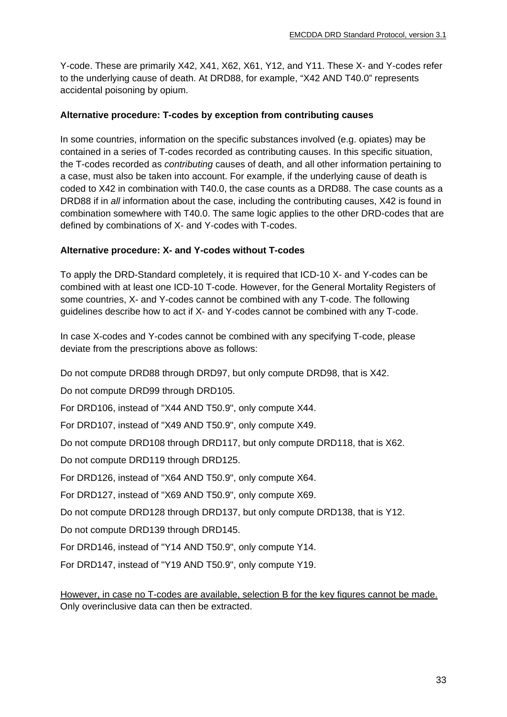Y-code. These are primarily X42, X41, X62, X61, Y12, and Y11. These X- and Y-codes refer to the underlying cause of death. At DRD88, for example, "X42 AND T40.0" represents accidental poisoning by opium.

#### **Alternative procedure: T-codes by exception from contributing causes**

In some countries, information on the specific substances involved (e.g. opiates) may be contained in a series of T-codes recorded as contributing causes. In this specific situation, the T-codes recorded as *contributing* causes of death, and all other information pertaining to a case, must also be taken into account. For example, if the underlying cause of death is coded to X42 in combination with T40.0, the case counts as a DRD88. The case counts as a DRD88 if in *all* information about the case, including the contributing causes, X42 is found in combination somewhere with T40.0. The same logic applies to the other DRD-codes that are defined by combinations of X- and Y-codes with T-codes.

#### **Alternative procedure: X- and Y-codes without T-codes**

To apply the DRD-Standard completely, it is required that ICD-10 X- and Y-codes can be combined with at least one ICD-10 T-code. However, for the General Mortality Registers of some countries, X- and Y-codes cannot be combined with any T-code. The following guidelines describe how to act if X- and Y-codes cannot be combined with any T-code.

In case X-codes and Y-codes cannot be combined with any specifying T-code, please deviate from the prescriptions above as follows:

Do not compute DRD88 through DRD97, but only compute DRD98, that is X42.

Do not compute DRD99 through DRD105.

For DRD106, instead of "X44 AND T50.9", only compute X44.

For DRD107, instead of "X49 AND T50.9", only compute X49.

Do not compute DRD108 through DRD117, but only compute DRD118, that is X62.

Do not compute DRD119 through DRD125.

For DRD126, instead of "X64 AND T50.9", only compute X64.

For DRD127, instead of "X69 AND T50.9", only compute X69.

Do not compute DRD128 through DRD137, but only compute DRD138, that is Y12.

Do not compute DRD139 through DRD145.

For DRD146, instead of "Y14 AND T50.9", only compute Y14.

For DRD147, instead of "Y19 AND T50.9", only compute Y19.

However, in case no T-codes are available, selection B for the key figures cannot be made. Only overinclusive data can then be extracted.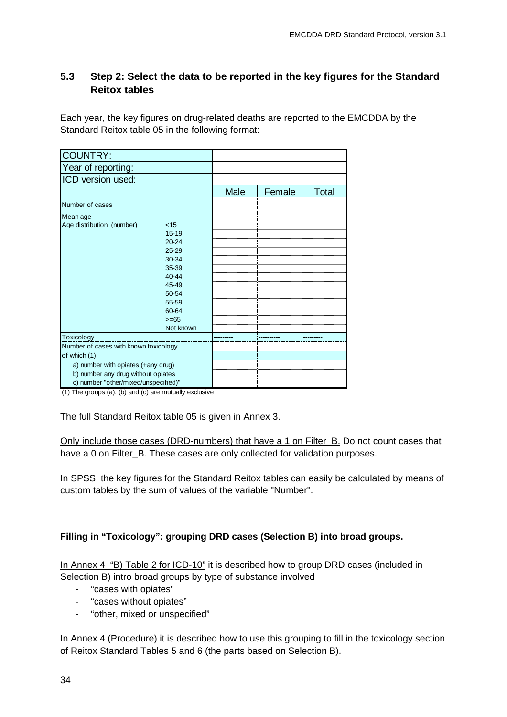#### <span id="page-33-0"></span>**5.3 Step 2: Select the data to be reported in the key figures for the Standard Reitox tables**

Each year, the key figures on drug-related deaths are reported to the EMCDDA by the Standard Reitox table 05 in the following format:

| <b>COUNTRY:</b>                       |           |      |        |              |
|---------------------------------------|-----------|------|--------|--------------|
| Year of reporting:                    |           |      |        |              |
| ICD version used:                     |           |      |        |              |
|                                       |           | Male | Female | <b>Total</b> |
| Number of cases                       |           |      |        |              |
| Mean age                              |           |      |        |              |
| Age distribution (number)             | < 15      |      |        |              |
|                                       | $15 - 19$ |      |        |              |
|                                       | $20 - 24$ |      |        |              |
|                                       | $25 - 29$ |      |        |              |
|                                       | 30-34     |      |        |              |
|                                       | 35-39     |      |        |              |
|                                       | $40 - 44$ |      |        |              |
|                                       | 45-49     |      |        |              |
|                                       | 50-54     |      |        |              |
|                                       | 55-59     |      |        |              |
|                                       | 60-64     |      |        |              |
|                                       | $>= 65$   |      |        |              |
|                                       | Not known |      |        |              |
| Toxicology                            |           |      |        |              |
| Number of cases with known toxicology |           |      |        |              |
| of which (1)                          |           |      |        |              |
| a) number with opiates (+any drug)    |           |      |        |              |
| b) number any drug without opiates    |           |      |        |              |
| c) number "other/mixed/unspecified)"  |           |      |        |              |
|                                       |           |      |        |              |

(1) The groups (a), (b) and (c) are mutually exclusive

The full Standard Reitox table 05 is given in Annex 3.

Only include those cases (DRD-numbers) that have a 1 on Filter\_B. Do not count cases that have a 0 on Filter B. These cases are only collected for validation purposes.

In SPSS, the key figures for the Standard Reitox tables can easily be calculated by means of custom tables by the sum of values of the variable "Number".

#### **Filling in "Toxicology": grouping DRD cases (Selection B) into broad groups.**

In Annex 4 "B) Table 2 for ICD-10" it is described how to group DRD cases (included in Selection B) intro broad groups by type of substance involved

- "cases with opiates"
- "cases without opiates"
- "other, mixed or unspecified"

In Annex 4 (Procedure) it is described how to use this grouping to fill in the toxicology section of Reitox Standard Tables 5 and 6 (the parts based on Selection B).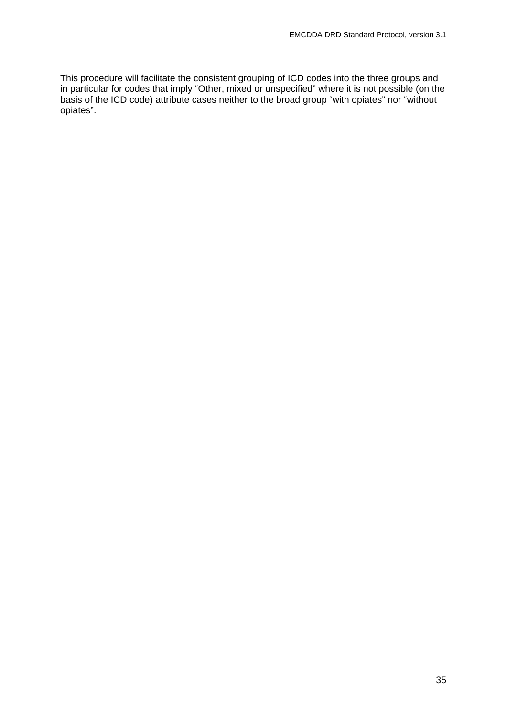This procedure will facilitate the consistent grouping of ICD codes into the three groups and in particular for codes that imply "Other, mixed or unspecified" where it is not possible (on the basis of the ICD code) attribute cases neither to the broad group "with opiates" nor "without opiates".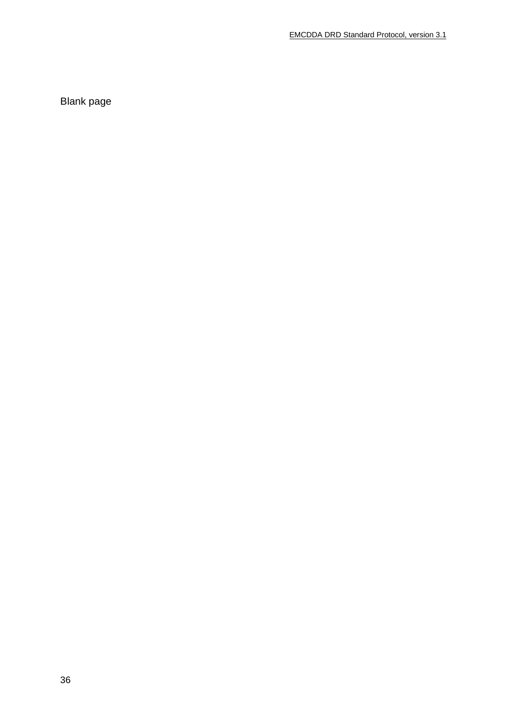Blank page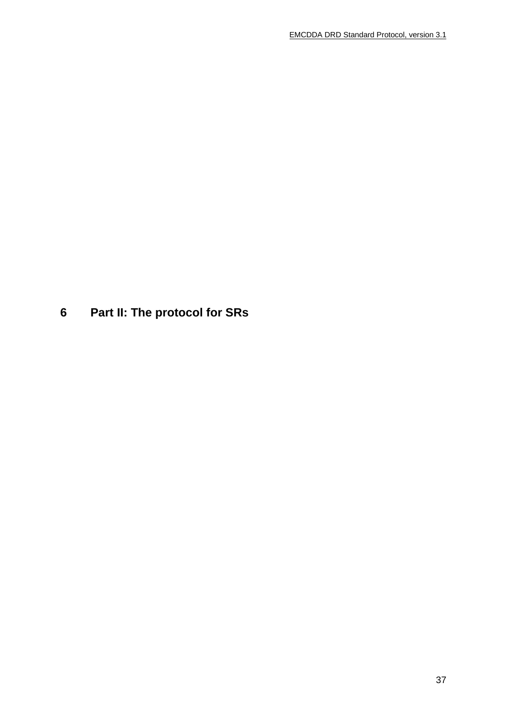# <span id="page-36-0"></span>**6 Part II: The protocol for SRs**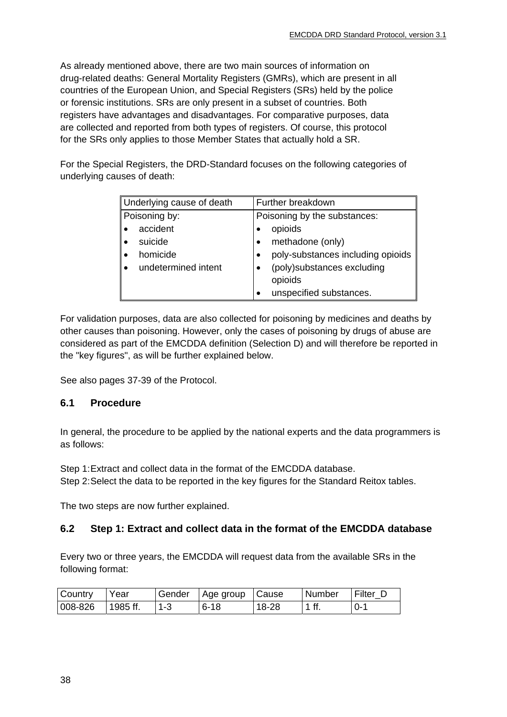<span id="page-37-0"></span>As already mentioned above, there are two main sources of information on drug-related deaths: General Mortality Registers (GMRs), which are present in all countries of the European Union, and Special Registers (SRs) held by the police or forensic institutions. SRs are only present in a subset of countries. Both registers have advantages and disadvantages. For comparative purposes, data are collected and reported from both types of registers. Of course, this protocol for the SRs only applies to those Member States that actually hold a SR.

For the Special Registers, the DRD-Standard focuses on the following categories of underlying causes of death:

| Underlying cause of death | Further breakdown                 |
|---------------------------|-----------------------------------|
| Poisoning by:             | Poisoning by the substances:      |
| accident                  | opioids                           |
| suicide                   | methadone (only)                  |
| homicide                  | poly-substances including opioids |
| undetermined intent       | (poly)substances excluding        |
|                           | opioids                           |
|                           | unspecified substances.           |

For validation purposes, data are also collected for poisoning by medicines and deaths by other causes than poisoning. However, only the cases of poisoning by drugs of abuse are considered as part of the EMCDDA definition (Selection D) and will therefore be reported in the "key figures", as will be further explained below.

See also pages 37-39 of the Protocol.

#### **6.1 Procedure**

In general, the procedure to be applied by the national experts and the data programmers is as follows:

Step 1: Extract and collect data in the format of the EMCDDA database. Step 2: Select the data to be reported in the key figures for the Standard Reitox tables.

The two steps are now further explained.

#### **6.2 Step 1: Extract and collect data in the format of the EMCDDA database**

Every two or three years, the EMCDDA will request data from the available SRs in the following format:

| Country | ∣Year            | Gender | Age group | Cause | Number | <b>IFilter</b> L |
|---------|------------------|--------|-----------|-------|--------|------------------|
| 008-826 | $\vert$ 1985 ff. | 1-3    | $6 - 18$  | 18-28 |        | 0-1              |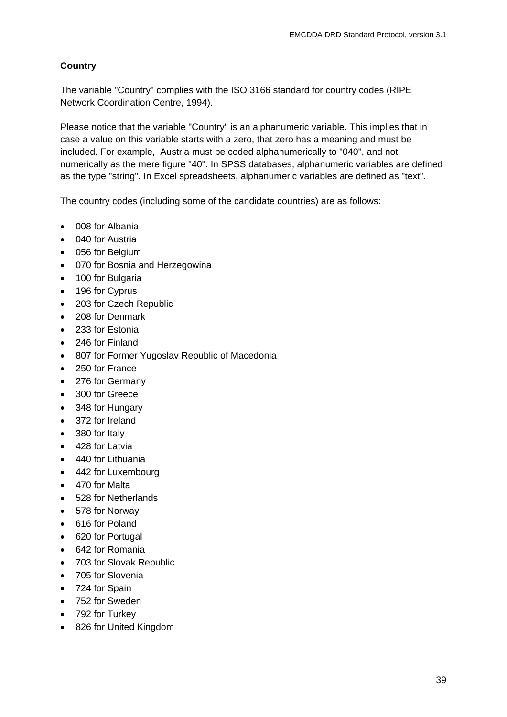#### **Country**

The variable "Country" complies with the ISO 3166 standard for country codes (RIPE Network Coordination Centre, 1994).

Please notice that the variable "Country" is an alphanumeric variable. This implies that in case a value on this variable starts with a zero, that zero has a meaning and must be included. For example, Austria must be coded alphanumerically to "040", and not numerically as the mere figure "40". In SPSS databases, alphanumeric variables are defined as the type "string". In Excel spreadsheets, alphanumeric variables are defined as "text".

The country codes (including some of the candidate countries) are as follows:

- 008 for Albania
- 040 for Austria
- 056 for Belgium
- 070 for Bosnia and Herzegowina
- 100 for Bulgaria
- 196 for Cyprus
- 203 for Czech Republic
- 208 for Denmark
- 233 for Estonia
- 246 for Finland
- 807 for Former Yugoslav Republic of Macedonia
- 250 for France
- 276 for Germany
- 300 for Greece
- 348 for Hungary
- 372 for Ireland
- 380 for Italy
- 428 for Latvia
- 440 for Lithuania
- 442 for Luxembourg
- 470 for Malta
- 528 for Netherlands
- 578 for Norway
- 616 for Poland
- 620 for Portugal
- 642 for Romania
- 703 for Slovak Republic
- 705 for Slovenia
- 724 for Spain
- 752 for Sweden
- 792 for Turkey
- 826 for United Kingdom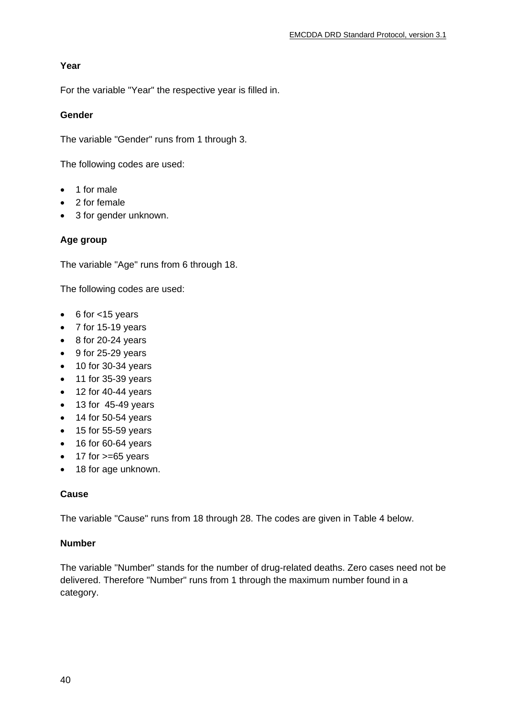#### **Year**

For the variable "Year" the respective year is filled in.

#### **Gender**

The variable "Gender" runs from 1 through 3.

The following codes are used:

- 1 for male
- 2 for female
- 3 for gender unknown.

#### **Age group**

The variable "Age" runs from 6 through 18.

The following codes are used:

- 6 for <15 years
- 7 for 15-19 years
- 8 for 20-24 years
- 9 for 25-29 years
- 10 for 30-34 years
- 11 for 35-39 years
- 12 for 40-44 years
- 13 for 45-49 years
- 14 for 50-54 years
- 15 for 55-59 years
- 16 for 60-64 years
- 17 for >=65 years
- 18 for age unknown.

#### **Cause**

The variable "Cause" runs from 18 through 28. The codes are given in Table 4 below.

#### **Number**

The variable "Number" stands for the number of drug-related deaths. Zero cases need not be delivered. Therefore "Number" runs from 1 through the maximum number found in a category.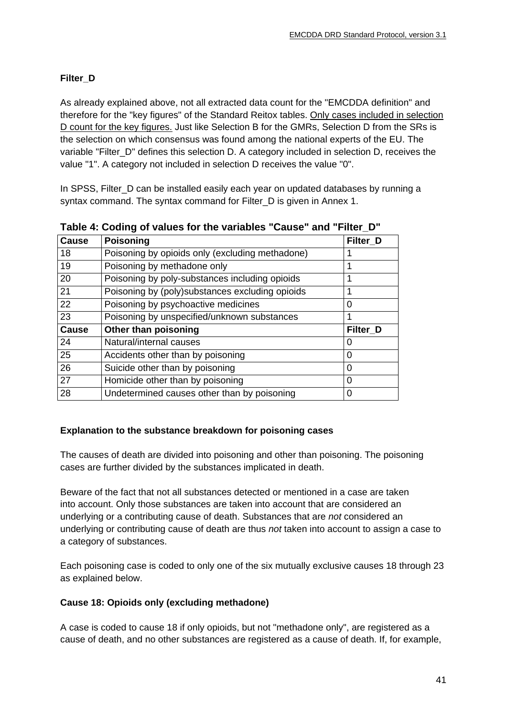#### **Filter\_D**

As already explained above, not all extracted data count for the "EMCDDA definition" and therefore for the "key figures" of the Standard Reitox tables. Only cases included in selection D count for the key figures. Just like Selection B for the GMRs, Selection D from the SRs is the selection on which consensus was found among the national experts of the EU. The variable "Filter\_D" defines this selection D. A category included in selection D, receives the value "1". A category not included in selection D receives the value "0".

In SPSS, Filter\_D can be installed easily each year on updated databases by running a syntax command. The syntax command for Filter D is given in Annex 1.

| <b>Cause</b> | <b>Poisoning</b>                                | Filter_D |
|--------------|-------------------------------------------------|----------|
| 18           | Poisoning by opioids only (excluding methadone) |          |
| 19           | Poisoning by methadone only                     | 1        |
| 20           | Poisoning by poly-substances including opioids  | 1        |
| 21           | Poisoning by (poly)substances excluding opioids | 1        |
| 22           | Poisoning by psychoactive medicines             | 0        |
| 23           | Poisoning by unspecified/unknown substances     | 1        |
| <b>Cause</b> | Other than poisoning                            | Filter_D |
| 24           | Natural/internal causes                         | 0        |
| 25           | Accidents other than by poisoning               | 0        |
| 26           | Suicide other than by poisoning                 | 0        |
| 27           | Homicide other than by poisoning                | 0        |
| 28           | Undetermined causes other than by poisoning     | 0        |

**Table 4: Coding of values for the variables "Cause" and "Filter\_D"** 

#### **Explanation to the substance breakdown for poisoning cases**

The causes of death are divided into poisoning and other than poisoning. The poisoning cases are further divided by the substances implicated in death.

Beware of the fact that not all substances detected or mentioned in a case are taken into account. Only those substances are taken into account that are considered an underlying or a contributing cause of death. Substances that are *not* considered an underlying or contributing cause of death are thus *not* taken into account to assign a case to a category of substances.

Each poisoning case is coded to only one of the six mutually exclusive causes 18 through 23 as explained below.

#### **Cause 18: Opioids only (excluding methadone)**

A case is coded to cause 18 if only opioids, but not "methadone only", are registered as a cause of death, and no other substances are registered as a cause of death. If, for example,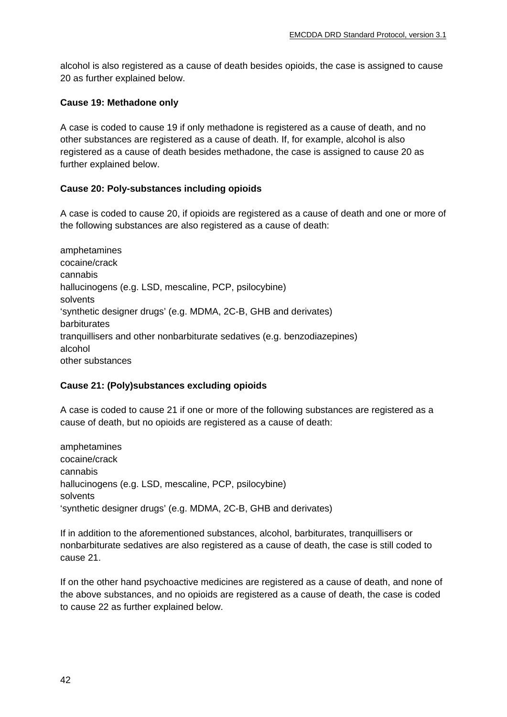alcohol is also registered as a cause of death besides opioids, the case is assigned to cause 20 as further explained below.

#### **Cause 19: Methadone only**

A case is coded to cause 19 if only methadone is registered as a cause of death, and no other substances are registered as a cause of death. If, for example, alcohol is also registered as a cause of death besides methadone, the case is assigned to cause 20 as further explained below.

#### **Cause 20: Poly-substances including opioids**

A case is coded to cause 20, if opioids are registered as a cause of death and one or more of the following substances are also registered as a cause of death:

amphetamines cocaine/crack cannabis hallucinogens (e.g. LSD, mescaline, PCP, psilocybine) solvents 'synthetic designer drugs' (e.g. MDMA, 2C-B, GHB and derivates) barbiturates tranquillisers and other nonbarbiturate sedatives (e.g. benzodiazepines) alcohol other substances

#### **Cause 21: (Poly)substances excluding opioids**

A case is coded to cause 21 if one or more of the following substances are registered as a cause of death, but no opioids are registered as a cause of death:

amphetamines cocaine/crack cannabis hallucinogens (e.g. LSD, mescaline, PCP, psilocybine) solvents 'synthetic designer drugs' (e.g. MDMA, 2C-B, GHB and derivates)

If in addition to the aforementioned substances, alcohol, barbiturates, tranquillisers or nonbarbiturate sedatives are also registered as a cause of death, the case is still coded to cause 21.

If on the other hand psychoactive medicines are registered as a cause of death, and none of the above substances, and no opioids are registered as a cause of death, the case is coded to cause 22 as further explained below.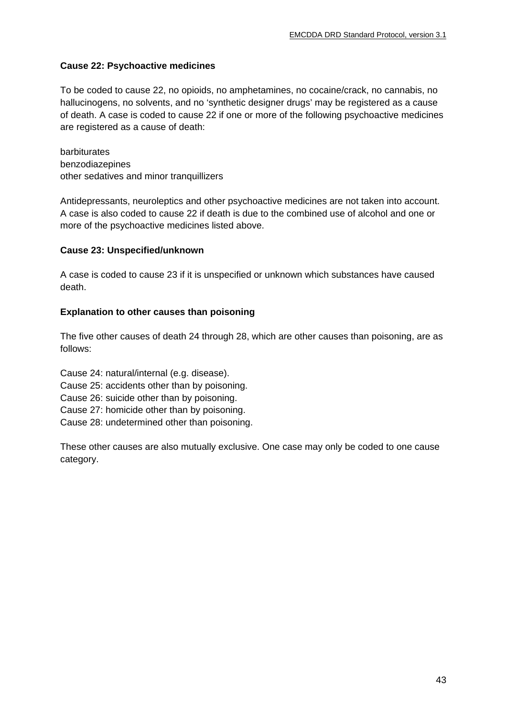#### **Cause 22: Psychoactive medicines**

To be coded to cause 22, no opioids, no amphetamines, no cocaine/crack, no cannabis, no hallucinogens, no solvents, and no 'synthetic designer drugs' may be registered as a cause of death. A case is coded to cause 22 if one or more of the following psychoactive medicines are registered as a cause of death:

barbiturates benzodiazepines other sedatives and minor tranquillizers

Antidepressants, neuroleptics and other psychoactive medicines are not taken into account. A case is also coded to cause 22 if death is due to the combined use of alcohol and one or more of the psychoactive medicines listed above.

#### **Cause 23: Unspecified/unknown**

A case is coded to cause 23 if it is unspecified or unknown which substances have caused death.

#### **Explanation to other causes than poisoning**

The five other causes of death 24 through 28, which are other causes than poisoning, are as follows:

Cause 24: natural/internal (e.g. disease).

Cause 25: accidents other than by poisoning.

Cause 26: suicide other than by poisoning.

Cause 27: homicide other than by poisoning.

Cause 28: undetermined other than poisoning.

These other causes are also mutually exclusive. One case may only be coded to one cause category.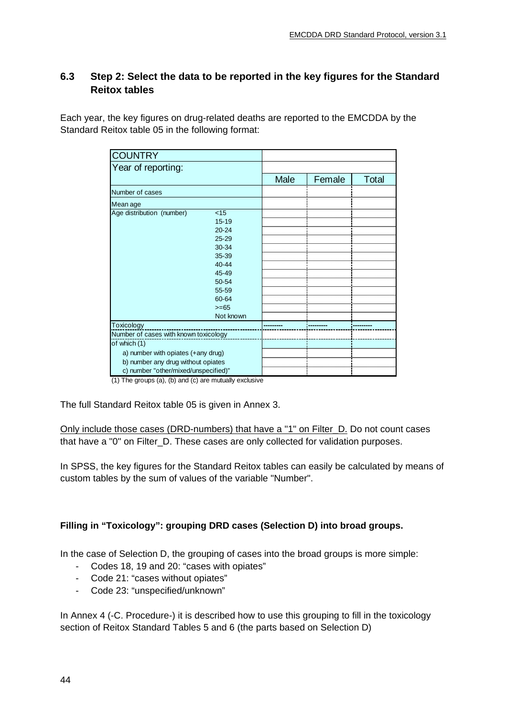### <span id="page-43-0"></span>**6.3 Step 2: Select the data to be reported in the key figures for the Standard Reitox tables**

Each year, the key figures on drug-related deaths are reported to the EMCDDA by the Standard Reitox table 05 in the following format:

| <b>COUNTRY</b>                        |           |      |        |       |
|---------------------------------------|-----------|------|--------|-------|
| Year of reporting:                    |           |      |        |       |
|                                       |           | Male | Female | Total |
| Number of cases                       |           |      |        |       |
| Mean age                              |           |      |        |       |
| Age distribution (number)             | < 15      |      |        |       |
|                                       | $15 - 19$ |      |        |       |
|                                       | $20 - 24$ |      |        |       |
|                                       | $25 - 29$ |      |        |       |
|                                       | 30-34     |      |        |       |
|                                       | 35-39     |      |        |       |
|                                       | $40 - 44$ |      |        |       |
|                                       | 45-49     |      |        |       |
|                                       | 50-54     |      |        |       |
|                                       | 55-59     |      |        |       |
|                                       | 60-64     |      |        |       |
|                                       | $>= 65$   |      |        |       |
|                                       | Not known |      |        |       |
| Toxicology                            |           |      |        |       |
| Number of cases with known toxicology |           |      |        |       |
| of which (1)                          |           |      |        |       |
| a) number with opiates (+any drug)    |           |      |        |       |
| b) number any drug without opiates    |           |      |        |       |
| c) number "other/mixed/unspecified)"  |           |      |        |       |

 $(1)$  The groups  $(a)$ ,  $(b)$  and  $(c)$  are mutually exclusive

The full Standard Reitox table 05 is given in Annex 3.

Only include those cases (DRD-numbers) that have a "1" on Filter\_D. Do not count cases that have a "0" on Filter\_D. These cases are only collected for validation purposes.

In SPSS, the key figures for the Standard Reitox tables can easily be calculated by means of custom tables by the sum of values of the variable "Number".

#### **Filling in "Toxicology": grouping DRD cases (Selection D) into broad groups.**

In the case of Selection D, the grouping of cases into the broad groups is more simple:

- Codes 18, 19 and 20: "cases with opiates"
- Code 21: "cases without opiates"
- Code 23: "unspecified/unknown"

In Annex 4 (-C. Procedure-) it is described how to use this grouping to fill in the toxicology section of Reitox Standard Tables 5 and 6 (the parts based on Selection D)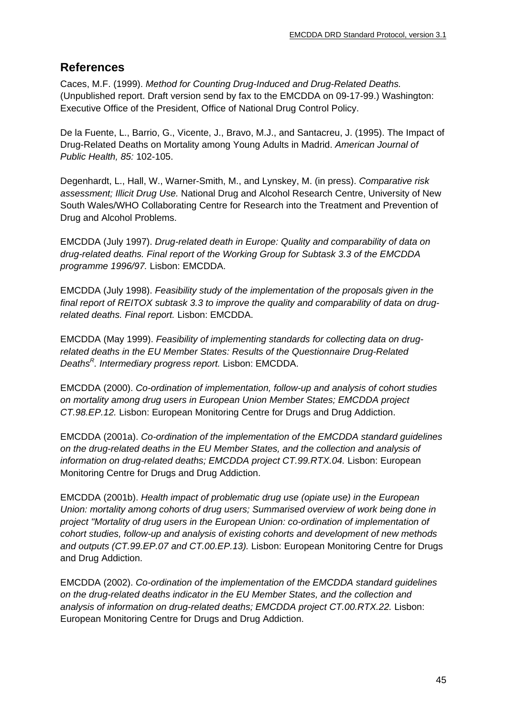## <span id="page-44-0"></span>**References**

Caces, M.F. (1999). *Method for Counting Drug-Induced and Drug-Related Deaths.* (Unpublished report. Draft version send by fax to the EMCDDA on 09-17-99.) Washington: Executive Office of the President, Office of National Drug Control Policy.

De la Fuente, L., Barrio, G., Vicente, J., Bravo, M.J., and Santacreu, J. (1995). The Impact of Drug-Related Deaths on Mortality among Young Adults in Madrid. *American Journal of Public Health, 85:* 102-105.

Degenhardt, L., Hall, W., Warner-Smith, M., and Lynskey, M. (in press). *Comparative risk assessment; Illicit Drug Use.* National Drug and Alcohol Research Centre, University of New South Wales/WHO Collaborating Centre for Research into the Treatment and Prevention of Drug and Alcohol Problems.

EMCDDA (July 1997). *Drug-related death in Europe: Quality and comparability of data on drug-related deaths. Final report of the Working Group for Subtask 3.3 of the EMCDDA programme 1996/97.* Lisbon: EMCDDA.

EMCDDA (July 1998). *Feasibility study of the implementation of the proposals given in the final report of REITOX subtask 3.3 to improve the quality and comparability of data on drugrelated deaths. Final report.* Lisbon: EMCDDA.

EMCDDA (May 1999). *Feasibility of implementing standards for collecting data on drugrelated deaths in the EU Member States: Results of the Questionnaire Drug-Related DeathsR. Intermediary progress report.* Lisbon: EMCDDA.

EMCDDA (2000). *Co-ordination of implementation, follow-up and analysis of cohort studies on mortality among drug users in European Union Member States; EMCDDA project CT.98.EP.12.* Lisbon: European Monitoring Centre for Drugs and Drug Addiction.

EMCDDA (2001a). *Co-ordination of the implementation of the EMCDDA standard guidelines on the drug-related deaths in the EU Member States, and the collection and analysis of information on drug-related deaths; EMCDDA project CT.99.RTX.04.* Lisbon: European Monitoring Centre for Drugs and Drug Addiction.

EMCDDA (2001b). *Health impact of problematic drug use (opiate use) in the European Union: mortality among cohorts of drug users; Summarised overview of work being done in project "Mortality of drug users in the European Union: co-ordination of implementation of cohort studies, follow-up and analysis of existing cohorts and development of new methods and outputs (CT.99.EP.07 and CT.00.EP.13).* Lisbon: European Monitoring Centre for Drugs and Drug Addiction.

EMCDDA (2002). *Co-ordination of the implementation of the EMCDDA standard guidelines on the drug-related deaths indicator in the EU Member States, and the collection and analysis of information on drug-related deaths; EMCDDA project CT.00.RTX.22.* Lisbon: European Monitoring Centre for Drugs and Drug Addiction.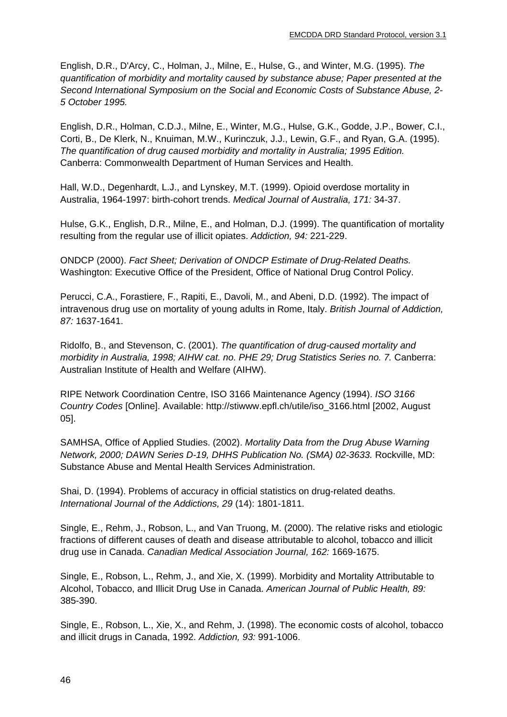English, D.R., D'Arcy, C., Holman, J., Milne, E., Hulse, G., and Winter, M.G. (1995). *The quantification of morbidity and mortality caused by substance abuse; Paper presented at the Second International Symposium on the Social and Economic Costs of Substance Abuse, 2- 5 October 1995.*

English, D.R., Holman, C.D.J., Milne, E., Winter, M.G., Hulse, G.K., Godde, J.P., Bower, C.I., Corti, B., De Klerk, N., Knuiman, M.W., Kurinczuk, J.J., Lewin, G.F., and Ryan, G.A. (1995). *The quantification of drug caused morbidity and mortality in Australia; 1995 Edition.* Canberra: Commonwealth Department of Human Services and Health.

Hall, W.D., Degenhardt, L.J., and Lynskey, M.T. (1999). Opioid overdose mortality in Australia, 1964-1997: birth-cohort trends. *Medical Journal of Australia, 171:* 34-37.

Hulse, G.K., English, D.R., Milne, E., and Holman, D.J. (1999). The quantification of mortality resulting from the regular use of illicit opiates. *Addiction, 94:* 221-229.

ONDCP (2000). *Fact Sheet; Derivation of ONDCP Estimate of Drug-Related Deaths.* Washington: Executive Office of the President, Office of National Drug Control Policy.

Perucci, C.A., Forastiere, F., Rapiti, E., Davoli, M., and Abeni, D.D. (1992). The impact of intravenous drug use on mortality of young adults in Rome, Italy. *British Journal of Addiction, 87:* 1637-1641.

Ridolfo, B., and Stevenson, C. (2001). *The quantification of drug-caused mortality and morbidity in Australia, 1998; AIHW cat. no. PHE 29; Drug Statistics Series no. 7.* Canberra: Australian Institute of Health and Welfare (AIHW).

RIPE Network Coordination Centre, ISO 3166 Maintenance Agency (1994). *ISO 3166 Country Codes* [Online]. Available: http://stiwww.epfl.ch/utile/iso\_3166.html [2002, August 05].

SAMHSA, Office of Applied Studies. (2002). *Mortality Data from the Drug Abuse Warning Network, 2000; DAWN Series D-19, DHHS Publication No. (SMA) 02-3633.* Rockville, MD: Substance Abuse and Mental Health Services Administration.

Shai, D. (1994). Problems of accuracy in official statistics on drug-related deaths. *International Journal of the Addictions, 29* (14): 1801-1811.

Single, E., Rehm, J., Robson, L., and Van Truong, M. (2000). The relative risks and etiologic fractions of different causes of death and disease attributable to alcohol, tobacco and illicit drug use in Canada. *Canadian Medical Association Journal, 162:* 1669-1675.

Single, E., Robson, L., Rehm, J., and Xie, X. (1999). Morbidity and Mortality Attributable to Alcohol, Tobacco, and Illicit Drug Use in Canada. *American Journal of Public Health, 89:* 385-390.

Single, E., Robson, L., Xie, X., and Rehm, J. (1998). The economic costs of alcohol, tobacco and illicit drugs in Canada, 1992. *Addiction, 93:* 991-1006.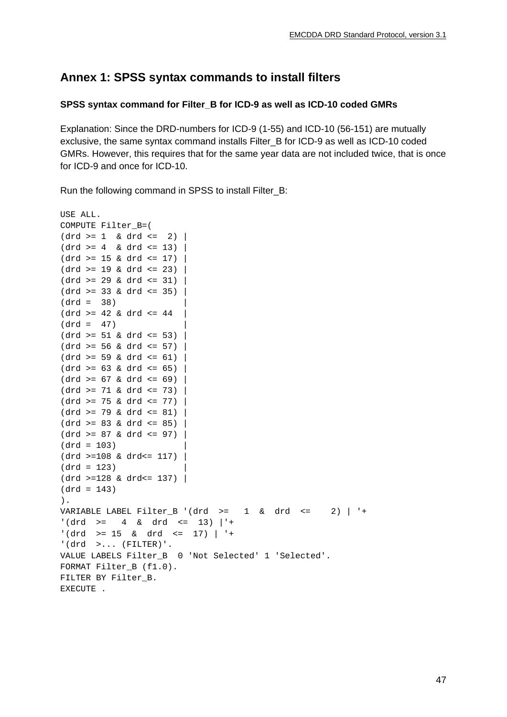#### <span id="page-46-0"></span>**Annex 1: SPSS syntax commands to install filters**

#### **SPSS syntax command for Filter\_B for ICD-9 as well as ICD-10 coded GMRs**

Explanation: Since the DRD-numbers for ICD-9 (1-55) and ICD-10 (56-151) are mutually exclusive, the same syntax command installs Filter\_B for ICD-9 as well as ICD-10 coded GMRs. However, this requires that for the same year data are not included twice, that is once for ICD-9 and once for ICD-10.

Run the following command in SPSS to install Filter\_B:

```
USE ALL. 
COMPUTE Filter_B=( 
(drd >= 1 \& drd <= 2)(drd > = 4 \& drd <= 13)(drd > = 15 \& drd < = 17)(drd > = 19 \& drd < = 23)(drd > = 29 \& drd < = 31)(drd > = 33 \& drd \le 35)(drd = 38)(drd > = 42 \& drd < = 44(drd = 47)(drd > = 51 \& drd < = 53)(drd > = 56 \& drd < = 57)(drd > = 59 \& drd < = 61)(drd > = 63 \& drd < = 65)(drd > = 67 \& drd \le 69)(drd > = 71 \& drd < = 73)(drd > = 75 \& drd < = 77)(drd > = 79 \& drd < = 81)(drd > = 83 \& drd < = 85)(drd > = 87 \& drd \le 97)(drd = 103)(drd >=108 & drd<= 117) | 
(drd = 123)(drd >=128 & drd<= 137) | 
(drd = 143)). 
VARIABLE LABEL Filter_B '(drd >= 1 & drd <= 2) | '+
'(drd >= 4 & drd <= 13) |'+ 
'(drd >= 15 & drd <= 17) | '+ 
'(drd >... (FILTER)'. 
VALUE LABELS Filter_B 0 'Not Selected' 1 'Selected'. 
FORMAT Filter B (f1.0).
FILTER BY Filter_B. 
EXECUTE .
```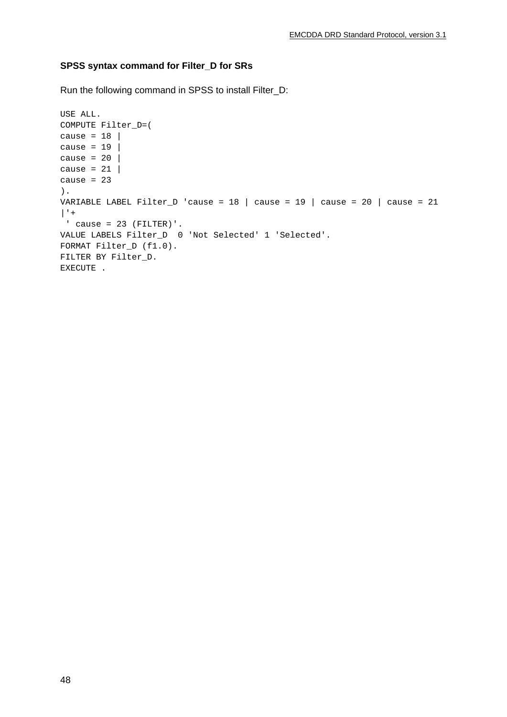#### **SPSS syntax command for Filter\_D for SRs**

Run the following command in SPSS to install Filter\_D:

```
USE ALL. 
COMPUTE Filter_D=( 
cause = 18 |
cause = 19 |
cause = 20 |
cause = 21 |
cause = 23 
). 
VARIABLE LABEL Filter_D 'cause = 18 | cause = 19 | cause = 20 | cause = 21
|'+
 ' cause = 23 (FILTER)'. 
VALUE LABELS Filter_D 0 'Not Selected' 1 'Selected'. 
FORMAT Filter_D (f1.0). 
FILTER BY Filter_D. 
EXECUTE .
```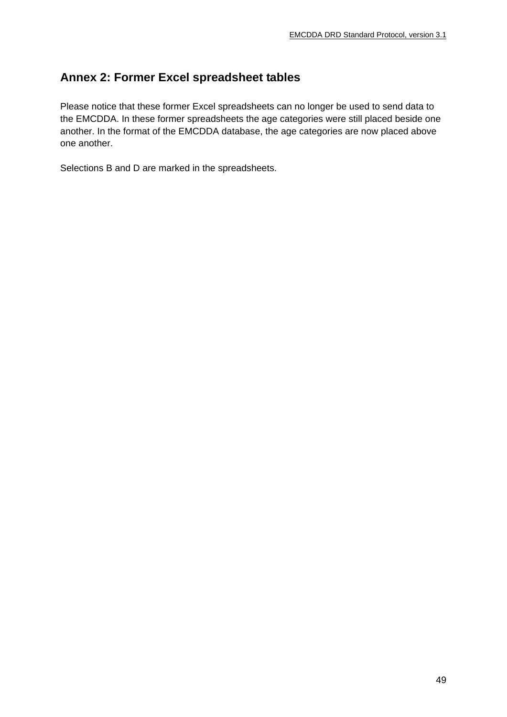## <span id="page-48-0"></span>**Annex 2: Former Excel spreadsheet tables**

Please notice that these former Excel spreadsheets can no longer be used to send data to the EMCDDA. In these former spreadsheets the age categories were still placed beside one another. In the format of the EMCDDA database, the age categories are now placed above one another.

Selections B and D are marked in the spreadsheets.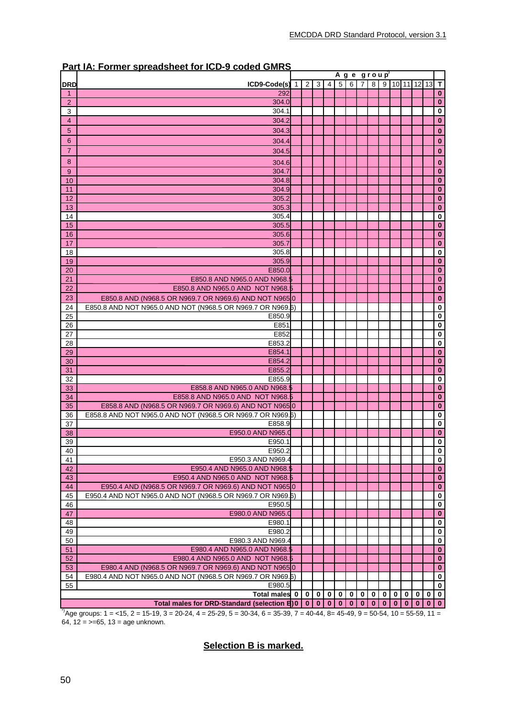|                |                                                                      |                   |                |              |                |                |              |                | Agegroup'    |                |              |              |          |                   |                                      |
|----------------|----------------------------------------------------------------------|-------------------|----------------|--------------|----------------|----------------|--------------|----------------|--------------|----------------|--------------|--------------|----------|-------------------|--------------------------------------|
| <b>DRD</b>     | ICD9-Code(s)                                                         | $1 \mid 2 \mid 3$ |                |              | $\overline{4}$ | 5 <sup>5</sup> | $\sigma$     | 7 <sup>1</sup> | 8            |                |              |              |          | $9$ 10 11 12 13 T |                                      |
| $\mathbf{1}$   | 292                                                                  |                   |                |              |                |                |              |                |              |                |              |              |          |                   | $\bf{0}$                             |
| $\overline{2}$ | 304.0                                                                |                   |                |              |                |                |              |                |              |                |              |              |          |                   | $\pmb{0}$                            |
| 3              | 304.1                                                                |                   |                |              |                |                |              |                |              |                |              |              |          |                   | $\pmb{0}$                            |
| $\overline{4}$ | 304.2                                                                |                   |                |              |                |                |              |                |              |                |              |              |          |                   | $\bf{0}$                             |
| 5              | 304.3                                                                |                   |                |              |                |                |              |                |              |                |              |              |          |                   | $\bf{0}$                             |
| 6              | 304.4                                                                |                   |                |              |                |                |              |                |              |                |              |              |          |                   | $\pmb{0}$                            |
| $\overline{7}$ | 304.5                                                                |                   |                |              |                |                |              |                |              |                |              |              |          |                   | $\mathbf 0$                          |
| 8              |                                                                      |                   |                |              |                |                |              |                |              |                |              |              |          |                   | $\bf{0}$                             |
|                | 304.6<br>304.7                                                       |                   |                |              |                |                |              |                |              |                |              |              |          |                   |                                      |
| 9<br>10        | 304.8                                                                |                   |                |              |                |                |              |                |              |                |              |              |          |                   | $\pmb{0}$<br>$\overline{\textbf{0}}$ |
| 11             | 304.9                                                                |                   |                |              |                |                |              |                |              |                |              |              |          |                   | $\overline{\mathbf{0}}$              |
| 12             | 305.2                                                                |                   |                |              |                |                |              |                |              |                |              |              |          |                   | $\overline{\mathbf{0}}$              |
| 13             | 305.3                                                                |                   |                |              |                |                |              |                |              |                |              |              |          |                   | $\overline{\mathbf{0}}$              |
| 14             | 305.4                                                                |                   |                |              |                |                |              |                |              |                |              |              |          |                   | $\pmb{0}$                            |
| 15             | 305.5                                                                |                   |                |              |                |                |              |                |              |                |              |              |          |                   | $\pmb{0}$                            |
| 16             | 305.6                                                                |                   |                |              |                |                |              |                |              |                |              |              |          |                   | $\overline{\mathbf{0}}$              |
| 17             | 305.7                                                                |                   |                |              |                |                |              |                |              |                |              |              |          |                   | $\overline{\mathbf{0}}$              |
| 18             | 305.8                                                                |                   |                |              |                |                |              |                |              |                |              |              |          |                   | $\overline{\mathbf{0}}$              |
| 19             | 305.9                                                                |                   |                |              |                |                |              |                |              |                |              |              |          |                   | $\pmb{0}$                            |
| 20             | E850.0                                                               |                   |                |              |                |                |              |                |              |                |              |              |          |                   | $\overline{\mathbf{0}}$              |
| 21             | E850.8 AND N965.0 AND N968.                                          |                   |                |              |                |                |              |                |              |                |              |              |          |                   | $\overline{\mathbf{0}}$              |
| 22             | E850.8 AND N965.0 AND NOT N968.5                                     |                   |                |              |                |                |              |                |              |                |              |              |          |                   | $\overline{\mathbf{0}}$              |
| 23             | E850.8 AND (N968.5 OR N969.7 OR N969.6) AND NOT N9650                |                   |                |              |                |                |              |                |              |                |              |              |          |                   | $\pmb{0}$                            |
| 24             | E850.8 AND NOT N965.0 AND NOT (N968.5 OR N969.7 OR N969.6)           |                   |                |              |                |                |              |                |              |                |              |              |          |                   | $\overline{\mathbf{0}}$              |
| 25             | E850.9                                                               |                   |                |              |                |                |              |                |              |                |              |              |          |                   | $\pmb{0}$                            |
| 26             | E851                                                                 |                   |                |              |                |                |              |                |              |                |              |              |          |                   | $\pmb{0}$                            |
| 27             | E852                                                                 |                   |                |              |                |                |              |                |              |                |              |              |          |                   | $\pmb{0}$                            |
| 28             | E853.2                                                               |                   |                |              |                |                |              |                |              |                |              |              |          |                   | $\overline{\mathbf{0}}$              |
| 29             | E854.1                                                               |                   |                |              |                |                |              |                |              |                |              |              |          |                   | $\pmb{0}$                            |
| 30             | E854.2                                                               |                   |                |              |                |                |              |                |              |                |              |              |          |                   | $\overline{\mathbf{0}}$              |
| 31             | E855.2                                                               |                   |                |              |                |                |              |                |              |                |              |              |          |                   | $\overline{\mathbf{0}}$              |
| 32             | E855.9                                                               |                   |                |              |                |                |              |                |              |                |              |              |          |                   | $\overline{\mathbf{0}}$              |
| 33             | E858.8 AND N965.0 AND N968.                                          |                   |                |              |                |                |              |                |              |                |              |              |          |                   | $\mathbf 0$                          |
| 34             | E858.8 AND N965.0 AND NOT N968.5                                     |                   |                |              |                |                |              |                |              |                |              |              |          |                   | $\overline{\mathbf{0}}$              |
| 35             | E858.8 AND (N968.5 OR N969.7 OR N969.6) AND NOT N9650                |                   |                |              |                |                |              |                |              |                |              |              |          |                   | $\pmb{0}$                            |
| 36             | E858.8 AND NOT N965.0 AND NOT (N968.5 OR N969.7 OR N969.6)           |                   |                |              |                |                |              |                |              |                |              |              |          |                   | $\overline{\mathbf{0}}$              |
| 37             | E858.9                                                               |                   |                |              |                |                |              |                |              |                |              |              |          |                   | $\pmb{0}$                            |
| 38             | E950.0 AND N965.0                                                    |                   |                |              |                |                |              |                |              |                |              |              |          |                   | $\bf{0}$                             |
| 39             | E950.1                                                               |                   |                |              |                |                |              |                |              |                |              |              |          |                   | 0                                    |
| 40             | E950.2                                                               |                   |                |              |                |                |              |                |              |                |              |              |          |                   | $\overline{\mathbf{0}}$              |
| 41             | E950.3 AND N969.4                                                    |                   |                |              |                |                |              |                |              |                |              |              |          |                   | $\pmb{0}$                            |
| 42             | E950.4 AND N965.0 AND N968.                                          |                   |                |              |                |                |              |                |              |                |              |              |          |                   | $\bf{0}$                             |
| 43             | E950.4 AND N965.0 AND NOT N968.5                                     |                   |                |              |                |                |              |                |              |                |              |              |          |                   | $\pmb{0}$                            |
| 44             | E950.4 AND (N968.5 OR N969.7 OR N969.6) AND NOT N9650                |                   |                |              |                |                |              |                |              |                |              |              |          |                   | $\pmb{0}$                            |
| 45             | E950.4 AND NOT N965.0 AND NOT (N968.5 OR N969.7 OR N969.6)           |                   |                |              |                |                |              |                |              |                |              |              |          |                   | $\pmb{0}$                            |
| 46             | E950.5                                                               |                   |                |              |                |                |              |                |              |                |              |              |          |                   | $\pmb{0}$                            |
| 47             | E980.0 AND N965.0                                                    |                   |                |              |                |                |              |                |              |                |              |              |          |                   | $\overline{\mathbf{0}}$              |
| 48             | E980.1                                                               |                   |                |              |                |                |              |                |              |                |              |              |          |                   | $\overline{\mathbf{0}}$              |
| 49             | E980.2                                                               |                   |                |              |                |                |              |                |              |                |              |              |          |                   | $\overline{\mathbf{0}}$              |
| 50             | E980.3 AND N969.4                                                    |                   |                |              |                |                |              |                |              |                |              |              |          |                   | $\overline{\mathbf{0}}$              |
| 51             | E980.4 AND N965.0 AND N968.                                          |                   |                |              |                |                |              |                |              |                |              |              |          |                   | $\overline{\mathbf{0}}$              |
| 52             | E980.4 AND N965.0 AND NOT N968.5                                     |                   |                |              |                |                |              |                |              |                |              |              |          |                   | $\overline{\mathbf{0}}$              |
| 53             | E980.4 AND (N968.5 OR N969.7 OR N969.6) AND NOT N9650                |                   |                |              |                |                |              |                |              |                |              |              |          |                   | $\pmb{0}$                            |
| 54<br>55       | E980.4 AND NOT N965.0 AND NOT (N968.5 OR N969.7 OR N969.6)<br>E980.5 |                   |                |              |                |                |              |                |              |                |              |              |          |                   | $\pmb{0}$<br>$\pmb{0}$               |
|                | Total males 0                                                        |                   | 0 <sup>1</sup> | 0            | $\mathbf 0$    | 0              | $\mathbf 0$  | $\mathbf 0$    | $\mathbf 0$  | $\overline{0}$ | 0            | $\bf{0}$     | 0        | 0                 | $\mathbf 0$                          |
|                | Total males for DRD-Standard (selection B)0                          |                   | 0              | $\mathbf{0}$ | $\bf{0}$       | $\mathbf{0}$   | $\mathbf{0}$ | $\mathbf{0}$   | $\mathbf{0}$ | $\mathbf{0}$   | $\mathbf{0}$ | $\mathbf{0}$ | $\bf{0}$ |                   | 0 <sup>1</sup>                       |
|                |                                                                      |                   |                |              |                |                |              |                |              |                |              |              |          |                   |                                      |

**Part IA: Former spreadsheet for ICD-9 coded GMRS**

 $^{5}$ Age groups: 1 = <15, 2 = 15-19, 3 = 20-24, 4 = 25-29, 5 = 30-34, 6 = 35-39, 7 = 40-44, 8= 45-49, 9 = 50-54, 10 = 55-59, 11 = 64, 12 = >=65, 13 = age unknown.

**Selection B is marked.**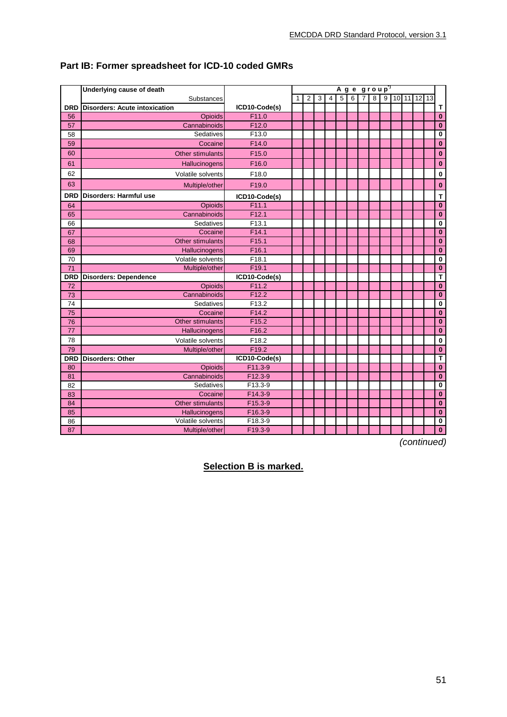| 6<br>$\overline{9}$<br>$\overline{2}$<br>5<br>$\overline{7}$<br>8 <sup>1</sup><br>10 <sup>1</sup><br>3<br>1<br>4<br>Substances<br><b>DRD</b><br><b>Disorders: Acute intoxication</b><br>ICD10-Code(s)<br>F11.0<br>56<br><b>Opioids</b><br>Cannabinoids<br>F12.0<br>57<br>F13.0<br>Sedatives<br>58<br>59<br>F14.0<br>Cocaine<br>60<br><b>Other stimulants</b><br>F <sub>15.0</sub><br>61<br>F16.0<br>Hallucinogens<br>62<br>F18.0<br>Volatile solvents<br>63<br>F19.0<br>Multiple/other<br><b>DRD</b><br><b>Disorders: Harmful use</b><br>ICD10-Code(s)<br>F11.1<br>Opioids<br>64<br>Cannabinoids<br>F12.1<br>65<br>F13.1<br>Sedatives<br>66<br>F14.1<br>Cocaine<br>67<br>Other stimulants<br>F <sub>15.1</sub><br>68<br>F <sub>16.1</sub><br>Hallucinogens<br>69<br>F18.1<br>Volatile solvents<br>70<br>F19.1<br>71<br>Multiple/other<br>ICD10-Code(s)<br><b>DRD</b><br><b>Disorders: Dependence</b><br>F11.2<br><b>Opioids</b><br>72<br>Cannabinoids<br>F12.2<br>73<br>74<br>F13.2<br>Sedatives<br>75<br>Cocaine<br>F14.2<br>F15.2<br>76<br>Other stimulants<br>F16.2<br>77<br>Hallucinogens<br>78<br>F18.2<br>Volatile solvents<br>F19.2<br>79<br>Multiple/other |                         |            |  |  |  | Age group <sup>"</sup> |  |  |               | Underlying cause of death |            |
|--------------------------------------------------------------------------------------------------------------------------------------------------------------------------------------------------------------------------------------------------------------------------------------------------------------------------------------------------------------------------------------------------------------------------------------------------------------------------------------------------------------------------------------------------------------------------------------------------------------------------------------------------------------------------------------------------------------------------------------------------------------------------------------------------------------------------------------------------------------------------------------------------------------------------------------------------------------------------------------------------------------------------------------------------------------------------------------------------------------------------------------------------------------------|-------------------------|------------|--|--|--|------------------------|--|--|---------------|---------------------------|------------|
|                                                                                                                                                                                                                                                                                                                                                                                                                                                                                                                                                                                                                                                                                                                                                                                                                                                                                                                                                                                                                                                                                                                                                                    |                         | $11$ 12 13 |  |  |  |                        |  |  |               |                           |            |
|                                                                                                                                                                                                                                                                                                                                                                                                                                                                                                                                                                                                                                                                                                                                                                                                                                                                                                                                                                                                                                                                                                                                                                    | Т                       |            |  |  |  |                        |  |  |               |                           |            |
|                                                                                                                                                                                                                                                                                                                                                                                                                                                                                                                                                                                                                                                                                                                                                                                                                                                                                                                                                                                                                                                                                                                                                                    | $\mathbf{0}$            |            |  |  |  |                        |  |  |               |                           |            |
|                                                                                                                                                                                                                                                                                                                                                                                                                                                                                                                                                                                                                                                                                                                                                                                                                                                                                                                                                                                                                                                                                                                                                                    | $\bf{0}$                |            |  |  |  |                        |  |  |               |                           |            |
|                                                                                                                                                                                                                                                                                                                                                                                                                                                                                                                                                                                                                                                                                                                                                                                                                                                                                                                                                                                                                                                                                                                                                                    | $\pmb{0}$               |            |  |  |  |                        |  |  |               |                           |            |
|                                                                                                                                                                                                                                                                                                                                                                                                                                                                                                                                                                                                                                                                                                                                                                                                                                                                                                                                                                                                                                                                                                                                                                    | $\mathbf{0}$            |            |  |  |  |                        |  |  |               |                           |            |
|                                                                                                                                                                                                                                                                                                                                                                                                                                                                                                                                                                                                                                                                                                                                                                                                                                                                                                                                                                                                                                                                                                                                                                    | $\mathbf{0}$            |            |  |  |  |                        |  |  |               |                           |            |
|                                                                                                                                                                                                                                                                                                                                                                                                                                                                                                                                                                                                                                                                                                                                                                                                                                                                                                                                                                                                                                                                                                                                                                    | $\mathbf{0}$            |            |  |  |  |                        |  |  |               |                           |            |
|                                                                                                                                                                                                                                                                                                                                                                                                                                                                                                                                                                                                                                                                                                                                                                                                                                                                                                                                                                                                                                                                                                                                                                    | $\mathbf 0$             |            |  |  |  |                        |  |  |               |                           |            |
|                                                                                                                                                                                                                                                                                                                                                                                                                                                                                                                                                                                                                                                                                                                                                                                                                                                                                                                                                                                                                                                                                                                                                                    | $\mathbf{0}$            |            |  |  |  |                        |  |  |               |                           |            |
|                                                                                                                                                                                                                                                                                                                                                                                                                                                                                                                                                                                                                                                                                                                                                                                                                                                                                                                                                                                                                                                                                                                                                                    | $\mathsf T$             |            |  |  |  |                        |  |  |               |                           |            |
|                                                                                                                                                                                                                                                                                                                                                                                                                                                                                                                                                                                                                                                                                                                                                                                                                                                                                                                                                                                                                                                                                                                                                                    | $\overline{\mathbf{0}}$ |            |  |  |  |                        |  |  |               |                           |            |
|                                                                                                                                                                                                                                                                                                                                                                                                                                                                                                                                                                                                                                                                                                                                                                                                                                                                                                                                                                                                                                                                                                                                                                    | $\mathbf{0}$            |            |  |  |  |                        |  |  |               |                           |            |
|                                                                                                                                                                                                                                                                                                                                                                                                                                                                                                                                                                                                                                                                                                                                                                                                                                                                                                                                                                                                                                                                                                                                                                    | $\mathbf 0$             |            |  |  |  |                        |  |  |               |                           |            |
|                                                                                                                                                                                                                                                                                                                                                                                                                                                                                                                                                                                                                                                                                                                                                                                                                                                                                                                                                                                                                                                                                                                                                                    | $\bf{0}$                |            |  |  |  |                        |  |  |               |                           |            |
|                                                                                                                                                                                                                                                                                                                                                                                                                                                                                                                                                                                                                                                                                                                                                                                                                                                                                                                                                                                                                                                                                                                                                                    | $\mathbf{0}$            |            |  |  |  |                        |  |  |               |                           |            |
|                                                                                                                                                                                                                                                                                                                                                                                                                                                                                                                                                                                                                                                                                                                                                                                                                                                                                                                                                                                                                                                                                                                                                                    | $\mathbf{0}$            |            |  |  |  |                        |  |  |               |                           |            |
|                                                                                                                                                                                                                                                                                                                                                                                                                                                                                                                                                                                                                                                                                                                                                                                                                                                                                                                                                                                                                                                                                                                                                                    | $\mathbf 0$             |            |  |  |  |                        |  |  |               |                           |            |
|                                                                                                                                                                                                                                                                                                                                                                                                                                                                                                                                                                                                                                                                                                                                                                                                                                                                                                                                                                                                                                                                                                                                                                    | $\mathbf{0}$            |            |  |  |  |                        |  |  |               |                           |            |
|                                                                                                                                                                                                                                                                                                                                                                                                                                                                                                                                                                                                                                                                                                                                                                                                                                                                                                                                                                                                                                                                                                                                                                    | T                       |            |  |  |  |                        |  |  |               |                           |            |
|                                                                                                                                                                                                                                                                                                                                                                                                                                                                                                                                                                                                                                                                                                                                                                                                                                                                                                                                                                                                                                                                                                                                                                    | $\mathbf{0}$            |            |  |  |  |                        |  |  |               |                           |            |
|                                                                                                                                                                                                                                                                                                                                                                                                                                                                                                                                                                                                                                                                                                                                                                                                                                                                                                                                                                                                                                                                                                                                                                    | $\mathbf{0}$            |            |  |  |  |                        |  |  |               |                           |            |
|                                                                                                                                                                                                                                                                                                                                                                                                                                                                                                                                                                                                                                                                                                                                                                                                                                                                                                                                                                                                                                                                                                                                                                    | $\pmb{0}$               |            |  |  |  |                        |  |  |               |                           |            |
|                                                                                                                                                                                                                                                                                                                                                                                                                                                                                                                                                                                                                                                                                                                                                                                                                                                                                                                                                                                                                                                                                                                                                                    | $\pmb{0}$               |            |  |  |  |                        |  |  |               |                           |            |
|                                                                                                                                                                                                                                                                                                                                                                                                                                                                                                                                                                                                                                                                                                                                                                                                                                                                                                                                                                                                                                                                                                                                                                    | $\mathbf{0}$            |            |  |  |  |                        |  |  |               |                           |            |
|                                                                                                                                                                                                                                                                                                                                                                                                                                                                                                                                                                                                                                                                                                                                                                                                                                                                                                                                                                                                                                                                                                                                                                    | $\bf{0}$                |            |  |  |  |                        |  |  |               |                           |            |
|                                                                                                                                                                                                                                                                                                                                                                                                                                                                                                                                                                                                                                                                                                                                                                                                                                                                                                                                                                                                                                                                                                                                                                    | $\pmb{0}$               |            |  |  |  |                        |  |  |               |                           |            |
|                                                                                                                                                                                                                                                                                                                                                                                                                                                                                                                                                                                                                                                                                                                                                                                                                                                                                                                                                                                                                                                                                                                                                                    | $\bf{0}$                |            |  |  |  |                        |  |  |               |                           |            |
|                                                                                                                                                                                                                                                                                                                                                                                                                                                                                                                                                                                                                                                                                                                                                                                                                                                                                                                                                                                                                                                                                                                                                                    | T                       |            |  |  |  |                        |  |  | ICD10-Code(s) | <b>Disorders: Other</b>   | <b>DRD</b> |
| $F11.3-9$<br><b>Opioids</b><br>80                                                                                                                                                                                                                                                                                                                                                                                                                                                                                                                                                                                                                                                                                                                                                                                                                                                                                                                                                                                                                                                                                                                                  | $\mathbf{0}$            |            |  |  |  |                        |  |  |               |                           |            |
| Cannabinoids<br>F12.3-9<br>81                                                                                                                                                                                                                                                                                                                                                                                                                                                                                                                                                                                                                                                                                                                                                                                                                                                                                                                                                                                                                                                                                                                                      | $\mathbf{0}$            |            |  |  |  |                        |  |  |               |                           |            |
| Sedatives<br>F13.3-9<br>82                                                                                                                                                                                                                                                                                                                                                                                                                                                                                                                                                                                                                                                                                                                                                                                                                                                                                                                                                                                                                                                                                                                                         | 0                       |            |  |  |  |                        |  |  |               |                           |            |
| Cocaine<br>F14.3-9<br>83                                                                                                                                                                                                                                                                                                                                                                                                                                                                                                                                                                                                                                                                                                                                                                                                                                                                                                                                                                                                                                                                                                                                           | $\mathbf{0}$            |            |  |  |  |                        |  |  |               |                           |            |
| <b>Other stimulants</b><br>F15.3-9<br>84                                                                                                                                                                                                                                                                                                                                                                                                                                                                                                                                                                                                                                                                                                                                                                                                                                                                                                                                                                                                                                                                                                                           | $\mathbf{0}$            |            |  |  |  |                        |  |  |               |                           |            |
| F16.3-9<br>Hallucinogens<br>85                                                                                                                                                                                                                                                                                                                                                                                                                                                                                                                                                                                                                                                                                                                                                                                                                                                                                                                                                                                                                                                                                                                                     | $\mathbf{0}$            |            |  |  |  |                        |  |  |               |                           |            |
| Volatile solvents<br>F18.3-9<br>86                                                                                                                                                                                                                                                                                                                                                                                                                                                                                                                                                                                                                                                                                                                                                                                                                                                                                                                                                                                                                                                                                                                                 | $\bf{0}$                |            |  |  |  |                        |  |  |               |                           |            |
| F19.3-9<br>87<br>Multiple/other                                                                                                                                                                                                                                                                                                                                                                                                                                                                                                                                                                                                                                                                                                                                                                                                                                                                                                                                                                                                                                                                                                                                    | $\mathbf{0}$            |            |  |  |  |                        |  |  |               |                           |            |

#### **Part IB: Former spreadsheet for ICD-10 coded GMRs**

*(continued)* 

**Selection B is marked.**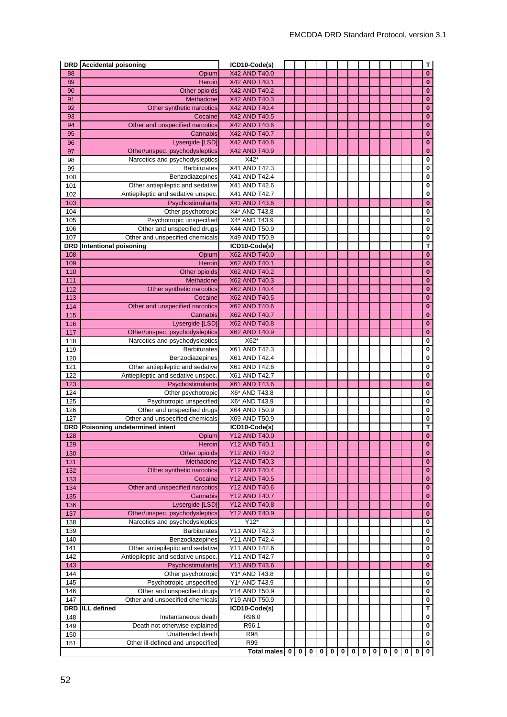|            | DRD Accidental poisoning                            | ICD10-Code(s)                         |              |          |  |            |         |              |   |   |   |   | Τ                        |
|------------|-----------------------------------------------------|---------------------------------------|--------------|----------|--|------------|---------|--------------|---|---|---|---|--------------------------|
| 88         | Opium                                               | X42 AND T40.0                         |              |          |  |            |         |              |   |   |   |   | $\bf{0}$                 |
| 89         | Heroin                                              | X42 AND T40.1                         |              |          |  |            |         |              |   |   |   |   | $\mathbf{0}$             |
| 90         | Other opioids                                       | X42 AND T40.2                         |              |          |  |            |         |              |   |   |   |   | $\bf{0}$                 |
| 91         | Methadone<br>Other synthetic narcotics              | X42 AND T40.3<br>X42 AND T40.4        |              |          |  |            |         |              |   |   |   |   | $\bf{0}$<br>$\mathbf{0}$ |
| 92<br>93   | Cocaine                                             | X42 AND T40.5                         |              |          |  |            |         |              |   |   |   |   | $\bf{0}$                 |
| 94         | Other and unspecified narcotics                     | X42 AND T40.6                         |              |          |  |            |         |              |   |   |   |   | $\bf{0}$                 |
| 95         | Cannabis                                            | X42 AND T40.7                         |              |          |  |            |         |              |   |   |   |   | $\bf{0}$                 |
| 96         | Lysergide [LSD]                                     | X42 AND T40.8                         |              |          |  |            |         |              |   |   |   |   | $\bf{0}$                 |
| 97         | Other/unspec. psychodysleptics                      | X42 AND T40.9                         |              |          |  |            |         |              |   |   |   |   | $\bf{0}$                 |
| 98         | Narcotics and psychodysleptics                      | $X42*$                                |              |          |  |            |         |              |   |   |   |   | 0                        |
| 99         | <b>Barbiturates</b>                                 | X41 AND T42.3                         |              |          |  |            |         |              |   |   |   |   | 0                        |
| 100        | Benzodiazepines                                     | X41 AND T42.4                         |              |          |  |            |         |              |   |   |   |   | 0                        |
| 101        | Other antiepileptic and sedative                    | X41 AND T42.6                         |              |          |  |            |         |              |   |   |   |   | 0                        |
| 102        | Antiepileptic and sedative unspec.                  | X41 AND T42.7                         |              |          |  |            |         |              |   |   |   |   | $\overline{\mathbf{0}}$  |
| 103<br>104 | Psychostimulants<br>Other psychotropic              | X41 AND T43.6<br>X4* AND T43.8        |              |          |  |            |         |              |   |   |   |   | $\bf{0}$<br>0            |
| 105        | Psychotropic unspecified                            | X4* AND T43.9                         |              |          |  |            |         |              |   |   |   |   | 0                        |
| 106        | Other and unspecified drugs                         | X44 AND T50.9                         |              |          |  |            |         |              |   |   |   |   | 0                        |
| 107        | Other and unspecified chemicals                     | X49 AND T50.9                         |              |          |  |            |         |              |   |   |   |   | 0                        |
| <b>DRD</b> | Intentional poisoning                               | ICD10-Code(s)                         |              |          |  |            |         |              |   |   |   |   | T                        |
| 108        | Opium                                               | X62 AND T40.0                         |              |          |  |            |         |              |   |   |   |   | $\bf{0}$                 |
| 109        | Heroin                                              | X62 AND T40.1                         |              |          |  |            |         |              |   |   |   |   | $\bf{0}$                 |
| 110        | Other opioids                                       | X62 AND T40.2                         |              |          |  |            |         |              |   |   |   |   | $\bf{0}$                 |
| 111        | Methadone                                           | <b>X62 AND T40.3</b>                  |              |          |  |            |         |              |   |   |   |   | $\bf{0}$                 |
| 112        | Other synthetic narcotics                           | <b>X62 AND T40.4</b>                  |              |          |  |            |         |              |   |   |   |   | $\bf{0}$                 |
| 113        | Cocaine                                             | X62 AND T40.5                         |              |          |  |            |         |              |   |   |   |   | $\bf{0}$                 |
| 114        | Other and unspecified narcotics                     | <b>X62 AND T40.6</b>                  |              |          |  |            |         |              |   |   |   |   | $\bf{0}$                 |
| 115        | Cannabis                                            | X62 AND T40.7                         |              |          |  |            |         |              |   |   |   |   | $\bf{0}$                 |
| 116<br>117 | Lysergide [LSD]<br>Other/unspec. psychodysleptics   | X62 AND T40.8<br><b>X62 AND T40.9</b> |              |          |  |            |         |              |   |   |   |   | $\bf{0}$<br>$\bf{0}$     |
| 118        | Narcotics and psychodysleptics                      | X62*                                  |              |          |  |            |         |              |   |   |   |   | 0                        |
| 119        | <b>Barbiturates</b>                                 | X61 AND T42.3                         |              |          |  |            |         |              |   |   |   |   | 0                        |
| 120        | Benzodiazepines                                     | X61 AND T42.4                         |              |          |  |            |         |              |   |   |   |   | 0                        |
| 121        | Other antiepileptic and sedative                    | X61 AND T42.6                         |              |          |  |            |         |              |   |   |   |   | 0                        |
| 122        | Antiepileptic and sedative unspec.                  | X61 AND T42.7                         |              |          |  |            |         |              |   |   |   |   | 0                        |
| 123        | Psychostimulants                                    | X61 AND T43.6                         |              |          |  |            |         |              |   |   |   |   | $\bf{0}$                 |
| 124        | Other psychotropic                                  | X6* AND T43.8                         |              |          |  |            |         |              |   |   |   |   | $\pmb{0}$                |
| 125        | Psychotropic unspecified                            | X6* AND T43.9                         |              |          |  |            |         |              |   |   |   |   | 0                        |
| 126        | Other and unspecified drugs                         | X64 AND T50.9                         |              |          |  |            |         |              |   |   |   |   | 0                        |
| 127        | Other and unspecified chemicals                     | X69 AND T50.9                         |              |          |  |            |         |              |   |   |   |   | 0                        |
| DRD<br>128 | Poisoning undetermined intent<br>Opium              | ICD10-Code(s)<br>Y12 AND T40.0        |              |          |  |            |         |              |   |   |   |   | т<br>$\bf{0}$            |
| 129        | Heroin                                              | Y12 AND T40.1                         |              |          |  |            |         |              |   |   |   |   | $\pmb{0}$                |
| 130        | Other opioids                                       | Y12 AND T40.2                         |              |          |  |            |         |              |   |   |   |   | $\overline{\mathbf{0}}$  |
| 131        | Methadone                                           | Y12 AND T40.3                         |              |          |  |            |         |              |   |   |   |   | $\pmb{0}$                |
| 132        | Other synthetic narcotics                           | Y12 AND T40.4                         |              |          |  |            |         |              |   |   |   |   | $\overline{\mathbf{0}}$  |
| 133        | Cocaine                                             | Y12 AND T40.5                         |              |          |  |            |         |              |   |   |   |   | $\pmb{0}$                |
| 134        | Other and unspecified narcotics                     | Y12 AND T40.6                         |              |          |  |            |         |              |   |   |   |   | $\pmb{0}$                |
| 135        | Cannabis                                            | Y12 AND T40.7                         |              |          |  |            |         |              |   |   |   |   | $\overline{\mathbf{0}}$  |
| 136        | Lysergide [LSD]                                     | Y12 AND T40.8                         |              |          |  |            |         |              |   |   |   |   | $\pmb{0}$                |
| 137        | Other/unspec. psychodysleptics                      | Y12 AND T40.9                         |              |          |  |            |         |              |   |   |   |   | $\pmb{0}$                |
| 138        | Narcotics and psychodysleptics                      | $Y12*$                                |              |          |  |            |         |              |   |   |   |   | 0                        |
| 139        | <b>Barbiturates</b>                                 | Y11 AND T42.3                         |              |          |  |            |         |              |   |   |   |   | $\pmb{0}$                |
| 140<br>141 | Benzodiazepines<br>Other antiepileptic and sedative | Y11 AND T42.4<br>Y11 AND T42.6        |              |          |  |            |         |              |   |   |   |   | $\pmb{0}$<br>0           |
| 142        | Antiepileptic and sedative unspec.                  | <b>Y11 AND T42.7</b>                  |              |          |  |            |         |              |   |   |   |   | 0                        |
| 143        | Psychostimulants                                    | Y11 AND T43.6                         |              |          |  |            |         |              |   |   |   |   | $\overline{\mathbf{0}}$  |
| 144        | Other psychotropic                                  | Y1* AND T43.8                         |              |          |  |            |         |              |   |   |   |   | 0                        |
| 145        | Psychotropic unspecified                            | Y1* AND T43.9                         |              |          |  |            |         |              |   |   |   |   | $\overline{\mathbf{0}}$  |
| 146        | Other and unspecified drugs                         | Y14 AND T50.9                         |              |          |  |            |         |              |   |   |   |   | $\pmb{0}$                |
| 147        | Other and unspecified chemicals                     | Y19 AND T50.9                         |              |          |  |            |         |              |   |   |   |   | $\pmb{0}$                |
| <b>DRD</b> | ILL defined                                         | ICD10-Code(s)                         |              |          |  |            |         |              |   |   |   |   | T                        |
| 148        | Instantaneous death                                 | R96.0                                 |              |          |  |            |         |              |   |   |   |   | 0                        |
| 149        | Death not otherwise explained                       | R96.1                                 |              |          |  |            |         |              |   |   |   |   | $\overline{\mathbf{0}}$  |
| 150        | Unattended death                                    | <b>R98</b>                            |              |          |  |            |         |              |   |   |   |   | 0                        |
| 151        | Other ill-defined and unspecified                   | R99<br>Total males                    | $\mathbf{0}$ | $\bf{0}$ |  | $0 0 0 0 $ | $0$   0 | $\mathbf{0}$ | 0 | 0 | 0 | 0 | 0<br>$\mathbf 0$         |
|            |                                                     |                                       |              |          |  |            |         |              |   |   |   |   |                          |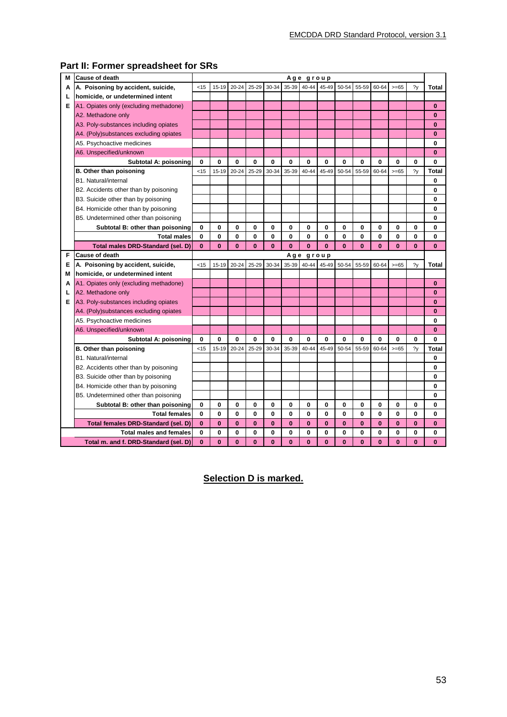| M | Cause of death                          |              |              |              |              |              |              | Age group         |              |              |              |              |              |          |              |
|---|-----------------------------------------|--------------|--------------|--------------|--------------|--------------|--------------|-------------------|--------------|--------------|--------------|--------------|--------------|----------|--------------|
| A | A. Poisoning by accident, suicide,      | <15          | $15 - 19$    | $20 - 24$    | 25-29        | 30-34        |              | 35-39 40-44 45-49 |              | 50-54        | 55-59        | 60-64        | $>= 65$      | ?y       | Total        |
| L | homicide, or undetermined intent        |              |              |              |              |              |              |                   |              |              |              |              |              |          |              |
| Е | A1. Opiates only (excluding methadone)  |              |              |              |              |              |              |                   |              |              |              |              |              |          | $\bf{0}$     |
|   | A2. Methadone only                      |              |              |              |              |              |              |                   |              |              |              |              |              |          | $\Omega$     |
|   | A3. Poly-substances including opiates   |              |              |              |              |              |              |                   |              |              |              |              |              |          | $\bf{0}$     |
|   | A4. (Poly) substances excluding opiates |              |              |              |              |              |              |                   |              |              |              |              |              |          | $\bf{0}$     |
|   | A5. Psychoactive medicines              |              |              |              |              |              |              |                   |              |              |              |              |              |          | 0            |
|   | A6. Unspecified/unknown                 |              |              |              |              |              |              |                   |              |              |              |              |              |          | $\bf{0}$     |
|   | Subtotal A: poisoning                   | 0            | $\bf{0}$     | $\bf{0}$     | 0            | 0            | 0            | $\Omega$          | $\Omega$     | 0            | 0            | 0            | $\mathbf 0$  | 0        | $\Omega$     |
|   | B. Other than poisoning                 | <15          | $15 - 19$    | $20 - 24$    | 25-29        | 30-34        | 35-39        | 40-44             | 45-49        | 50-54        | 55-59        | 60-64        | $>= 65$      | 2v       | <b>Total</b> |
|   | B1. Natural/internal                    |              |              |              |              |              |              |                   |              |              |              |              |              |          | $\mathbf 0$  |
|   | B2. Accidents other than by poisoning   |              |              |              |              |              |              |                   |              |              |              |              |              |          | $\bf{0}$     |
|   | B3. Suicide other than by poisoning     |              |              |              |              |              |              |                   |              |              |              |              |              |          | $\mathbf{0}$ |
|   | B4. Homicide other than by poisoning    |              |              |              |              |              |              |                   |              |              |              |              |              |          | $\mathbf{0}$ |
|   | B5. Undetermined other than poisoning   |              |              |              |              |              |              |                   |              |              |              |              |              |          | $\mathbf{0}$ |
|   | Subtotal B: other than poisoning        | 0            | $\bf{0}$     | $\bf{0}$     | $\mathbf{0}$ | 0            | $\bf{0}$     | $\bf{0}$          | $\bf{0}$     | 0            | 0            | $\bf{0}$     | $\bf{0}$     | 0        | $\mathbf{0}$ |
|   | <b>Total males</b>                      | $\bf{0}$     | $\bf{0}$     | $\bf{0}$     | 0            | 0            | $\mathbf{0}$ | $\bf{0}$          | $\Omega$     | 0            | 0            | 0            | $\bf{0}$     | 0        | $\bf{0}$     |
|   | Total males DRD-Standard (sel. D)       | $\bf{0}$     | $\mathbf{0}$ | $\bf{0}$     | $\bf{0}$     | $\mathbf{0}$ | $\bf{0}$     | $\mathbf{0}$      | $\Omega$     | $\bf{0}$     | $\bf{0}$     | $\mathbf{0}$ | $\bf{0}$     | $\bf{0}$ | $\bf{0}$     |
| F | Cause of death                          |              |              |              |              |              |              | Age group         |              |              |              |              |              |          |              |
| Е | A. Poisoning by accident, suicide,      | <15          |              | 15-19 20-24  | 25-29        | 30-34        |              | 35-39 40-44       | 45-49        | 50-54        | 55-59        | 60-64        | $>= 65$      | 2y       | <b>Total</b> |
| Μ | homicide, or undetermined intent        |              |              |              |              |              |              |                   |              |              |              |              |              |          |              |
| А | A1. Opiates only (excluding methadone)  |              |              |              |              |              |              |                   |              |              |              |              |              |          | $\bf{0}$     |
| L | A2. Methadone only                      |              |              |              |              |              |              |                   |              |              |              |              |              |          | $\bf{0}$     |
| Е | A3. Poly-substances including opiates   |              |              |              |              |              |              |                   |              |              |              |              |              |          | $\bf{0}$     |
|   | A4. (Poly) substances excluding opiates |              |              |              |              |              |              |                   |              |              |              |              |              |          | $\bf{0}$     |
|   | A5. Psychoactive medicines              |              |              |              |              |              |              |                   |              |              |              |              |              |          | $\mathbf{0}$ |
|   | A6. Unspecified/unknown                 |              |              |              |              |              |              |                   |              |              |              |              |              |          | $\bf{0}$     |
|   | Subtotal A: poisoning                   | 0            | $\mathbf{0}$ | $\mathbf{0}$ | $\mathbf{0}$ | 0            | $\mathbf{0}$ | $\bf{0}$          | $\Omega$     | $\mathbf{0}$ | $\mathbf{0}$ | $\mathbf{0}$ | $\bf{0}$     | 0        | $\mathbf{0}$ |
|   | B. Other than poisoning                 | <15          | $15 - 19$    | $20 - 24$    | 25-29        | 30-34        | 35-39        | 40-44             | 45-49        | 50-54        | 55-59        | 60-64        | $>= 65$      | 2v       | <b>Total</b> |
|   | <b>B1. Natural/internal</b>             |              |              |              |              |              |              |                   |              |              |              |              |              |          | $\mathbf{0}$ |
|   | B2. Accidents other than by poisoning   |              |              |              |              |              |              |                   |              |              |              |              |              |          | 0            |
|   | B3. Suicide other than by poisoning     |              |              |              |              |              |              |                   |              |              |              |              |              |          | 0            |
|   | B4. Homicide other than by poisoning    |              |              |              |              |              |              |                   |              |              |              |              |              |          | $\mathbf{0}$ |
|   | B5. Undetermined other than poisoning   |              |              |              |              |              |              |                   |              |              |              |              |              |          | 0            |
|   | Subtotal B: other than poisoning        | $\bf{0}$     | $\mathbf{0}$ | $\bf{0}$     | $\mathbf{0}$ | 0            | $\mathbf{0}$ | $\mathbf{0}$      | $\bf{0}$     | 0            | 0            | 0            | $\bf{0}$     | 0        | $\mathbf{0}$ |
|   | <b>Total females</b>                    | $\bf{0}$     | $\mathbf{0}$ | $\mathbf{0}$ | $\mathbf{0}$ | 0            | $\mathbf{0}$ | $\mathbf{0}$      | $\mathbf{0}$ | 0            | 0            | $\mathbf{0}$ | $\mathbf{0}$ | $\bf{0}$ | $\mathbf{0}$ |
|   | Total females DRD-Standard (sel. D)     | $\mathbf{0}$ | $\bf{0}$     | $\bf{0}$     | $\Omega$     | $\Omega$     | $\Omega$     | $\bf{0}$          | $\Omega$     | $\bf{0}$     | $\bf{0}$     | $\bf{0}$     | $\Omega$     | $\Omega$ | $\bf{0}$     |
|   | <b>Total males and females</b>          | $\bf{0}$     | $\mathbf{0}$ | $\mathbf{0}$ | $\mathbf{0}$ | 0            | $\mathbf{0}$ | $\bf{0}$          | $\mathbf{0}$ | 0            | $\mathbf{0}$ | $\mathbf{0}$ | $\mathbf{0}$ | $\bf{0}$ | $\mathbf{0}$ |
|   |                                         |              |              |              |              |              |              |                   |              |              |              |              |              |          |              |

#### **Part II: Former spreadsheet for SRs**

**Selection D is marked.**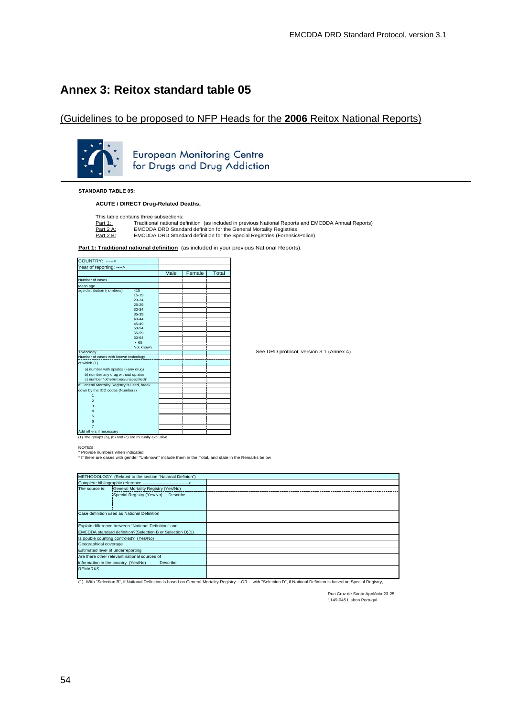## <span id="page-53-0"></span>**Annex 3: Reitox standard table 05**

#### (Guidelines to be proposed to NFP Heads for the **2006** Reitox National Reports)



**European Monitoring Centre** for Drugs and Drug Addiction

**STANDARD TABLE 05:**

**ACUTE / DIRECT Drug-Related Deaths,** 

This table contains three subsections:<br>Part 1: Traditional national definition (as included in previous National Reports and EMCDDA Annual Reports) Part 2 A: EMCDDA DRD Standard definition for the General Mortality Registries<br>
Part 2 B: EMCDDA DRD Standard definition for the Special Registries (Forensic/Police)

**Part 1: Traditional national definition** (as included in your previous National Reports).

| COUNTRY: ----->                                                                                                                                                |      |        |       |
|----------------------------------------------------------------------------------------------------------------------------------------------------------------|------|--------|-------|
| Year of reporting: ---->                                                                                                                                       |      |        |       |
|                                                                                                                                                                | Male | Female | Total |
| Number of cases                                                                                                                                                |      |        |       |
| Mean age                                                                                                                                                       |      |        |       |
| age distribution (numbers)<br><15<br>$15 - 19$<br>$20 - 24$<br>25-29<br>$30 - 34$<br>35-39<br>$40 - 44$<br>$45 - 49$<br>$50 - 54$<br>55-59<br>60-64<br>$>= 65$ |      |        |       |
| Not known                                                                                                                                                      |      |        |       |
| Toxicology<br>Number of cases with known toxicology                                                                                                            |      |        |       |
| of which (1)                                                                                                                                                   |      |        |       |
| a) number with opiates (+any drug)<br>b) number any drug without opiates                                                                                       |      |        |       |
| c) number "other/mixed/unspecified)"                                                                                                                           |      |        |       |
| If General Mortality Registry is used, break<br>down by the ICD codes (Numbers)<br>1                                                                           |      |        |       |
| $\overline{2}$                                                                                                                                                 |      |        |       |
| 3                                                                                                                                                              |      |        |       |
| $\overline{4}$                                                                                                                                                 |      |        |       |
| 5                                                                                                                                                              |      |        |       |
| 6                                                                                                                                                              |      |        |       |
| $\overline{7}$                                                                                                                                                 |      |        |       |
| Add others if necessary                                                                                                                                        |      |        |       |

Add others if necessary (1) The groups (a), (b) and (c) are mutually exclusive

NOTES<br>\* Provide numbers when indicated<br>\* If there are cases with gender "Unknown" include them in the Total, and state in the Remarks below

|                                                       | METHODOLOGY (Related to the section "National Definion")           |  |
|-------------------------------------------------------|--------------------------------------------------------------------|--|
|                                                       | Complete bibliographic reference --------------------------------> |  |
| The source is:<br>General Mortality Registry (Yes/No) |                                                                    |  |
|                                                       | Special Registry (Yes/No)<br>Describe                              |  |
|                                                       |                                                                    |  |
|                                                       | Case definition used as National Definition                        |  |
|                                                       | Explain difference between "National Definition" and               |  |
|                                                       | EMCDDA standard definition?(Selection B or Selection D)(1)         |  |
|                                                       | Is double counting controled? (Yes/No)                             |  |
| Geographical coverage                                 |                                                                    |  |
| Estimated level of underreporting                     |                                                                    |  |
|                                                       | Are there other relevant national sources of                       |  |
|                                                       | information in the country (Yes/No)<br>Describe                    |  |
| <b>REMARKS</b>                                        |                                                                    |  |

(1) With "Selection B", if National Definition is based on General Mortality Registry --OR-- with "Selection D", if National Definiton is based on Special Registry,

Rua Cruz de Santa Apolónia 23-25, 1149-045 Lisbon Portugal

See DRD protocol, version 3.1 (Annex 4)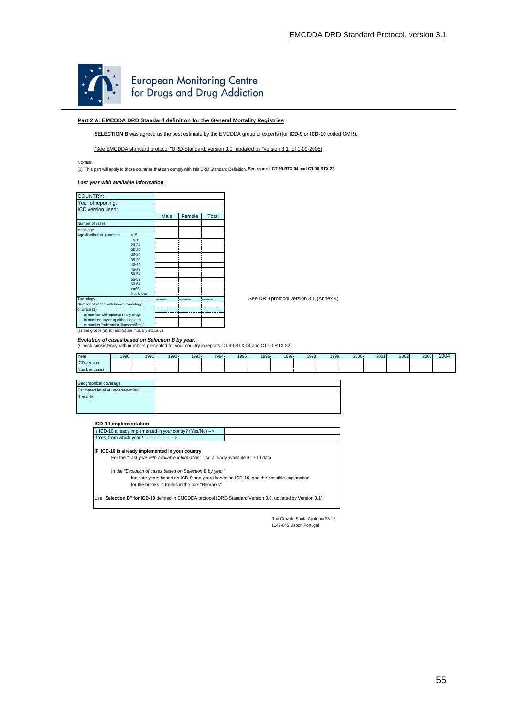

# European Monitoring Centre<br>for Drugs and Drug Addiction

#### **Part 2 A: EMCDDA DRD Standard definition for the General Mortality Registries**

**SELECTION B** was agreed as the best estimate by the EMCDDA group of experts (for **ICD-9** or **ICD-10** coded GMR).

(See EMCDDA standard protocol "DRD-Standard, version 3.0" updated by "version 3.1" of 1-09-2005)

NOTES:

(1) This part will apply to those countries that can comply with this DRD Standard Definition. **See reports CT.99.RTX.04 and CT.00.RTX.22**

#### *Last year with available information*

| <b>COUNTRY:</b>                                        |           |      |        |       |
|--------------------------------------------------------|-----------|------|--------|-------|
| Year of reporting:                                     |           |      |        |       |
| ICD version used:                                      |           |      |        |       |
|                                                        |           | Male | Female | Total |
| Number of cases                                        |           |      |        |       |
| Mean age                                               |           |      |        |       |
| Age distribution (number)                              | <15       |      |        |       |
|                                                        | $15 - 19$ |      |        |       |
|                                                        | $20 - 24$ |      |        |       |
|                                                        | $25 - 29$ |      |        |       |
|                                                        | 30-34     |      |        |       |
|                                                        | 35-39     |      |        |       |
|                                                        | $40 - 44$ |      |        |       |
|                                                        | $45 - 49$ |      |        |       |
|                                                        | 50-54     |      |        |       |
|                                                        | 55-59     |      |        |       |
|                                                        | 60-64     |      |        |       |
|                                                        | $>= 65$   |      |        |       |
|                                                        | Not known |      |        |       |
| Toxicology                                             |           |      |        |       |
| Number of cases with known toxicology                  |           |      |        |       |
| of which (1)                                           |           |      |        |       |
| a) number with opiates (+any drug)                     |           |      |        |       |
| b) number any drug without opiates                     |           |      |        |       |
| c) number "other/mixed/unspecified)"                   |           |      |        |       |
| (1) The groups (a), (b) and (c) are mutually exclusive |           |      |        |       |

See DRD protocol version 3.1 (Annex 4)

*Evolution of cases based on Selection B by year.*  (Check consistency with numbers presented for your country in reports CT.99.RTX.04 and CT.00.RTX.22)

| <b>ICD</b> version<br>Number cases | Year | 19901 | 1991 | 19921 | 1993 | 1994 | 1995 | 1996 | 1997 | 19981 | 1999 | 2000 | 2001 | ጎሰሰሰ<br><b>ZUUZ</b> | 2003 | .<br><b>ZUU4</b> |
|------------------------------------|------|-------|------|-------|------|------|------|------|------|-------|------|------|------|---------------------|------|------------------|
|                                    |      |       |      |       |      |      |      |      |      |       |      |      |      |                     |      |                  |
|                                    |      |       |      |       |      |      |      |      |      |       |      |      |      |                     |      |                  |

| Geographical coverage             |  |
|-----------------------------------|--|
| Estimated level of underreporting |  |
| <b>Remarks</b>                    |  |

#### **ICD-10 implementation**

| Is ICD-10 already implemented in your contry? (Yes/No) -->                       |  |
|----------------------------------------------------------------------------------|--|
| If Yes, from which year? ------------------>                                     |  |
|                                                                                  |  |
| <b>IF ICD-10 is already implemented in your country</b>                          |  |
| For the "Last year with available information" use already available ICD 10 data |  |
| In the "Evolution of cases based on Selection B by year"                         |  |

Indicate years based on ICD-9 and years based on ICD-10, and the possible explanation for the breaks in trends in the box "Remarks"

Use "**Selection B" for ICD-10** defined in EMCDDA protocol (DRD-Standard Version 3.0, updated by Version 3.1)

Rua Cruz de Santa Apolónia 23-25, 1149-045 Lisbon Portugal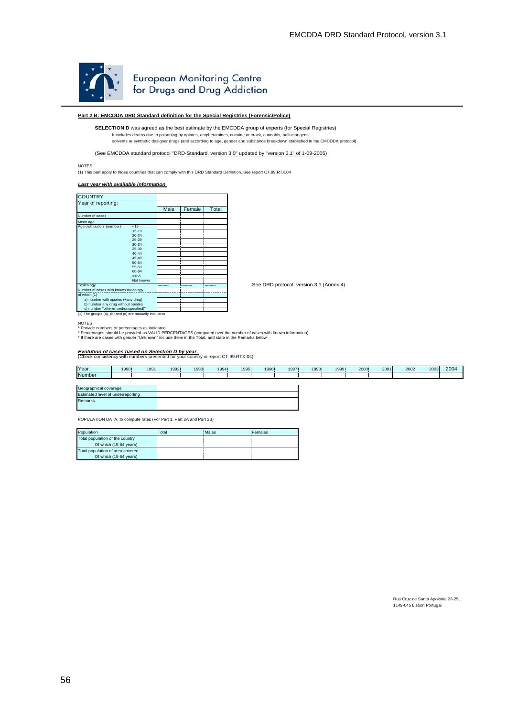

#### **Part 2 B: EMCDDA DRD Standard definition for the Special Registries (Forensic/Police)**

**SELECTION D** was agreed as the best estimate by the EMCDDA group of experts (for Special Registries) It includes deaths due to poisoning by opiates, amphetamines, cocaine or crack, cannabis, hallucinogens, solvents or synthetic designer drugs (and according to age, gender and substance breakdown stablished in the EMCDDA protocol).

#### (See EMCDDA standard protocol "DRD-Standard, version 3.0" updated by "version 3.1" of 1-09-2005)

NOTES:

(1) This part apply to those countries that can comply with this DRD Standard Definition. See report CT.99.RTX.04

#### *Last year with available information*

| <b>COUNTRY</b>                                         |           |      |        |       |
|--------------------------------------------------------|-----------|------|--------|-------|
| Year of reporting:                                     |           |      |        |       |
|                                                        |           | Male | Female | Total |
| Number of cases                                        |           |      |        |       |
| Mean age                                               |           |      |        |       |
| Age distribution (number)                              | 215       |      |        |       |
|                                                        | $15 - 19$ |      |        |       |
|                                                        | $20 - 24$ |      |        |       |
|                                                        | 25-29     |      |        |       |
|                                                        | $30 - 34$ |      |        |       |
|                                                        | 35-39     |      |        |       |
|                                                        | $40 - 44$ |      |        |       |
|                                                        | $45 - 49$ |      |        |       |
|                                                        | $50 - 54$ |      |        |       |
|                                                        | 55-59     |      |        |       |
|                                                        | 60-64     |      |        |       |
|                                                        | $>= 65$   |      |        |       |
|                                                        | Not known |      |        |       |
| Toxicology                                             |           |      |        |       |
| Number of cases with known toxicology                  |           |      |        |       |
| of which (1)                                           |           |      |        |       |
| a) number with opiates (+any drug)                     |           |      |        |       |
| b) number any drug without opiates                     |           |      |        |       |
| c) number "other/mixed/unspecified)"                   |           |      |        |       |
| (1) The groups (a), (b) and (c) are mutually exclusive |           |      |        |       |

See DRD protocol, version 3.1 (Annex 4)

NOTES<br>\* Provide numbers or percentages as indicated<br>\* Percentages should be provided as VALID PERCENTAGES (computed over the number of cases with known information)<br>\* If there are cases with gender "Unknown" include them i

#### *Evolution of cases based on Selection D by year.* (Check consistency with numbers presented for your country in report CT.99.RTX.04)

| Year                              | 1990 | 1991 | 1992 | 1993 | 1994 | 1995 | 1996 | 1997 | 1998 | 1999 | 2000 | 2001 | 2002 | 2003 | 2004 |
|-----------------------------------|------|------|------|------|------|------|------|------|------|------|------|------|------|------|------|
| <b>Number</b>                     |      |      |      |      |      |      |      |      |      |      |      |      |      |      |      |
|                                   |      |      |      |      |      |      |      |      |      |      |      |      |      |      |      |
| Geographical coverage             |      |      |      |      |      |      |      |      |      |      |      |      |      |      |      |
| Estimated level of underreporting |      |      |      |      |      |      |      |      |      |      |      |      |      |      |      |
| <b>Remarks</b>                    |      |      |      |      |      |      |      |      |      |      |      |      |      |      |      |
|                                   |      |      |      |      |      |      |      |      |      |      |      |      |      |      |      |

#### POPULATION DATA, to compute rates (For Part 1, Part 2A and Part 2B)

| Population                       | Total | <b>Males</b> | Females |
|----------------------------------|-------|--------------|---------|
| Total population of the country  |       |              |         |
| Of which (15-64 years)           |       |              |         |
| Total population of area covered |       |              |         |
| Of which (15-64 years)           |       |              |         |

Rua Cruz de Santa Apolónia 23-25, 1149-045 Lisbon Portugal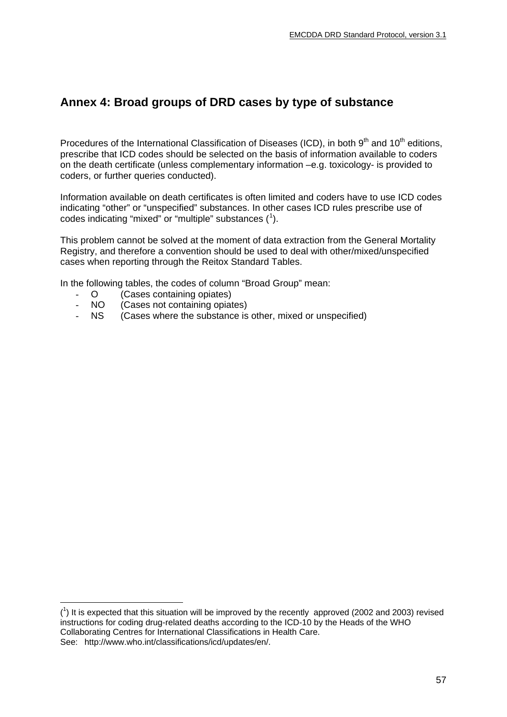## **Annex 4: Broad groups of DRD cases by type of substance**

Procedures of the International Classification of Diseases (ICD), in both 9<sup>th</sup> and 10<sup>th</sup> editions, prescribe that ICD codes should be selected on the basis of information available to coders on the death certificate (unless complementary information –e.g. toxicology- is provided to coders, or further queries conducted).

Information available on death certificates is often limited and coders have to use ICD codes indicating "other" or "unspecified" substances. In other cases ICD rules prescribe use of codes indicating "mixed" or "multiple" substances  $(1)$  $(1)$  $(1)$ .

This problem cannot be solved at the moment of data extraction from the General Mortality Registry, and therefore a convention should be used to deal with other/mixed/unspecified cases when reporting through the Reitox Standard Tables.

In the following tables, the codes of column "Broad Group" mean:

- O (Cases containing opiates)
- NO (Cases not containing opiates)
- NS (Cases where the substance is other, mixed or unspecified)

<span id="page-56-0"></span> $\overline{\phantom{0}}$ ( 1 ) It is expected that this situation will be improved by the recently approved (2002 and 2003) revised instructions for coding drug-related deaths according to the ICD-10 by the Heads of the WHO Collaborating Centres for International Classifications in Health Care. See: http://www.who.int/classifications/icd/updates/en/.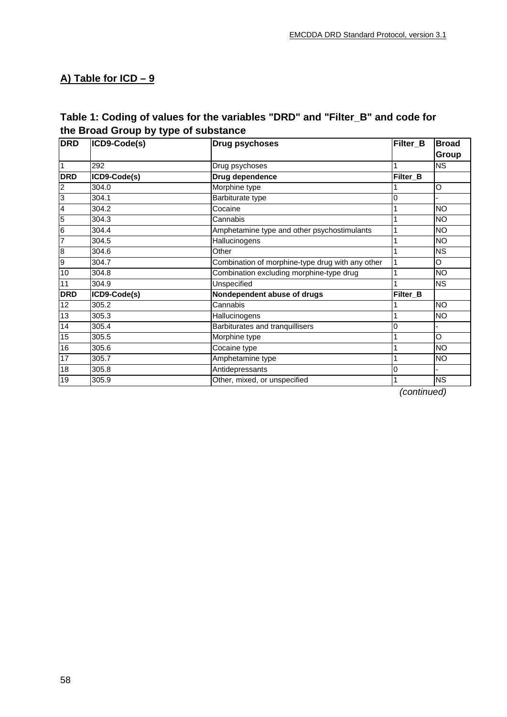#### **A) Table for ICD – 9**

#### **Table 1: Coding of values for the variables "DRD" and "Filter\_B" and code for the Broad Group by type of substance**

| DRD             | ICD9-Code(s) | <b>Drug psychoses</b>                            | Filter_B            | <b>Broad</b> |
|-----------------|--------------|--------------------------------------------------|---------------------|--------------|
|                 |              |                                                  |                     | Group        |
| $\overline{1}$  | 292          | Drug psychoses                                   |                     | <b>NS</b>    |
| <b>DRD</b>      | ICD9-Code(s) | Drug dependence                                  | Filter_B            |              |
| $\overline{2}$  | 304.0        | Morphine type                                    |                     | O            |
| $\overline{3}$  | 304.1        | Barbiturate type                                 | 0                   |              |
| $\overline{4}$  | 304.2        | Cocaine                                          |                     | <b>NO</b>    |
| $5\overline{5}$ | 304.3        | Cannabis                                         |                     | <b>NO</b>    |
| $\overline{6}$  | 304.4        | Amphetamine type and other psychostimulants      |                     | <b>NO</b>    |
| $\overline{7}$  | 304.5        | Hallucinogens                                    |                     | <b>NO</b>    |
| $\overline{8}$  | 304.6        | Other                                            |                     | <b>NS</b>    |
| $\overline{9}$  | 304.7        | Combination of morphine-type drug with any other |                     | O            |
| 10              | 304.8        | Combination excluding morphine-type drug         |                     | <b>NO</b>    |
| 11              | 304.9        | Unspecified                                      |                     | <b>NS</b>    |
| <b>DRD</b>      | ICD9-Code(s) | Nondependent abuse of drugs                      | Filter_B            |              |
| 12              | 305.2        | Cannabis                                         |                     | <b>NO</b>    |
| 13              | 305.3        | Hallucinogens                                    |                     | <b>NO</b>    |
| 14              | 305.4        | Barbiturates and tranquillisers                  | 0                   |              |
| 15              | 305.5        | Morphine type                                    |                     | O            |
| 16              | 305.6        | Cocaine type                                     |                     | <b>NO</b>    |
| 17              | 305.7        | Amphetamine type                                 |                     | <b>NO</b>    |
| $\overline{18}$ | 305.8        | Antidepressants                                  | 0                   |              |
| 19              | 305.9        | Other, mixed, or unspecified                     | $\lambda$ $\lambda$ | <b>NS</b>    |

*(continued)*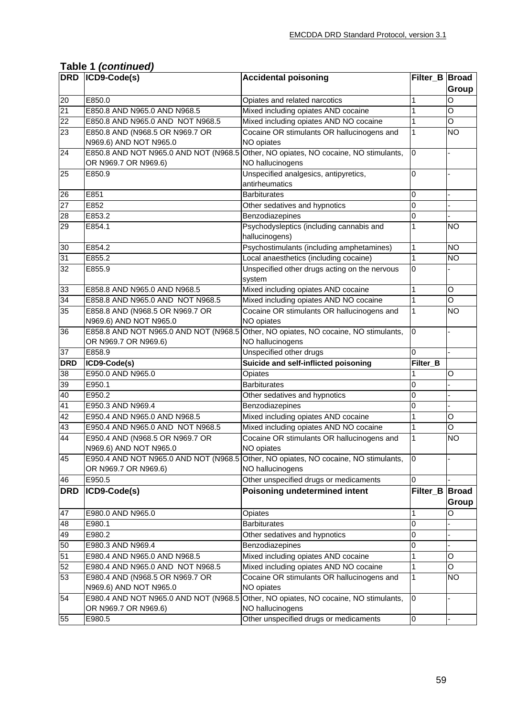#### **Table 1** *(continued)*

| <b>DRD</b>      | ICD9-Code(s)                                                  | <b>Accidental poisoning</b>                                                         | Filter_B Broad |           |
|-----------------|---------------------------------------------------------------|-------------------------------------------------------------------------------------|----------------|-----------|
|                 |                                                               |                                                                                     |                | Group     |
| 20              | E850.0                                                        | Opiates and related narcotics                                                       | 1              | O         |
| 21              | E850.8 AND N965.0 AND N968.5                                  | Mixed including opiates AND cocaine                                                 | 1              | O         |
| $\overline{22}$ | E850.8 AND N965.0 AND NOT N968.5                              | Mixed including opiates AND NO cocaine                                              | 1              | O         |
| 23              | E850.8 AND (N968.5 OR N969.7 OR                               | Cocaine OR stimulants OR hallucinogens and                                          | 1              | <b>NO</b> |
|                 | N969.6) AND NOT N965.0                                        | NO opiates                                                                          |                |           |
| 24              | E850.8 AND NOT N965.0 AND NOT (N968.5                         | Other, NO opiates, NO cocaine, NO stimulants,                                       | 0              |           |
|                 | OR N969.7 OR N969.6)                                          | NO hallucinogens                                                                    |                |           |
| 25              | E850.9                                                        | Unspecified analgesics, antipyretics,                                               | $\Omega$       |           |
|                 |                                                               | antirheumatics                                                                      |                |           |
| 26              | E851                                                          | <b>Barbiturates</b>                                                                 | 0              |           |
| 27              | E852                                                          | Other sedatives and hypnotics                                                       | 0              |           |
| 28              | E853.2                                                        | Benzodiazepines                                                                     | 0              |           |
| 29              | E854.1                                                        | Psychodysleptics (including cannabis and                                            | 1              | <b>NO</b> |
|                 |                                                               | hallucinogens)                                                                      |                |           |
| 30              | E854.2                                                        | Psychostimulants (including amphetamines)                                           | 1              | <b>NO</b> |
| 31              | E855.2                                                        | Local anaesthetics (including cocaine)                                              | 1              | <b>NO</b> |
| 32              | E855.9                                                        | Unspecified other drugs acting on the nervous                                       | $\Omega$       |           |
|                 |                                                               | system                                                                              |                |           |
| 33              | E858.8 AND N965.0 AND N968.5                                  | Mixed including opiates AND cocaine                                                 | 1              | O         |
| $\overline{34}$ | E858.8 AND N965.0 AND NOT N968.5                              | Mixed including opiates AND NO cocaine                                              | 1              | O         |
| 35              | E858.8 AND (N968.5 OR N969.7 OR                               | Cocaine OR stimulants OR hallucinogens and                                          | 1              | <b>NO</b> |
|                 | N969.6) AND NOT N965.0                                        | NO opiates                                                                          |                |           |
| 36              | E858.8 AND NOT N965.0 AND NOT (N968.5                         | Other, NO opiates, NO cocaine, NO stimulants,                                       | l0             |           |
| 37              | OR N969.7 OR N969.6)<br>E858.9                                | NO hallucinogens<br>Unspecified other drugs                                         | $\Omega$       |           |
| <b>DRD</b>      |                                                               |                                                                                     | Filter_B       |           |
|                 | ICD9-Code(s)                                                  | Suicide and self-inflicted poisoning                                                |                |           |
| 38<br>39        | E950.0 AND N965.0<br>E950.1                                   | Opiates<br><b>Barbiturates</b>                                                      | 1<br>0         | O         |
| 40              | E950.2                                                        | Other sedatives and hypnotics                                                       | 0              |           |
| 41              | E950.3 AND N969.4                                             | Benzodiazepines                                                                     | 0              |           |
| 42              | E950.4 AND N965.0 AND N968.5                                  | Mixed including opiates AND cocaine                                                 | 1              | O         |
| 43              | E950.4 AND N965.0 AND NOT N968.5                              | Mixed including opiates AND NO cocaine                                              | 1              | O         |
| 44              | E950.4 AND (N968.5 OR N969.7 OR                               | Cocaine OR stimulants OR hallucinogens and                                          | 1              | <b>NO</b> |
|                 | N969.6) AND NOT N965.0                                        | NO opiates                                                                          |                |           |
| 45              |                                                               | E950.4 AND NOT N965.0 AND NOT (N968.5 Other, NO opiates, NO cocaine, NO stimulants, | 10             |           |
|                 | OR N969.7 OR N969.6)                                          | NO hallucinogens                                                                    |                |           |
| 46              | E950.5                                                        |                                                                                     | $\overline{0}$ |           |
| <b>DRD</b>      |                                                               |                                                                                     |                |           |
|                 |                                                               | Other unspecified drugs or medicaments                                              |                |           |
| 47              | ICD9-Code(s)                                                  | <b>Poisoning undetermined intent</b>                                                | Filter_B Broad |           |
|                 |                                                               |                                                                                     |                | Group     |
|                 | E980.0 AND N965.0                                             | Opiates                                                                             | 1              | O         |
| 48              | E980.1                                                        | <b>Barbiturates</b>                                                                 | 0              |           |
| 49              | E980.2                                                        | Other sedatives and hypnotics                                                       | 0              |           |
| 50              | E980.3 AND N969.4                                             | Benzodiazepines                                                                     | $\overline{0}$ |           |
| 51              | E980.4 AND N965.0 AND N968.5                                  | Mixed including opiates AND cocaine                                                 | 1              | O         |
| 52              | E980.4 AND N965.0 AND NOT N968.5                              | Mixed including opiates AND NO cocaine                                              | 1              | O         |
| 53              | E980.4 AND (N968.5 OR N969.7 OR                               | Cocaine OR stimulants OR hallucinogens and                                          | 1              | <b>NO</b> |
|                 | N969.6) AND NOT N965.0                                        | NO opiates                                                                          |                |           |
| 54              | E980.4 AND NOT N965.0 AND NOT (N968.5<br>OR N969.7 OR N969.6) | Other, NO opiates, NO cocaine, NO stimulants,<br>NO hallucinogens                   | 0              |           |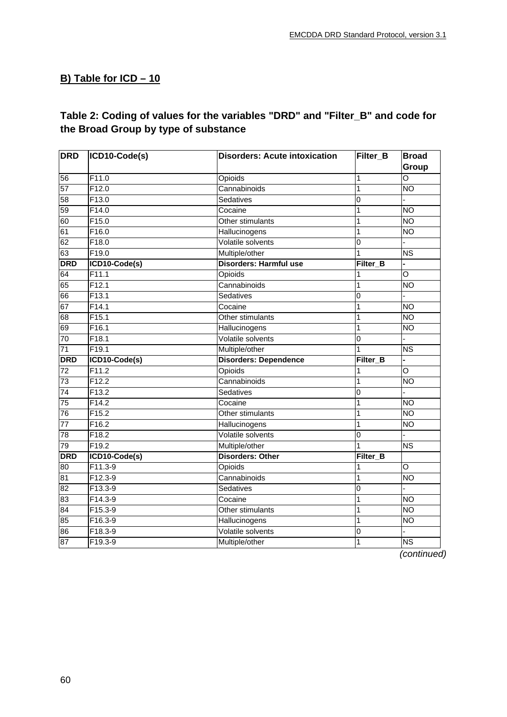#### **B) Table for ICD – 10**

## **Table 2: Coding of values for the variables "DRD" and "Filter\_B" and code for the Broad Group by type of substance**

| <b>DRD</b>      | ICD10-Code(s)      | <b>Disorders: Acute intoxication</b> | Filter_B       | <b>Broad</b>            |
|-----------------|--------------------|--------------------------------------|----------------|-------------------------|
|                 |                    |                                      |                | Group                   |
| 56              | F11.0              | Opioids                              | 1              | O                       |
| 57              | F12.0              | Cannabinoids                         | 1              | $\overline{NO}$         |
| 58              | F13.0              | Sedatives                            | 0              |                         |
| 59              | F14.0              | Cocaine                              | 1              | $\overline{NO}$         |
| 60              | F15.0              | Other stimulants                     | $\mathbf{1}$   | $\overline{NO}$         |
| 61              | F16.0              | Hallucinogens                        | 1              | $\overline{NO}$         |
| 62              | F18.0              | Volatile solvents                    | 0              |                         |
| 63              | F19.0              | Multiple/other                       | 1              | $\overline{\text{NS}}$  |
| <b>DRD</b>      | ICD10-Code(s)      | <b>Disorders: Harmful use</b>        | Filter_B       |                         |
| 64              | F11.1              | Opioids                              | 1              | $\overline{\circ}$      |
| 65              | $\overline{F12.1}$ | Cannabinoids                         | 1              | $\overline{NO}$         |
| 66              | F13.1              | Sedatives                            | 0              |                         |
| 67              | F14.1              | Cocaine                              | 1              | $\overline{NO}$         |
| 68              | F15.1              | Other stimulants                     | 1              | $\overline{NO}$         |
| 69              | F16.1              | Hallucinogens                        | 1              | $\overline{NO}$         |
| 70              | F18.1              | <b>Volatile solvents</b>             | $\overline{0}$ |                         |
| $\overline{71}$ | F19.1              | Multiple/other                       | 1              | $\overline{\text{NS}}$  |
| <b>DRD</b>      | ICD10-Code(s)      | <b>Disorders: Dependence</b>         | Filter_B       |                         |
| $\overline{72}$ | F11.2              | Opioids                              | 1              | $\overline{\mathsf{o}}$ |
| 73              | F12.2              | Cannabinoids                         | 1              | <b>NO</b>               |
| 74              | F13.2              | Sedatives                            | 0              |                         |
| $\overline{75}$ | F14.2              | Cocaine                              | 1              | <b>NO</b>               |
| 76              | F15.2              | Other stimulants                     | 1              | $\overline{NO}$         |
| $\overline{77}$ | F16.2              | Hallucinogens                        | 1              | <b>NO</b>               |
| 78              | $\overline{F18.2}$ | <b>Volatile solvents</b>             | $\overline{0}$ |                         |
| 79              | F19.2              | Multiple/other                       | 1              | <b>NS</b>               |
| <b>DRD</b>      | ICD10-Code(s)      | <b>Disorders: Other</b>              | Filter_B       |                         |
| 80              | F11.3-9            | Opioids                              | 1              | O                       |
| 81              | $F12.3-9$          | Cannabinoids                         | $\overline{1}$ | $\overline{NO}$         |
| $\overline{82}$ | F13.3-9            | Sedatives                            | 0              |                         |
| 83              | F14.3-9            | Cocaine                              | 1              | $\overline{NO}$         |
| 84              | F15.3-9            | Other stimulants                     | 1              | <b>NO</b>               |
| 85              | F16.3-9            | Hallucinogens                        | 1              | $\overline{NO}$         |
| 86              | F18.3-9            | Volatile solvents                    | 0              |                         |
| 87              | F19.3-9            | Multiple/other                       | 1              | $\overline{\text{NS}}$  |

*(continued)*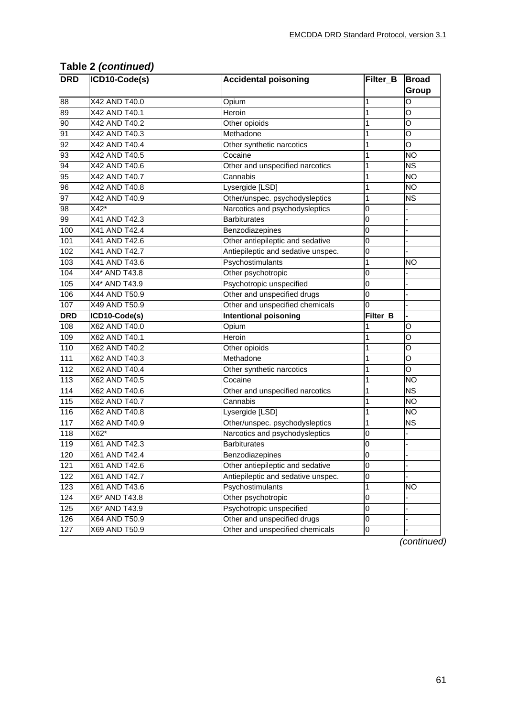| <b>DRD</b>              | ICD10-Code(s)                         | <b>Accidental poisoning</b>                                    | Filter_B       | <b>Broad</b>           |
|-------------------------|---------------------------------------|----------------------------------------------------------------|----------------|------------------------|
|                         |                                       |                                                                |                | Group                  |
| 88                      | X42 AND T40.0                         | Opium                                                          | 1              | O                      |
| 89                      | X42 AND T40.1                         | Heroin                                                         | 1              | O                      |
| 90                      | X42 AND T40.2                         | Other opioids                                                  | 1              | $\overline{\circ}$     |
| 91                      | X42 AND T40.3                         | Methadone                                                      | 1              | O                      |
| 92                      | X42 AND T40.4                         | Other synthetic narcotics                                      | 1              | O                      |
| 93                      | X42 AND T40.5                         | Cocaine                                                        | 1              | <b>NO</b>              |
| 94                      | X42 AND T40.6                         | Other and unspecified narcotics                                | 1              | <b>NS</b>              |
| 95                      | X42 AND T40.7                         | Cannabis                                                       | 1              | <b>NO</b>              |
| 96                      | X42 AND T40.8                         | Lysergide [LSD]                                                | 1              | <b>NO</b>              |
| 97                      | X42 AND T40.9                         | Other/unspec. psychodysleptics                                 | 1              | <b>NS</b>              |
| 98                      | $X42*$                                | Narcotics and psychodysleptics                                 | 0              |                        |
| 99                      | X41 AND T42.3                         | <b>Barbiturates</b>                                            | $\overline{0}$ |                        |
| 100                     | X41 AND T42.4                         | Benzodiazepines                                                | $\overline{0}$ |                        |
| 101                     | X41 AND T42.6                         | Other antiepileptic and sedative                               | 0              |                        |
| 102                     | X41 AND T42.7                         | Antiepileptic and sedative unspec.                             | 0              |                        |
| 103                     | X41 AND T43.6                         | Psychostimulants                                               | 1              | <b>NO</b>              |
| 104                     | X4* AND T43.8                         | Other psychotropic                                             | 0              |                        |
| 105                     | X4* AND T43.9                         | Psychotropic unspecified                                       | 0              |                        |
| 106                     | X44 AND T50.9                         | Other and unspecified drugs                                    | 0              |                        |
| 107                     | X49 AND T50.9                         | Other and unspecified chemicals                                | 0              |                        |
|                         |                                       |                                                                |                |                        |
| <b>DRD</b>              | ICD10-Code(s)                         | Intentional poisoning                                          | Filter_B       |                        |
| 108                     | X62 AND T40.0                         | Opium                                                          | 1              | O                      |
| 109                     | X62 AND T40.1                         | Heroin                                                         | 1              | O                      |
| 110                     | X62 AND T40.2                         | Other opioids                                                  | 1              | $\overline{\circ}$     |
| 111                     | X62 AND T40.3                         | Methadone                                                      | 1              | O                      |
| 112                     | X62 AND T40.4                         | Other synthetic narcotics                                      | 1              | O                      |
| 113                     | X62 AND T40.5                         | Cocaine                                                        | 1              | <b>NO</b>              |
| $\frac{114}{114}$       | X62 AND T40.6                         | Other and unspecified narcotics                                | 1              | $\overline{\text{NS}}$ |
| 115                     | X62 AND T40.7                         | Cannabis                                                       | 1              | <b>NO</b>              |
| 116                     | X62 AND T40.8                         | Lysergide [LSD]                                                | 1              | <b>NO</b>              |
| 117                     | X62 AND T40.9                         | Other/unspec. psychodysleptics                                 | 1              | <b>NS</b>              |
| 118                     | X62*                                  | Narcotics and psychodysleptics                                 | 0              |                        |
| 119                     | X61 AND T42.3                         | <b>Barbiturates</b>                                            | 0              |                        |
| 120                     | X61 AND T42.4                         | Benzodiazepines                                                | 0              |                        |
| 121                     | X61 AND T42.6                         | Other antiepileptic and sedative                               | 0              |                        |
| 122                     | X61 AND T42.7                         | Antiepileptic and sedative unspec.                             | $\mathsf 0$    |                        |
| 123                     | X61 AND T43.6                         | Psychostimulants                                               | 1              | <b>NO</b>              |
| 124                     | <b>X6* AND T43.8</b>                  | Other psychotropic                                             | 0              |                        |
| 125                     | X6* AND T43.9                         | Psychotropic unspecified                                       | 0              |                        |
| 126<br>$\overline{1}27$ | X64 AND T50.9<br><b>X69 AND T50.9</b> | Other and unspecified drugs<br>Other and unspecified chemicals | $\mathbf 0$    |                        |

#### **Table 2** *(continued)*

*(continued)*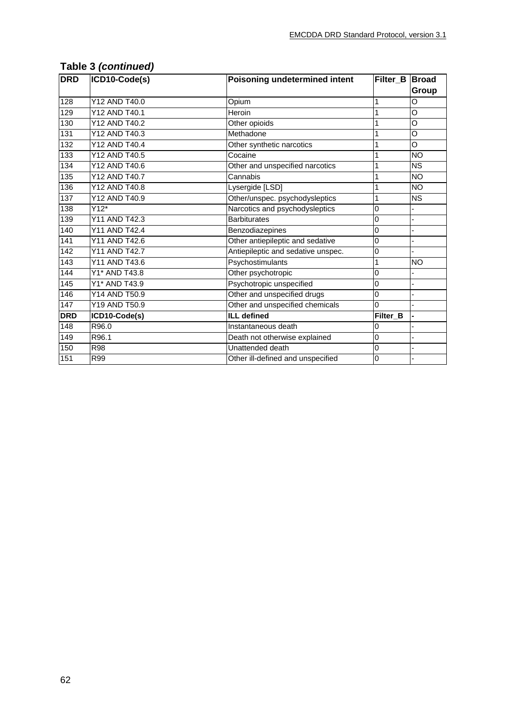| <b>DRD</b> | ICD10-Code(s) | Poisoning undetermined intent      | Filter_B | <b>Broad</b> |
|------------|---------------|------------------------------------|----------|--------------|
|            |               |                                    |          | Group        |
| 128        | Y12 AND T40.0 | Opium                              | 1        | O            |
| 129        | Y12 AND T40.1 | Heroin                             | 1        | O            |
| 130        | Y12 AND T40.2 | Other opioids                      |          | O            |
| 131        | Y12 AND T40.3 | Methadone                          | 1        | O            |
| 132        | Y12 AND T40.4 | Other synthetic narcotics          | 1        | O            |
| 133        | Y12 AND T40.5 | Cocaine                            |          | <b>NO</b>    |
| 134        | Y12 AND T40.6 | Other and unspecified narcotics    |          | <b>NS</b>    |
| 135        | Y12 AND T40.7 | Cannabis                           |          | <b>NO</b>    |
| 136        | Y12 AND T40.8 | Lysergide [LSD]                    | 1        | <b>NO</b>    |
| 137        | Y12 AND T40.9 | Other/unspec. psychodysleptics     | 1        | <b>NS</b>    |
| 138        | $Y12*$        | Narcotics and psychodysleptics     | 0        |              |
| 139        | Y11 AND T42.3 | <b>Barbiturates</b>                | 0        |              |
| 140        | Y11 AND T42.4 | Benzodiazepines                    | 0        |              |
| 141        | Y11 AND T42.6 | Other antiepileptic and sedative   | 0        |              |
| 142        | Y11 AND T42.7 | Antiepileptic and sedative unspec. | 0        |              |
| 143        | Y11 AND T43.6 | Psychostimulants                   | 1        | <b>NO</b>    |
| 144        | Y1* AND T43.8 | Other psychotropic                 | 0        |              |
| 145        | Y1* AND T43.9 | Psychotropic unspecified           | 0        |              |
| 146        | Y14 AND T50.9 | Other and unspecified drugs        | 0        |              |
| 147        | Y19 AND T50.9 | Other and unspecified chemicals    | 0        |              |
| <b>DRD</b> | ICD10-Code(s) | <b>ILL defined</b>                 | Filter_B |              |
| 148        | R96.0         | Instantaneous death                | 0        |              |
| 149        | R96.1         | Death not otherwise explained      | 0        |              |
| 150        | <b>R98</b>    | Unattended death                   | 0        |              |
| 151        | R99           | Other ill-defined and unspecified  | 0        |              |

#### **Table 3** *(continued)*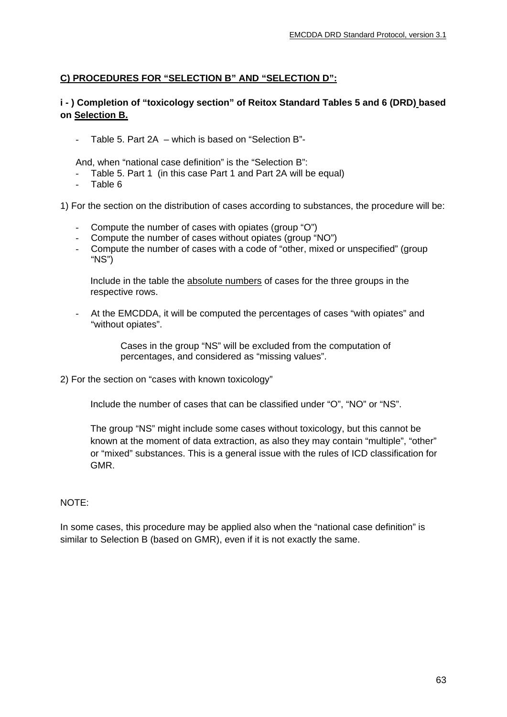#### **C) PROCEDURES FOR "SELECTION B" AND "SELECTION D":**

#### **i - ) Completion of "toxicology section" of Reitox Standard Tables 5 and 6 (DRD) based on Selection B.**

- Table 5. Part 2A – which is based on "Selection B"-

And, when "national case definition" is the "Selection B":

- Table 5. Part 1 (in this case Part 1 and Part 2A will be equal)
- Table 6

1) For the section on the distribution of cases according to substances, the procedure will be:

- Compute the number of cases with opiates (group "O")
- Compute the number of cases without opiates (group "NO")
- Compute the number of cases with a code of "other, mixed or unspecified" (group "NS")

Include in the table the absolute numbers of cases for the three groups in the respective rows.

- At the EMCDDA, it will be computed the percentages of cases "with opiates" and "without opiates".

> Cases in the group "NS" will be excluded from the computation of percentages, and considered as "missing values".

2) For the section on "cases with known toxicology"

Include the number of cases that can be classified under "O", "NO" or "NS".

The group "NS" might include some cases without toxicology, but this cannot be known at the moment of data extraction, as also they may contain "multiple", "other" or "mixed" substances. This is a general issue with the rules of ICD classification for GMR.

#### NOTE:

In some cases, this procedure may be applied also when the "national case definition" is similar to Selection B (based on GMR), even if it is not exactly the same.